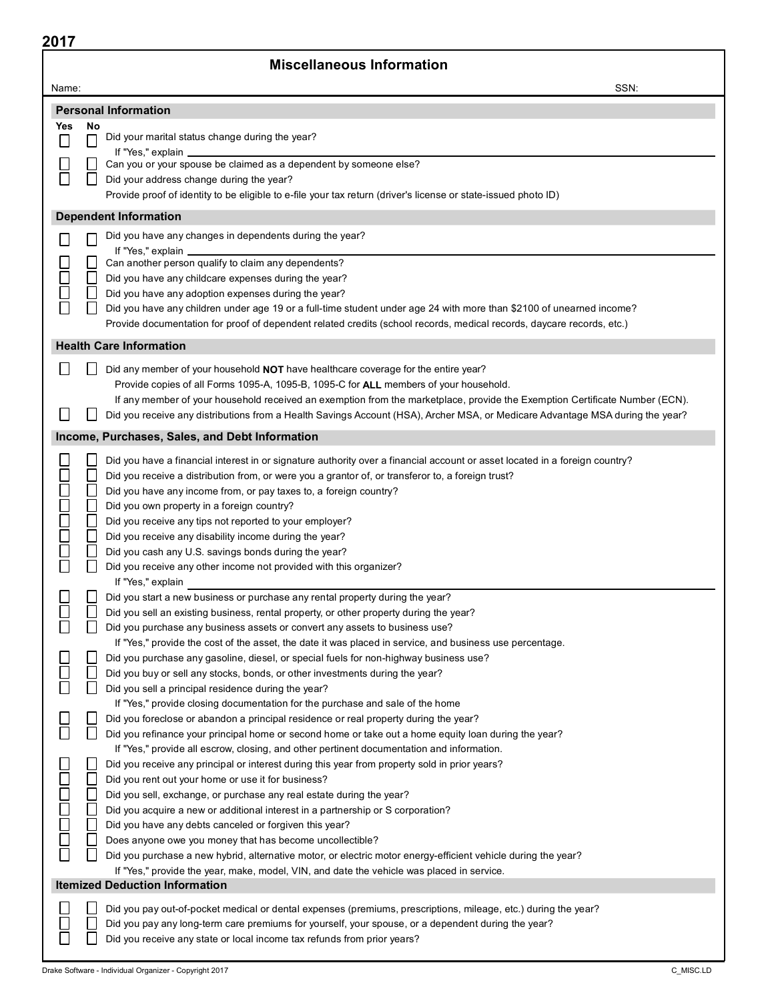### Miscellaneous Information

| Name:  |                                                                                                                                                                                                   | SSN: |
|--------|---------------------------------------------------------------------------------------------------------------------------------------------------------------------------------------------------|------|
|        | <b>Personal Information</b>                                                                                                                                                                       |      |
| Yes    | No                                                                                                                                                                                                |      |
|        | Did your marital status change during the year?                                                                                                                                                   |      |
|        | If "Yes," explain _<br>Can you or your spouse be claimed as a dependent by someone else?                                                                                                          |      |
|        | Did your address change during the year?                                                                                                                                                          |      |
|        | Provide proof of identity to be eligible to e-file your tax return (driver's license or state-issued photo ID)                                                                                    |      |
|        | <b>Dependent Information</b>                                                                                                                                                                      |      |
|        | Did you have any changes in dependents during the year?                                                                                                                                           |      |
|        | If "Yes," explain                                                                                                                                                                                 |      |
|        | Can another person qualify to claim any dependents?                                                                                                                                               |      |
|        | Did you have any childcare expenses during the year?                                                                                                                                              |      |
|        | Did you have any adoption expenses during the year?                                                                                                                                               |      |
|        | Did you have any children under age 19 or a full-time student under age 24 with more than \$2100 of unearned income?                                                                              |      |
|        | Provide documentation for proof of dependent related credits (school records, medical records, daycare records, etc.)                                                                             |      |
|        | <b>Health Care Information</b>                                                                                                                                                                    |      |
|        | Did any member of your household NOT have healthcare coverage for the entire year?                                                                                                                |      |
|        | Provide copies of all Forms 1095-A, 1095-B, 1095-C for ALL members of your household.                                                                                                             |      |
|        | If any member of your household received an exemption from the marketplace, provide the Exemption Certificate Number (ECN).                                                                       |      |
|        | Did you receive any distributions from a Health Savings Account (HSA), Archer MSA, or Medicare Advantage MSA during the year?                                                                     |      |
|        | Income, Purchases, Sales, and Debt Information                                                                                                                                                    |      |
|        | Did you have a financial interest in or signature authority over a financial account or asset located in a foreign country?                                                                       |      |
|        | Did you receive a distribution from, or were you a grantor of, or transferor to, a foreign trust?                                                                                                 |      |
|        | Did you have any income from, or pay taxes to, a foreign country?                                                                                                                                 |      |
|        | Did you own property in a foreign country?                                                                                                                                                        |      |
|        | Did you receive any tips not reported to your employer?                                                                                                                                           |      |
| 0000   | Did you receive any disability income during the year?<br>Did you cash any U.S. savings bonds during the year?                                                                                    |      |
|        | Did you receive any other income not provided with this organizer?                                                                                                                                |      |
|        | If "Yes," explain                                                                                                                                                                                 |      |
|        | Did you start a new business or purchase any rental property during the year?                                                                                                                     |      |
|        | Did you sell an existing business, rental property, or other property during the year?                                                                                                            |      |
|        | Did you purchase any business assets or convert any assets to business use?                                                                                                                       |      |
|        | If "Yes," provide the cost of the asset, the date it was placed in service, and business use percentage.<br>Did you purchase any gasoline, diesel, or special fuels for non-highway business use? |      |
|        | Did you buy or sell any stocks, bonds, or other investments during the year?                                                                                                                      |      |
|        | Did you sell a principal residence during the year?                                                                                                                                               |      |
|        | If "Yes," provide closing documentation for the purchase and sale of the home                                                                                                                     |      |
|        | Did you foreclose or abandon a principal residence or real property during the year?                                                                                                              |      |
|        | Did you refinance your principal home or second home or take out a home equity loan during the year?                                                                                              |      |
|        | If "Yes," provide all escrow, closing, and other pertinent documentation and information.                                                                                                         |      |
|        | Did you receive any principal or interest during this year from property sold in prior years?                                                                                                     |      |
| 100000 | Did you rent out your home or use it for business?<br>Did you sell, exchange, or purchase any real estate during the year?                                                                        |      |
|        | Did you acquire a new or additional interest in a partnership or S corporation?                                                                                                                   |      |
|        | Did you have any debts canceled or forgiven this year?                                                                                                                                            |      |
|        | Does anyone owe you money that has become uncollectible?                                                                                                                                          |      |
|        | Did you purchase a new hybrid, alternative motor, or electric motor energy-efficient vehicle during the year?                                                                                     |      |
|        | If "Yes," provide the year, make, model, VIN, and date the vehicle was placed in service.                                                                                                         |      |
|        | <b>Itemized Deduction Information</b>                                                                                                                                                             |      |
|        | Did you pay out-of-pocket medical or dental expenses (premiums, prescriptions, mileage, etc.) during the year?                                                                                    |      |
|        | Did you pay any long-term care premiums for yourself, your spouse, or a dependent during the year?                                                                                                |      |
|        | Did you receive any state or local income tax refunds from prior years?                                                                                                                           |      |

 $\overline{\phantom{a}}$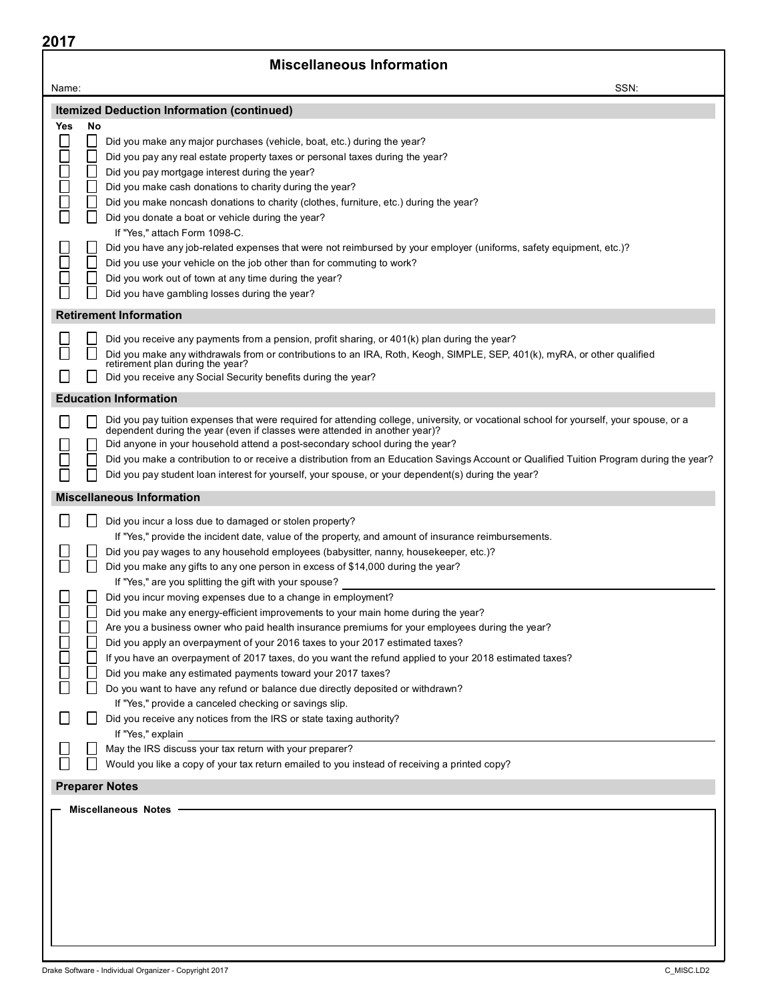| 2017           |                                                                                                                                                              |      |
|----------------|--------------------------------------------------------------------------------------------------------------------------------------------------------------|------|
|                | <b>Miscellaneous Information</b>                                                                                                                             |      |
| Name:          |                                                                                                                                                              | SSN: |
|                | <b>Itemized Deduction Information (continued)</b>                                                                                                            |      |
| Yes            | No                                                                                                                                                           |      |
|                | Did you make any major purchases (vehicle, boat, etc.) during the year?<br>Did you pay any real estate property taxes or personal taxes during the year?     |      |
|                | Did you pay mortgage interest during the year?                                                                                                               |      |
|                | Did you make cash donations to charity during the year?                                                                                                      |      |
| 88<br>88<br>88 | Did you make noncash donations to charity (clothes, furniture, etc.) during the year?                                                                        |      |
|                | Did you donate a boat or vehicle during the year?                                                                                                            |      |
|                | If "Yes," attach Form 1098-C.                                                                                                                                |      |
|                | Did you have any job-related expenses that were not reimbursed by your employer (uniforms, safety equipment, etc.)?                                          |      |
|                | Did you use your vehicle on the job other than for commuting to work?                                                                                        |      |
|                | Did you work out of town at any time during the year?                                                                                                        |      |
|                | Did you have gambling losses during the year?                                                                                                                |      |
|                | <b>Retirement Information</b>                                                                                                                                |      |
|                | Did you receive any payments from a pension, profit sharing, or 401(k) plan during the year?                                                                 |      |
|                | Did you make any withdrawals from or contributions to an IRA, Roth, Keogh, SIMPLE, SEP, 401(k), myRA, or other qualified<br>retirement plan during the year? |      |
|                | Did you receive any Social Security benefits during the year?                                                                                                |      |
|                | <b>Education Information</b>                                                                                                                                 |      |
|                | Did you pay tuition expenses that were required for attending college, university, or vocational school for yourself, your spouse, or a                      |      |
|                | dependent during the year (even if classes were attended in another year)?                                                                                   |      |
|                | Did anyone in your household attend a post-secondary school during the year?                                                                                 |      |
|                | Did you make a contribution to or receive a distribution from an Education Savings Account or Qualified Tuition Program during the year?                     |      |
|                | Did you pay student loan interest for yourself, your spouse, or your dependent(s) during the year?                                                           |      |
|                | <b>Miscellaneous Information</b>                                                                                                                             |      |
|                | Did you incur a loss due to damaged or stolen property?                                                                                                      |      |
|                | If "Yes," provide the incident date, value of the property, and amount of insurance reimbursements.                                                          |      |
|                | Did you pay wages to any household employees (babysitter, nanny, housekeeper, etc.)?                                                                         |      |
|                | Did you make any gifts to any one person in excess of \$14,000 during the year?                                                                              |      |
|                | If "Yes," are you splitting the gift with your spouse?<br>Did you incur moving expenses due to a change in employment?                                       |      |
| Ħ              | Did you make any energy-efficient improvements to your main home during the year?                                                                            |      |
|                | Are you a business owner who paid health insurance premiums for your employees during the year?                                                              |      |
|                | Did you apply an overpayment of your 2016 taxes to your 2017 estimated taxes?                                                                                |      |
|                | If you have an overpayment of 2017 taxes, do you want the refund applied to your 2018 estimated taxes?                                                       |      |
| 0<br>0<br>0    | Did you make any estimated payments toward your 2017 taxes?                                                                                                  |      |
|                | Do you want to have any refund or balance due directly deposited or withdrawn?                                                                               |      |
|                | If "Yes," provide a canceled checking or savings slip.<br>Did you receive any notices from the IRS or state taxing authority?                                |      |
|                | If "Yes," explain                                                                                                                                            |      |
|                | May the IRS discuss your tax return with your preparer?                                                                                                      |      |
|                | Would you like a copy of your tax return emailed to you instead of receiving a printed copy?                                                                 |      |
|                | <b>Preparer Notes</b>                                                                                                                                        |      |
|                | <b>Miscellaneous Notes</b>                                                                                                                                   |      |
|                |                                                                                                                                                              |      |
|                |                                                                                                                                                              |      |
|                |                                                                                                                                                              |      |
|                |                                                                                                                                                              |      |
|                |                                                                                                                                                              |      |
|                |                                                                                                                                                              |      |
|                |                                                                                                                                                              |      |
|                |                                                                                                                                                              |      |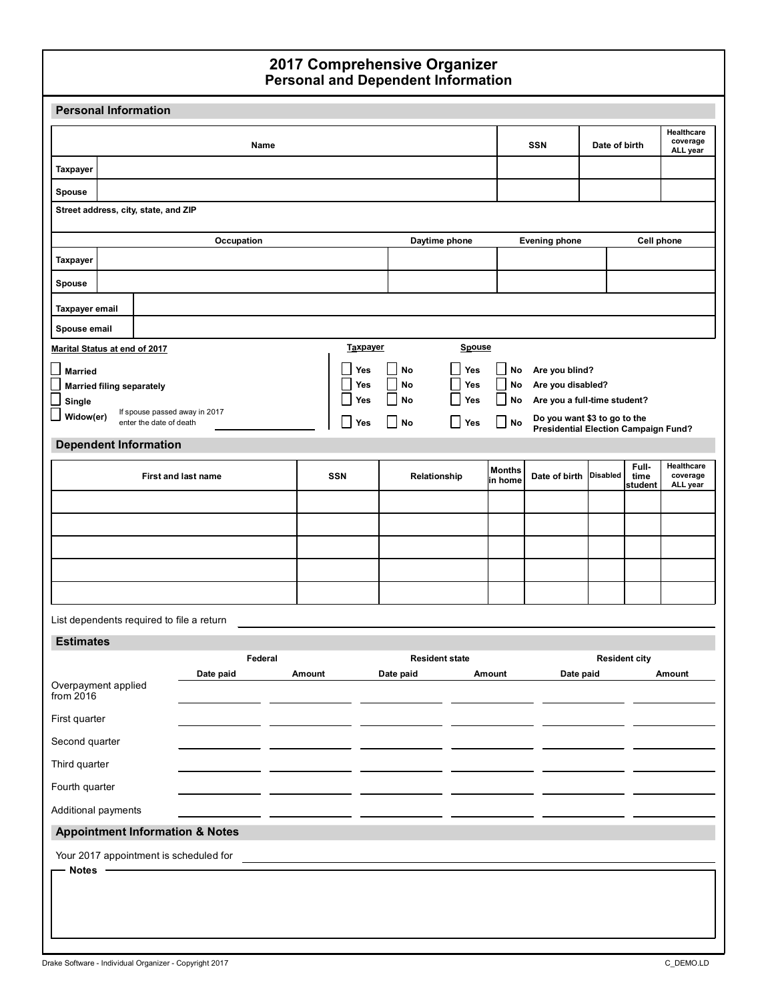#### Personal and Dependent Information 2017 Comprehensive Organizer

| <b>Personal Information</b>        |                                  |                                      |                                            |         |        |            |           |                                 |                              |                                                              |               |                          |                                    |
|------------------------------------|----------------------------------|--------------------------------------|--------------------------------------------|---------|--------|------------|-----------|---------------------------------|------------------------------|--------------------------------------------------------------|---------------|--------------------------|------------------------------------|
|                                    |                                  |                                      |                                            | Name    |        |            |           |                                 |                              | <b>SSN</b>                                                   | Date of birth |                          | Healthcare<br>coverage<br>ALL year |
| Taxpayer                           |                                  |                                      |                                            |         |        |            |           |                                 |                              |                                                              |               |                          |                                    |
| <b>Spouse</b>                      |                                  |                                      |                                            |         |        |            |           |                                 |                              |                                                              |               |                          |                                    |
|                                    |                                  | Street address, city, state, and ZIP |                                            |         |        |            |           |                                 |                              |                                                              |               |                          |                                    |
|                                    |                                  |                                      | Occupation                                 |         |        |            |           | Daytime phone                   |                              | <b>Evening phone</b>                                         |               | <b>Cell phone</b>        |                                    |
| Taxpayer                           |                                  |                                      |                                            |         |        |            |           |                                 |                              |                                                              |               |                          |                                    |
| <b>Spouse</b>                      |                                  |                                      |                                            |         |        |            |           |                                 |                              |                                                              |               |                          |                                    |
| Taxpayer email                     |                                  |                                      |                                            |         |        |            |           |                                 |                              |                                                              |               |                          |                                    |
| Spouse email                       |                                  |                                      |                                            |         |        |            |           |                                 |                              |                                                              |               |                          |                                    |
| Marital Status at end of 2017      |                                  |                                      |                                            |         |        | Taxpayer   |           | Spouse                          |                              |                                                              |               |                          |                                    |
| <b>Married</b>                     |                                  |                                      |                                            |         |        | Yes        | No        | $\overline{\phantom{a}}$<br>Yes | No                           | Are you blind?                                               |               |                          |                                    |
|                                    | <b>Married filing separately</b> |                                      |                                            |         |        | Yes        | No<br>No  | $\Box$<br>Yes<br>$\Box$<br>Yes  | $\sim$<br>No<br>$\mathsf{I}$ | Are you disabled?                                            |               |                          |                                    |
| Single<br>Widow(er)                |                                  |                                      | If spouse passed away in 2017              |         |        | Yes        |           |                                 | No                           | Are you a full-time student?<br>Do you want \$3 to go to the |               |                          |                                    |
|                                    |                                  | enter the date of death              |                                            |         |        | Yes        | No        | $\Box$<br>Yes                   | $\Box$ No                    | Presidential Election Campaign Fund?                         |               |                          |                                    |
|                                    |                                  | <b>Dependent Information</b>         |                                            |         |        |            |           |                                 |                              |                                                              |               |                          |                                    |
|                                    |                                  |                                      | First and last name                        |         |        | <b>SSN</b> |           | Relationship                    | <b>Months</b><br>in home     | Date of birth Disabled                                       |               | Full-<br>time<br>student | Healthcare<br>coverage<br>ALL year |
|                                    |                                  |                                      |                                            |         |        |            |           |                                 |                              |                                                              |               |                          |                                    |
|                                    |                                  |                                      |                                            |         |        |            |           |                                 |                              |                                                              |               |                          |                                    |
|                                    |                                  |                                      |                                            |         |        |            |           |                                 |                              |                                                              |               |                          |                                    |
|                                    |                                  |                                      |                                            |         |        |            |           |                                 |                              |                                                              |               |                          |                                    |
|                                    |                                  |                                      |                                            |         |        |            |           |                                 |                              |                                                              |               |                          |                                    |
|                                    |                                  |                                      | List dependents required to file a return  |         |        |            |           |                                 |                              |                                                              |               |                          |                                    |
| <b>Estimates</b>                   |                                  |                                      |                                            |         |        |            |           |                                 |                              |                                                              |               |                          |                                    |
|                                    |                                  |                                      |                                            | Federal |        |            |           | <b>Resident state</b>           |                              |                                                              |               | <b>Resident city</b>     |                                    |
| Overpayment applied<br>from $2016$ |                                  |                                      | Date paid                                  |         | Amount |            | Date paid |                                 | Amount                       | Date paid                                                    |               |                          | Amount                             |
| First quarter                      |                                  |                                      |                                            |         |        |            |           |                                 |                              |                                                              |               |                          |                                    |
| Second quarter                     |                                  |                                      |                                            |         |        |            |           |                                 |                              |                                                              |               |                          |                                    |
| Third quarter                      |                                  |                                      |                                            |         |        |            |           |                                 |                              |                                                              |               |                          |                                    |
| Fourth quarter                     |                                  |                                      |                                            |         |        |            |           |                                 |                              |                                                              |               |                          |                                    |
| Additional payments                |                                  |                                      |                                            |         |        |            |           |                                 |                              |                                                              |               |                          |                                    |
|                                    |                                  |                                      | <b>Appointment Information &amp; Notes</b> |         |        |            |           |                                 |                              |                                                              |               |                          |                                    |
| <b>Notes</b>                       |                                  |                                      | Your 2017 appointment is scheduled for     |         |        |            |           |                                 |                              |                                                              |               |                          |                                    |
|                                    |                                  |                                      |                                            |         |        |            |           |                                 |                              |                                                              |               |                          |                                    |
|                                    |                                  |                                      |                                            |         |        |            |           |                                 |                              |                                                              |               |                          |                                    |
|                                    |                                  |                                      |                                            |         |        |            |           |                                 |                              |                                                              |               |                          |                                    |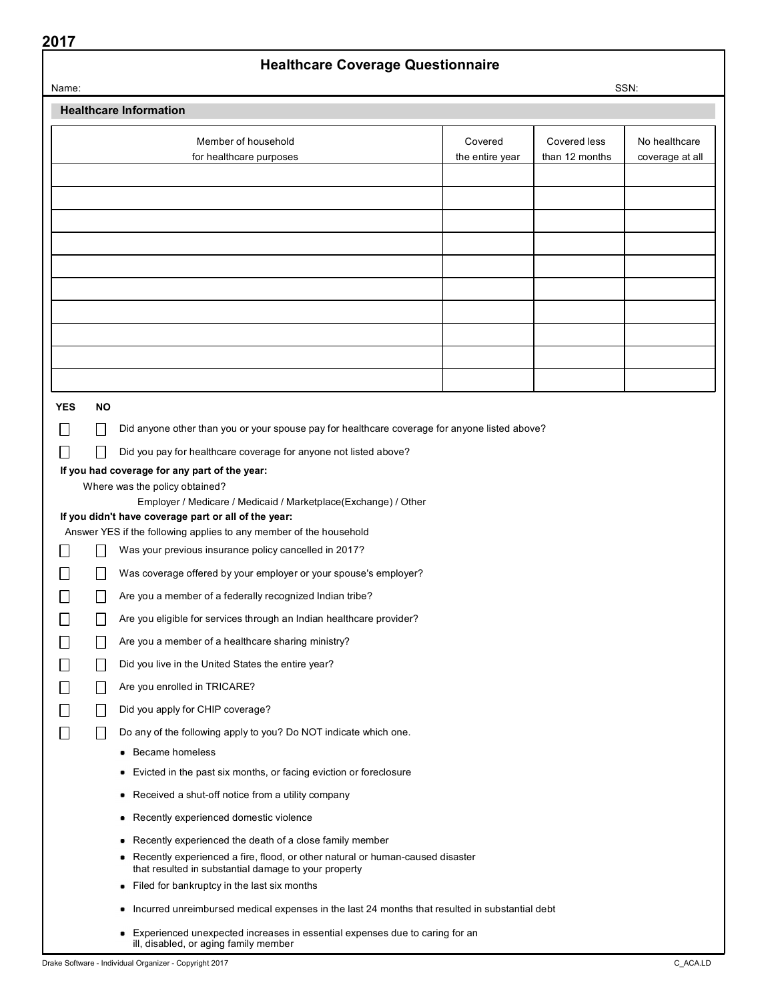## Healthcare Coverage Questionnaire

| Name:      |           |                                                                                                                                                                                             |                            |                                | SSN:                             |
|------------|-----------|---------------------------------------------------------------------------------------------------------------------------------------------------------------------------------------------|----------------------------|--------------------------------|----------------------------------|
|            |           | <b>Healthcare Information</b>                                                                                                                                                               |                            |                                |                                  |
|            |           | Member of household<br>for healthcare purposes                                                                                                                                              | Covered<br>the entire year | Covered less<br>than 12 months | No healthcare<br>coverage at all |
|            |           |                                                                                                                                                                                             |                            |                                |                                  |
|            |           |                                                                                                                                                                                             |                            |                                |                                  |
|            |           |                                                                                                                                                                                             |                            |                                |                                  |
|            |           |                                                                                                                                                                                             |                            |                                |                                  |
|            |           |                                                                                                                                                                                             |                            |                                |                                  |
|            |           |                                                                                                                                                                                             |                            |                                |                                  |
|            |           |                                                                                                                                                                                             |                            |                                |                                  |
|            |           |                                                                                                                                                                                             |                            |                                |                                  |
|            |           |                                                                                                                                                                                             |                            |                                |                                  |
|            |           |                                                                                                                                                                                             |                            |                                |                                  |
| <b>YES</b> | <b>NO</b> |                                                                                                                                                                                             |                            |                                |                                  |
|            |           | Did anyone other than you or your spouse pay for healthcare coverage for anyone listed above?                                                                                               |                            |                                |                                  |
|            |           | Did you pay for healthcare coverage for anyone not listed above?                                                                                                                            |                            |                                |                                  |
|            |           | If you had coverage for any part of the year:<br>Where was the policy obtained?                                                                                                             |                            |                                |                                  |
|            |           | Employer / Medicare / Medicaid / Marketplace(Exchange) / Other                                                                                                                              |                            |                                |                                  |
|            |           | If you didn't have coverage part or all of the year:                                                                                                                                        |                            |                                |                                  |
|            |           | Answer YES if the following applies to any member of the household<br>Was your previous insurance policy cancelled in 2017?                                                                 |                            |                                |                                  |
|            |           | Was coverage offered by your employer or your spouse's employer?                                                                                                                            |                            |                                |                                  |
|            |           | Are you a member of a federally recognized Indian tribe?                                                                                                                                    |                            |                                |                                  |
|            |           | Are you eligible for services through an Indian healthcare provider?                                                                                                                        |                            |                                |                                  |
|            |           | Are you a member of a healthcare sharing ministry?                                                                                                                                          |                            |                                |                                  |
|            |           | Did you live in the United States the entire year?                                                                                                                                          |                            |                                |                                  |
|            |           | Are you enrolled in TRICARE?                                                                                                                                                                |                            |                                |                                  |
|            |           | Did you apply for CHIP coverage?                                                                                                                                                            |                            |                                |                                  |
|            |           | Do any of the following apply to you? Do NOT indicate which one.                                                                                                                            |                            |                                |                                  |
|            |           | • Became homeless                                                                                                                                                                           |                            |                                |                                  |
|            |           | Evicted in the past six months, or facing eviction or foreclosure<br>٠                                                                                                                      |                            |                                |                                  |
|            |           | Received a shut-off notice from a utility company<br>٠                                                                                                                                      |                            |                                |                                  |
|            |           | Recently experienced domestic violence<br>٠                                                                                                                                                 |                            |                                |                                  |
|            |           | Recently experienced the death of a close family member<br>۰                                                                                                                                |                            |                                |                                  |
|            |           | • Recently experienced a fire, flood, or other natural or human-caused disaster<br>that resulted in substantial damage to your property<br>Filed for bankruptcy in the last six months<br>٠ |                            |                                |                                  |
|            |           | Incurred unreimbursed medical expenses in the last 24 months that resulted in substantial debt<br>٠                                                                                         |                            |                                |                                  |
|            |           | Experienced unexpected increases in essential expenses due to caring for an<br>٠<br>ill, disabled, or aging family member                                                                   |                            |                                |                                  |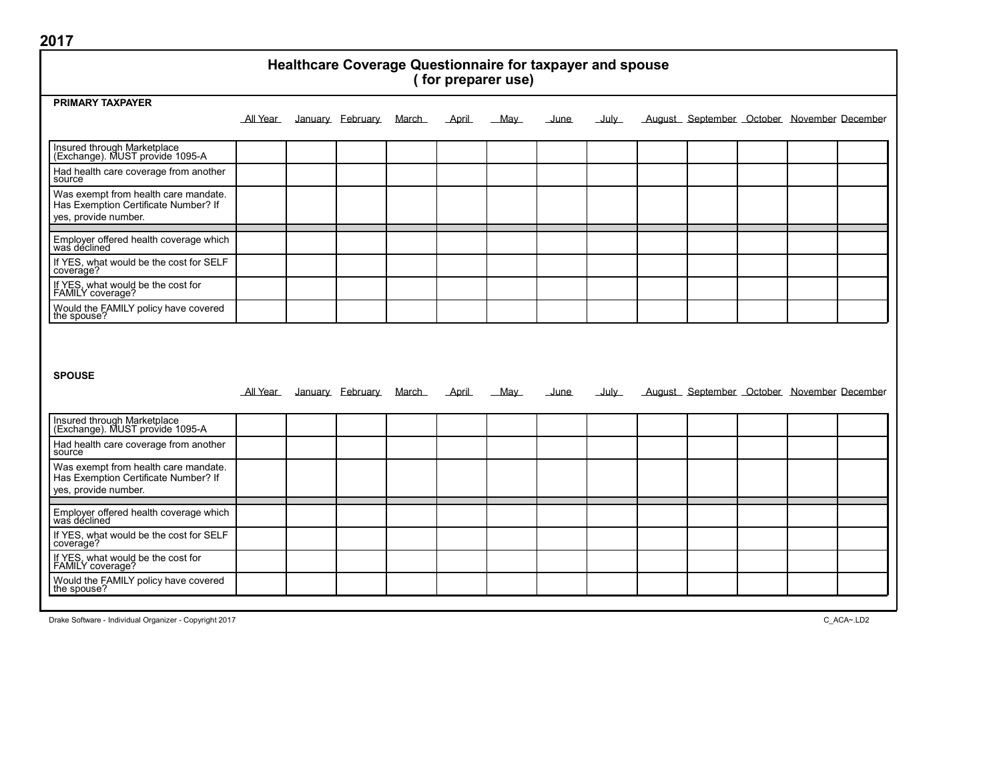| Healthcare Coverage Questionnaire for taxpayer and spouse<br>(for preparer use)                      |          |  |                  |        |       |        |              |                  |                                            |  |  |
|------------------------------------------------------------------------------------------------------|----------|--|------------------|--------|-------|--------|--------------|------------------|--------------------------------------------|--|--|
| <b>PRIMARY TAXPAYER</b>                                                                              |          |  |                  |        |       |        |              |                  |                                            |  |  |
|                                                                                                      | All Year |  | January February | March  | April | $M$ ay | <u>June</u>  | July             | August September October November December |  |  |
| Insured through Marketplace<br>(Exchange). MUST provide 1095-A                                       |          |  |                  |        |       |        |              |                  |                                            |  |  |
| Had health care coverage from another<br>source                                                      |          |  |                  |        |       |        |              |                  |                                            |  |  |
| Was exempt from health care mandate.<br>Has Exemption Certificate Number? If<br>yes, provide number. |          |  |                  |        |       |        |              |                  |                                            |  |  |
| Employer offered health coverage which<br>was declined                                               |          |  |                  |        |       |        |              |                  |                                            |  |  |
| If YES, what would be the cost for SELF<br>coverage?                                                 |          |  |                  |        |       |        |              |                  |                                            |  |  |
| If YES, what would be the cost for<br>FAMILY coverage?                                               |          |  |                  |        |       |        |              |                  |                                            |  |  |
| Would the FAMILY policy have covered<br>the spouse?                                                  |          |  |                  |        |       |        |              |                  |                                            |  |  |
| <b>SPOUSE</b>                                                                                        | All Year |  | January February | March_ | April | $M$ ay | <u>_June</u> | $_{\text{July}}$ | August September October November December |  |  |
|                                                                                                      |          |  |                  |        |       |        |              |                  |                                            |  |  |
| Insured through Marketplace<br>(Exchange). MUST provide 1095-A                                       |          |  |                  |        |       |        |              |                  |                                            |  |  |
| Had health care coverage from another<br>source                                                      |          |  |                  |        |       |        |              |                  |                                            |  |  |
| Was exempt from health care mandate.<br>Has Exemption Certificate Number? If<br>yes, provide number. |          |  |                  |        |       |        |              |                  |                                            |  |  |
| Employer offered health coverage which<br>was declined                                               |          |  |                  |        |       |        |              |                  |                                            |  |  |
| If YES, what would be the cost for SELF<br>coverage?                                                 |          |  |                  |        |       |        |              |                  |                                            |  |  |
| If YES, what would be the cost for<br>FAMILY coverage?                                               |          |  |                  |        |       |        |              |                  |                                            |  |  |
| Would the FAMILY policy have covered<br>the spouse?                                                  |          |  |                  |        |       |        |              |                  |                                            |  |  |

Drake Software - Individual Organizer - Copyright 2017 C\_ACA~.LD2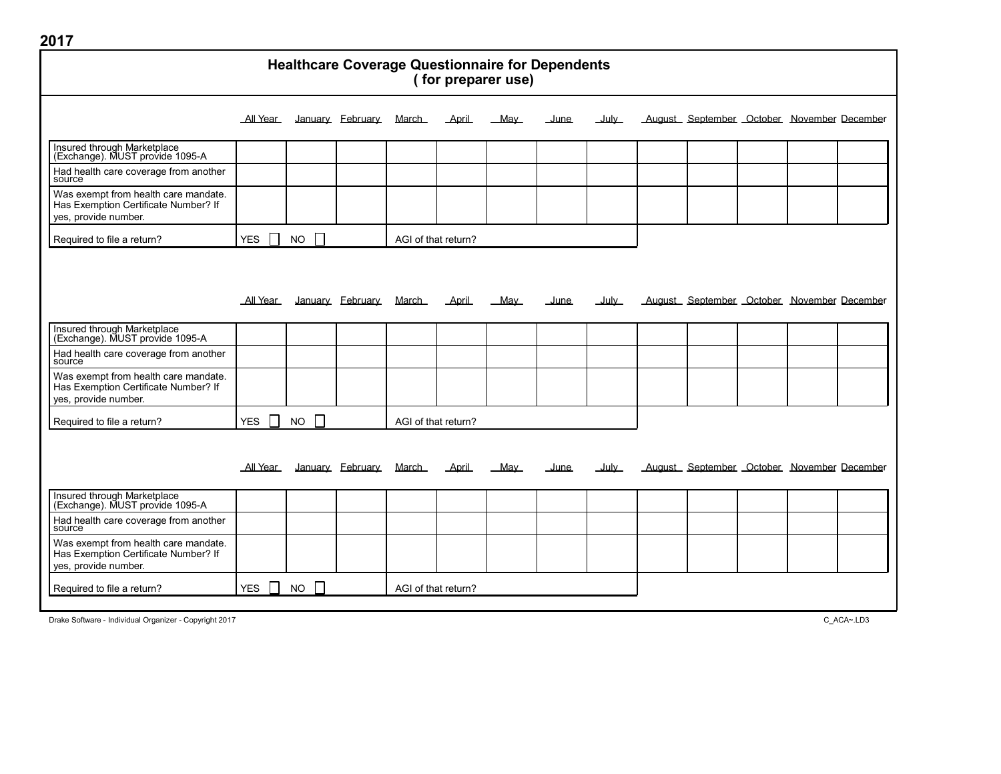| 2017                                                                                                 |            |           |   |                  |       |                     |                                                                               |             |               |                                            |  |  |
|------------------------------------------------------------------------------------------------------|------------|-----------|---|------------------|-------|---------------------|-------------------------------------------------------------------------------|-------------|---------------|--------------------------------------------|--|--|
|                                                                                                      |            |           |   |                  |       |                     | <b>Healthcare Coverage Questionnaire for Dependents</b><br>(for preparer use) |             |               |                                            |  |  |
|                                                                                                      | All Year   |           |   | January February | March | April               | May                                                                           | <u>June</u> | <b>July</b>   | August September October November December |  |  |
| Insured through Marketplace<br>(Exchange). MUST provide 1095-A                                       |            |           |   |                  |       |                     |                                                                               |             |               |                                            |  |  |
| Had health care coverage from another<br>source                                                      |            |           |   |                  |       |                     |                                                                               |             |               |                                            |  |  |
| Was exempt from health care mandate.<br>Has Exemption Certificate Number? If<br>yes, provide number. |            |           |   |                  |       |                     |                                                                               |             |               |                                            |  |  |
| Required to file a return?                                                                           | <b>YES</b> | <b>NO</b> |   |                  |       | AGI of that return? |                                                                               |             |               |                                            |  |  |
|                                                                                                      |            |           |   |                  |       |                     |                                                                               |             |               |                                            |  |  |
|                                                                                                      | All Year   |           |   | January February | March | April               | May                                                                           | June        | ے سل          | August September October November December |  |  |
| Insured through Marketplace<br>(Exchange). MUST provide 1095-A                                       |            |           |   |                  |       |                     |                                                                               |             |               |                                            |  |  |
| Had health care coverage from another<br>source                                                      |            |           |   |                  |       |                     |                                                                               |             |               |                                            |  |  |
| Was exempt from health care mandate.<br>Has Exemption Certificate Number? If<br>yes, provide number. |            |           |   |                  |       |                     |                                                                               |             |               |                                            |  |  |
| Required to file a return?                                                                           | <b>YES</b> | <b>NO</b> |   |                  |       | AGI of that return? |                                                                               |             |               |                                            |  |  |
|                                                                                                      |            |           |   |                  |       |                     |                                                                               |             |               |                                            |  |  |
|                                                                                                      | All Year   |           |   | January February | March | April               | Mav                                                                           | June        | <u>_Julv_</u> | August September October November December |  |  |
| Insured through Marketplace<br>(Exchange). MUST provide 1095-A                                       |            |           |   |                  |       |                     |                                                                               |             |               |                                            |  |  |
| Had health care coverage from another<br>source                                                      |            |           |   |                  |       |                     |                                                                               |             |               |                                            |  |  |
| Was exempt from health care mandate.<br>Has Exemption Certificate Number? If<br>yes, provide number. |            |           |   |                  |       |                     |                                                                               |             |               |                                            |  |  |
| Required to file a return?                                                                           | <b>YES</b> | <b>NO</b> | L |                  |       | AGI of that return? |                                                                               |             |               |                                            |  |  |

Drake Software - Individual Organizer - Copyright 2017 C\_ACA~.LD3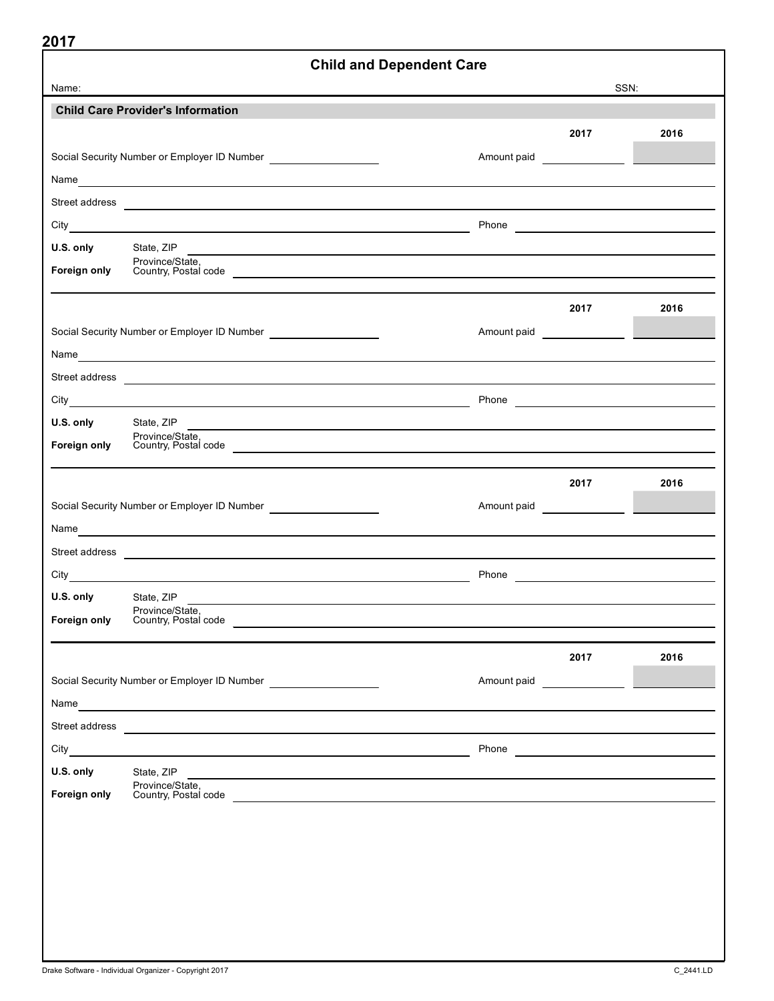|                           |                                                                                                                                                                                                                                      | <b>Child and Dependent Care</b>                                                                                  |      |
|---------------------------|--------------------------------------------------------------------------------------------------------------------------------------------------------------------------------------------------------------------------------------|------------------------------------------------------------------------------------------------------------------|------|
| Name:                     |                                                                                                                                                                                                                                      |                                                                                                                  | SSN: |
|                           | <b>Child Care Provider's Information</b>                                                                                                                                                                                             |                                                                                                                  |      |
|                           |                                                                                                                                                                                                                                      | 2017                                                                                                             | 2016 |
|                           | Social Security Number or Employer ID Number _____________________                                                                                                                                                                   |                                                                                                                  |      |
|                           |                                                                                                                                                                                                                                      |                                                                                                                  |      |
|                           |                                                                                                                                                                                                                                      |                                                                                                                  |      |
|                           |                                                                                                                                                                                                                                      |                                                                                                                  |      |
| U.S. only                 | State, ZIP                                                                                                                                                                                                                           |                                                                                                                  |      |
| Foreign only              | Province/State,                                                                                                                                                                                                                      |                                                                                                                  |      |
|                           | Country, Postal code                                                                                                                                                                                                                 |                                                                                                                  |      |
|                           |                                                                                                                                                                                                                                      | 2017                                                                                                             | 2016 |
|                           | Social Security Number or Employer ID Number ____________________                                                                                                                                                                    |                                                                                                                  |      |
|                           |                                                                                                                                                                                                                                      |                                                                                                                  |      |
|                           | Street address <u>experience</u>                                                                                                                                                                                                     |                                                                                                                  |      |
|                           |                                                                                                                                                                                                                                      |                                                                                                                  |      |
| U.S. only                 | State, ZIP                                                                                                                                                                                                                           |                                                                                                                  |      |
| Foreign only              | Province/State,                                                                                                                                                                                                                      | and the control of the control of the control of the control of the control of the control of the control of the |      |
|                           | Country, Postal code                                                                                                                                                                                                                 |                                                                                                                  |      |
|                           |                                                                                                                                                                                                                                      | 2017                                                                                                             | 2016 |
|                           | Social Security Number or Employer ID Number _____________________                                                                                                                                                                   |                                                                                                                  |      |
|                           |                                                                                                                                                                                                                                      |                                                                                                                  |      |
|                           |                                                                                                                                                                                                                                      |                                                                                                                  |      |
|                           | Street address <b>contract and the contract of the contract of the contract of the contract of the contract of the contract of the contract of the contract of the contract of the contract of the contract of the contract of t</b> |                                                                                                                  |      |
|                           |                                                                                                                                                                                                                                      |                                                                                                                  |      |
|                           | U.S. only State, ZIP<br>Province/State,                                                                                                                                                                                              |                                                                                                                  |      |
| Foreign only              | Country, Postal code                                                                                                                                                                                                                 |                                                                                                                  |      |
|                           |                                                                                                                                                                                                                                      | 2017                                                                                                             | 2016 |
|                           | Social Security Number or Employer ID Number ___________________________________                                                                                                                                                     | Amount paid                                                                                                      |      |
|                           |                                                                                                                                                                                                                                      |                                                                                                                  |      |
|                           | Name and the contract of the contract of the contract of the contract of the contract of the contract of the contract of the contract of the contract of the contract of the contract of the contract of the contract of the c       |                                                                                                                  |      |
|                           | Street address <b>Contract Contract Contract Contract Contract Contract Contract Contract Contract Contract Contract Contract Contract Contract Contract Contract Contract Contract Contract Contract Contract Contract Contract</b> |                                                                                                                  |      |
|                           |                                                                                                                                                                                                                                      | Phone <u>________________________</u>                                                                            |      |
|                           |                                                                                                                                                                                                                                      |                                                                                                                  |      |
| U.S. only<br>Foreign only | State, ZIP<br>Province/State,<br>Country, Postal code                                                                                                                                                                                |                                                                                                                  |      |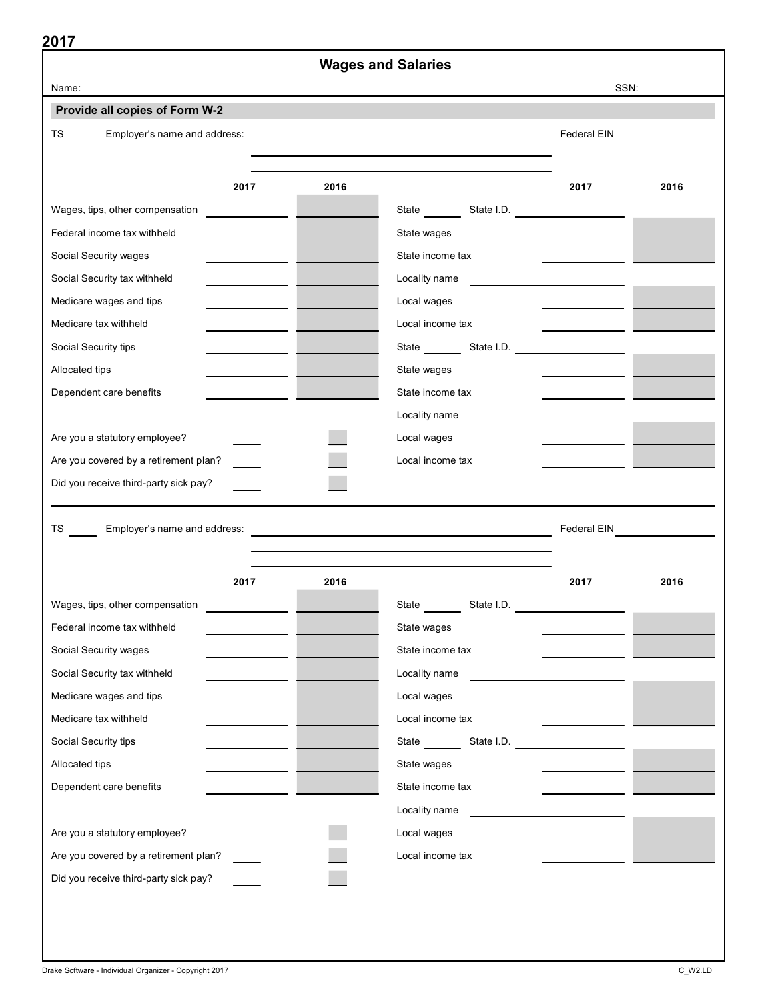| 2017                                                                 | <b>Wages and Salaries</b>                                                                                             |             |      |
|----------------------------------------------------------------------|-----------------------------------------------------------------------------------------------------------------------|-------------|------|
| Name:                                                                |                                                                                                                       |             | SSN: |
| Provide all copies of Form W-2                                       |                                                                                                                       |             |      |
| Employer's name and address:<br>TS and the set                       | <u> 1989 - Johann Barn, mars ann an t-Amhain Aonaich an t-Aonaich an t-Aonaich an t-Aonaich an t-Aonaich an t-Aon</u> | Federal EIN |      |
|                                                                      |                                                                                                                       |             |      |
|                                                                      |                                                                                                                       |             |      |
| 2017                                                                 | 2016                                                                                                                  | 2017        | 2016 |
| Wages, tips, other compensation<br><u> 1999 - Alban Salaman Sala</u> |                                                                                                                       |             |      |
| Federal income tax withheld                                          | State wages                                                                                                           |             |      |
| Social Security wages                                                | State income tax                                                                                                      |             |      |
| Social Security tax withheld                                         | Locality name                                                                                                         |             |      |
| Medicare wages and tips                                              | Local wages                                                                                                           |             |      |
| Medicare tax withheld                                                | Local income tax                                                                                                      |             |      |
| Social Security tips                                                 | State State I.D.                                                                                                      |             |      |
| Allocated tips                                                       | State wages                                                                                                           |             |      |
| Dependent care benefits                                              | State income tax                                                                                                      |             |      |
|                                                                      | Locality name                                                                                                         |             |      |
| Are you a statutory employee?                                        | Local wages                                                                                                           |             |      |
| Are you covered by a retirement plan?                                | Local income tax                                                                                                      |             |      |
| Did you receive third-party sick pay?                                |                                                                                                                       |             |      |
|                                                                      |                                                                                                                       |             |      |
| Employer's name and address:<br>TS and the set                       |                                                                                                                       | Federal EIN |      |
|                                                                      |                                                                                                                       |             |      |
| 2017                                                                 | 2016                                                                                                                  | 2017        | 2016 |
| Wages, tips, other compensation                                      | State                                                                                                                 | State I.D.  |      |
| Federal income tax withheld                                          | State wages                                                                                                           |             |      |
| Social Security wages                                                | State income tax                                                                                                      |             |      |
| Social Security tax withheld                                         | Locality name                                                                                                         |             |      |
| Medicare wages and tips                                              | Local wages                                                                                                           |             |      |
| Medicare tax withheld                                                | Local income tax                                                                                                      |             |      |
| Social Security tips                                                 |                                                                                                                       |             |      |
| Allocated tips                                                       | State wages                                                                                                           |             |      |
| Dependent care benefits                                              | State income tax                                                                                                      |             |      |
|                                                                      | Locality name                                                                                                         |             |      |
| Are you a statutory employee?                                        | Local wages                                                                                                           |             |      |
| Are you covered by a retirement plan?                                | Local income tax                                                                                                      |             |      |
| Did you receive third-party sick pay?                                |                                                                                                                       |             |      |
|                                                                      |                                                                                                                       |             |      |
|                                                                      |                                                                                                                       |             |      |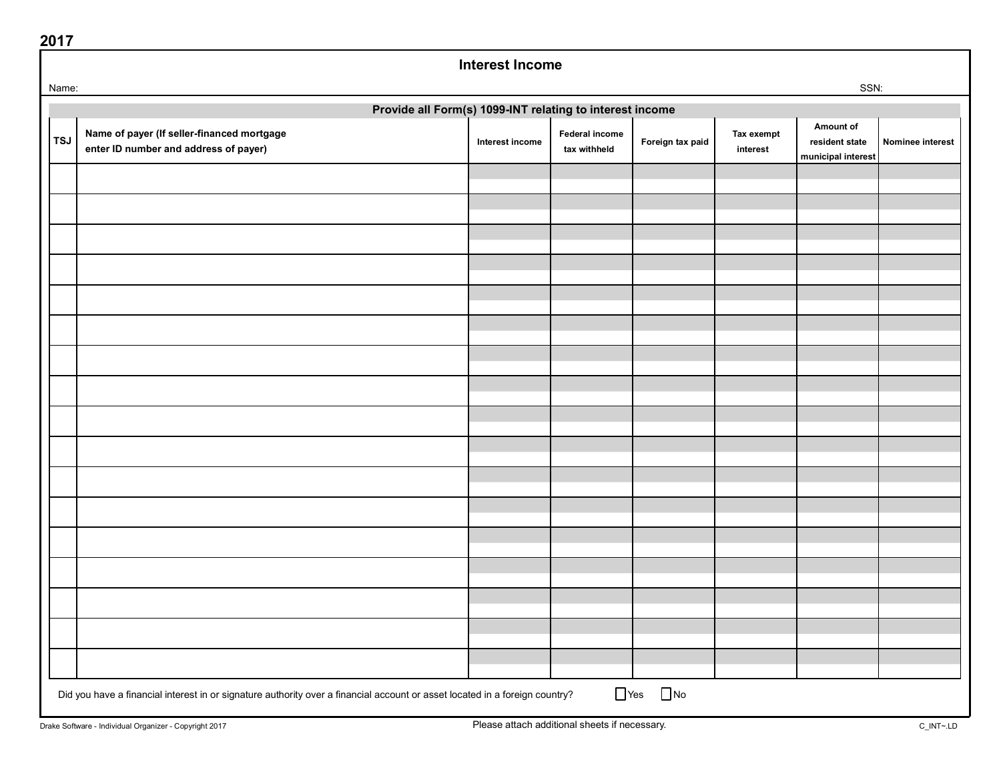|            | Provide all Form(s) 1099-INT relating to interest income                                                                    |                 |                                |                  |                        |                                                   |                  |  |
|------------|-----------------------------------------------------------------------------------------------------------------------------|-----------------|--------------------------------|------------------|------------------------|---------------------------------------------------|------------------|--|
| <b>TSJ</b> | Name of payer (If seller-financed mortgage<br>enter ID number and address of payer)                                         | Interest income | Federal income<br>tax withheld | Foreign tax paid | Tax exempt<br>interest | Amount of<br>resident state<br>municipal interest | Nominee interest |  |
|            |                                                                                                                             |                 |                                |                  |                        |                                                   |                  |  |
|            |                                                                                                                             |                 |                                |                  |                        |                                                   |                  |  |
|            |                                                                                                                             |                 |                                |                  |                        |                                                   |                  |  |
|            |                                                                                                                             |                 |                                |                  |                        |                                                   |                  |  |
|            |                                                                                                                             |                 |                                |                  |                        |                                                   |                  |  |
|            |                                                                                                                             |                 |                                |                  |                        |                                                   |                  |  |
|            |                                                                                                                             |                 |                                |                  |                        |                                                   |                  |  |
|            |                                                                                                                             |                 |                                |                  |                        |                                                   |                  |  |
|            |                                                                                                                             |                 |                                |                  |                        |                                                   |                  |  |
|            |                                                                                                                             |                 |                                |                  |                        |                                                   |                  |  |
|            |                                                                                                                             |                 |                                |                  |                        |                                                   |                  |  |
|            |                                                                                                                             |                 |                                |                  |                        |                                                   |                  |  |
|            |                                                                                                                             |                 |                                |                  |                        |                                                   |                  |  |
|            |                                                                                                                             |                 |                                |                  |                        |                                                   |                  |  |
|            |                                                                                                                             |                 |                                |                  |                        |                                                   |                  |  |
|            |                                                                                                                             |                 |                                |                  |                        |                                                   |                  |  |
|            |                                                                                                                             |                 |                                |                  |                        |                                                   |                  |  |
|            |                                                                                                                             |                 |                                |                  |                        |                                                   |                  |  |
|            |                                                                                                                             |                 |                                | $\Box$ No        |                        |                                                   |                  |  |
|            | Did you have a financial interest in or signature authority over a financial account or asset located in a foreign country? |                 | $\Box$ Yes                     |                  |                        |                                                   |                  |  |

Interest Income

Name: which is a state of the state of the state of the state of the state of the state of the state of the state of the state of the state of the state of the state of the state of the state of the state of the state of t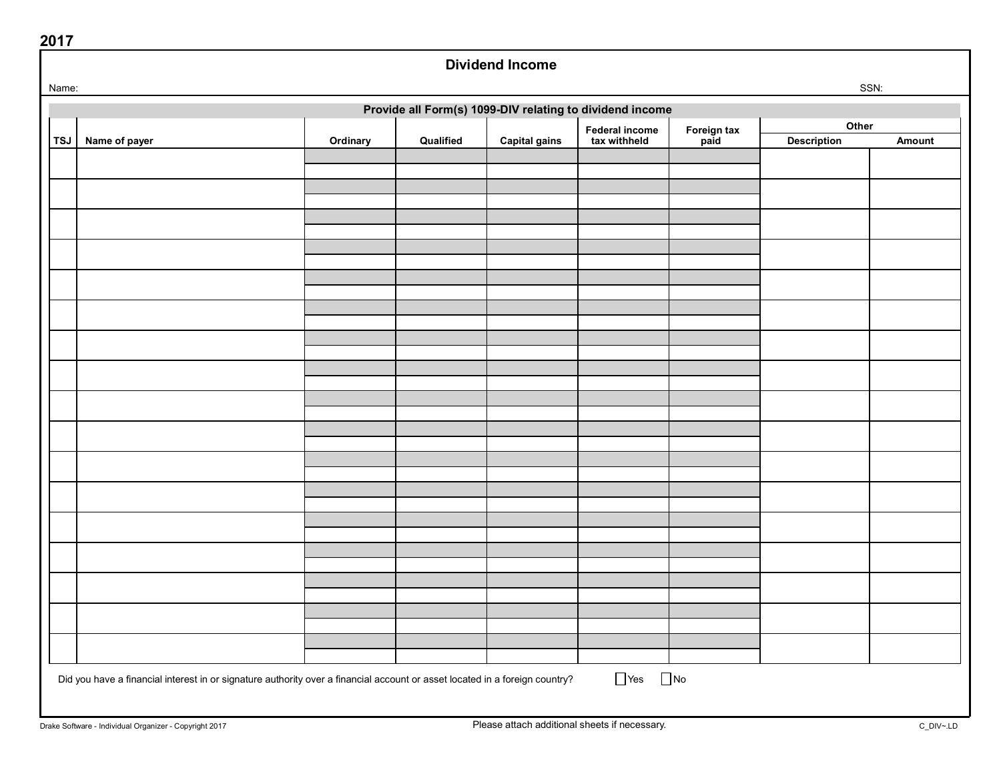| Name: |                                                                                                                             |          |           |                      |                                                          |                     | SSN:               |        |
|-------|-----------------------------------------------------------------------------------------------------------------------------|----------|-----------|----------------------|----------------------------------------------------------|---------------------|--------------------|--------|
|       |                                                                                                                             |          |           |                      | Provide all Form(s) 1099-DIV relating to dividend income |                     |                    |        |
|       |                                                                                                                             |          |           |                      | <b>Federal income</b>                                    |                     | Other              |        |
| TSJ   | Name of payer                                                                                                               | Ordinary | Qualified | <b>Capital gains</b> | tax withheld                                             | Foreign tax<br>paid | <b>Description</b> | Amount |
|       |                                                                                                                             |          |           |                      |                                                          |                     |                    |        |
|       |                                                                                                                             |          |           |                      |                                                          |                     |                    |        |
|       |                                                                                                                             |          |           |                      |                                                          |                     |                    |        |
|       |                                                                                                                             |          |           |                      |                                                          |                     |                    |        |
|       |                                                                                                                             |          |           |                      |                                                          |                     |                    |        |
|       |                                                                                                                             |          |           |                      |                                                          |                     |                    |        |
|       |                                                                                                                             |          |           |                      |                                                          |                     |                    |        |
|       |                                                                                                                             |          |           |                      |                                                          |                     |                    |        |
|       |                                                                                                                             |          |           |                      |                                                          |                     |                    |        |
|       |                                                                                                                             |          |           |                      |                                                          |                     |                    |        |
|       |                                                                                                                             |          |           |                      |                                                          |                     |                    |        |
|       |                                                                                                                             |          |           |                      |                                                          |                     |                    |        |
|       |                                                                                                                             |          |           |                      |                                                          |                     |                    |        |
|       |                                                                                                                             |          |           |                      |                                                          |                     |                    |        |
|       |                                                                                                                             |          |           |                      |                                                          |                     |                    |        |
|       |                                                                                                                             |          |           |                      |                                                          |                     |                    |        |
|       |                                                                                                                             |          |           |                      |                                                          |                     |                    |        |
|       |                                                                                                                             |          |           |                      |                                                          |                     |                    |        |
|       |                                                                                                                             |          |           |                      |                                                          |                     |                    |        |
|       |                                                                                                                             |          |           |                      |                                                          |                     |                    |        |
|       |                                                                                                                             |          |           |                      |                                                          |                     |                    |        |
|       |                                                                                                                             |          |           |                      |                                                          |                     |                    |        |
|       |                                                                                                                             |          |           |                      |                                                          |                     |                    |        |
|       |                                                                                                                             |          |           |                      |                                                          |                     |                    |        |
|       |                                                                                                                             |          |           |                      |                                                          |                     |                    |        |
|       |                                                                                                                             |          |           |                      |                                                          |                     |                    |        |
|       |                                                                                                                             |          |           |                      |                                                          |                     |                    |        |
|       |                                                                                                                             |          |           |                      |                                                          |                     |                    |        |
|       |                                                                                                                             |          |           |                      |                                                          |                     |                    |        |
|       | Did you have a financial interest in or signature authority over a financial account or asset located in a foreign country? |          |           |                      | $\Box$ Yes $\Box$ No                                     |                     |                    |        |

Dividend Income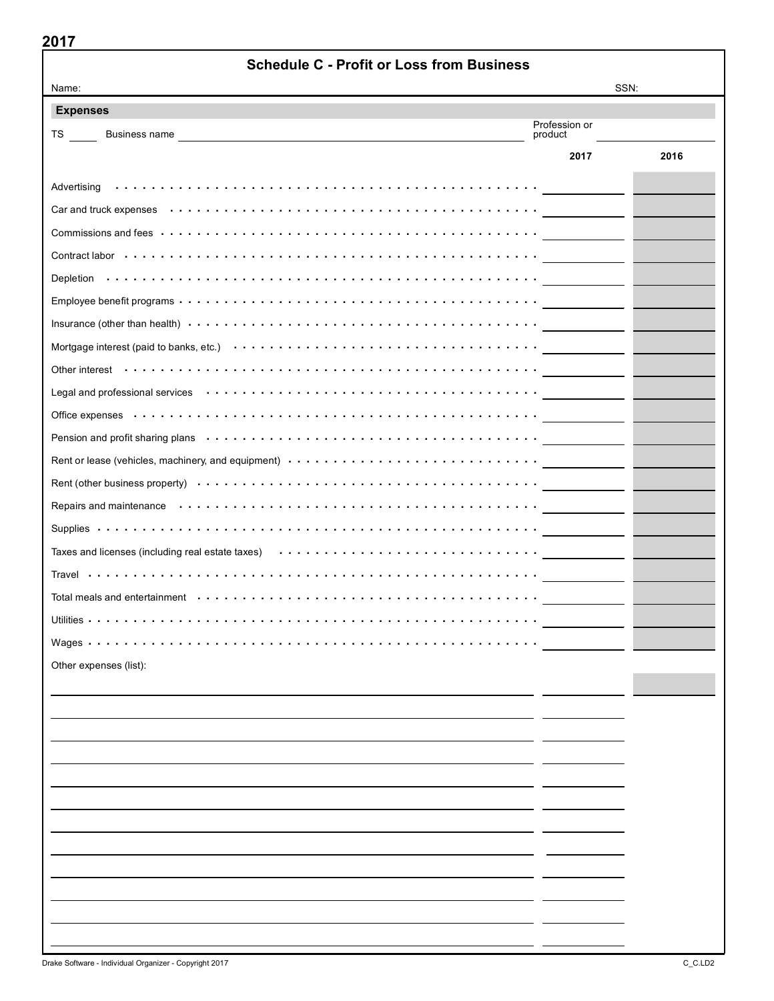| 20 I I<br><b>Schedule C - Profit or Loss from Business</b>                                                                                                                                                                    |                          |      |
|-------------------------------------------------------------------------------------------------------------------------------------------------------------------------------------------------------------------------------|--------------------------|------|
| Name:                                                                                                                                                                                                                         |                          | SSN: |
| <b>Expenses</b>                                                                                                                                                                                                               |                          |      |
| TS and the set<br>Business name                                                                                                                                                                                               | Profession or<br>product |      |
|                                                                                                                                                                                                                               | 2017                     | 2016 |
|                                                                                                                                                                                                                               |                          |      |
|                                                                                                                                                                                                                               |                          |      |
| Commissions and fees $\cdots \cdots \cdots \cdots \cdots \cdots \cdots \cdots \cdots \cdots \cdots \cdots \cdots$                                                                                                             |                          |      |
| Contract labor (a) a contract labor (a) a contract labor (a) a contract labor (a) a contract labor (a) a contract labor (a) $\alpha$                                                                                          |                          |      |
|                                                                                                                                                                                                                               |                          |      |
|                                                                                                                                                                                                                               |                          |      |
|                                                                                                                                                                                                                               |                          |      |
|                                                                                                                                                                                                                               |                          |      |
|                                                                                                                                                                                                                               |                          |      |
|                                                                                                                                                                                                                               |                          |      |
|                                                                                                                                                                                                                               |                          |      |
| Pension and profit sharing plans (all contained all contained and profit sharing plans of the set of the set of the set of the set of the set of the set of the set of the set of the set of the set of the set of the set of |                          |      |
| Rent or lease (vehicles, machinery, and equipment) (and conduct of content or content or lease (vehicles, machinery, and equipment)                                                                                           |                          |      |
|                                                                                                                                                                                                                               |                          |      |
| Repairs and maintenance $\cdots \cdots \cdots \cdots \cdots \cdots \cdots \cdots \cdots \cdots \cdots \cdots$                                                                                                                 |                          |      |
|                                                                                                                                                                                                                               |                          |      |
| Taxes and licenses (including real estate taxes) (and contain the set of the set of the state of the state of                                                                                                                 |                          |      |
|                                                                                                                                                                                                                               |                          |      |
| Total meals and entertainment $\dots \dots \dots \dots \dots \dots \dots \dots \dots \dots \dots \dots \dots \dots \dots \dots$                                                                                               |                          |      |
| Utilities $\cdots$                                                                                                                                                                                                            |                          |      |
| Wages $\ddots$                                                                                                                                                                                                                |                          |      |
| Other expenses (list):                                                                                                                                                                                                        |                          |      |
|                                                                                                                                                                                                                               |                          |      |
|                                                                                                                                                                                                                               |                          |      |
|                                                                                                                                                                                                                               |                          |      |
|                                                                                                                                                                                                                               |                          |      |
|                                                                                                                                                                                                                               |                          |      |
|                                                                                                                                                                                                                               |                          |      |
|                                                                                                                                                                                                                               |                          |      |
|                                                                                                                                                                                                                               |                          |      |
|                                                                                                                                                                                                                               |                          |      |
|                                                                                                                                                                                                                               |                          |      |
|                                                                                                                                                                                                                               |                          |      |
|                                                                                                                                                                                                                               |                          |      |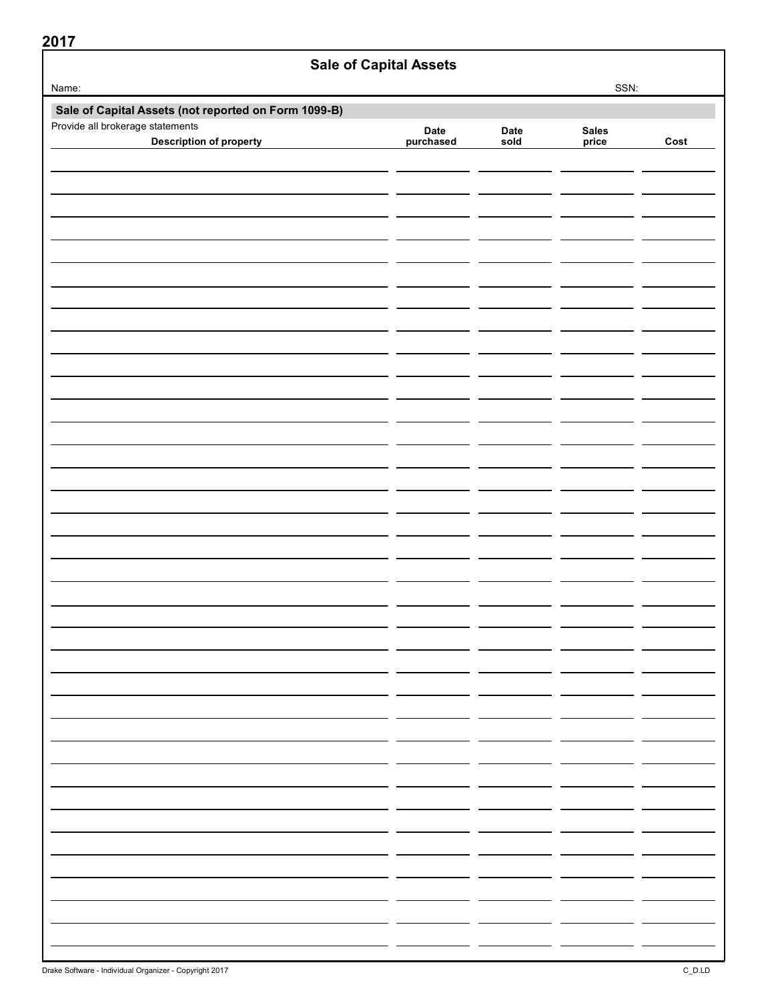| ZV I <i>I</i><br><b>Sale of Capital Assets</b>       |           |      |              |      |
|------------------------------------------------------|-----------|------|--------------|------|
| Name:                                                |           |      | SSN:         |      |
| Sale of Capital Assets (not reported on Form 1099-B) |           |      |              |      |
| Provide all brokerage statements                     | Date      | Date | <b>Sales</b> |      |
| <b>Description of property</b>                       | purchased | sold | price        | Cost |
|                                                      |           |      |              |      |
|                                                      |           |      |              |      |
|                                                      |           |      |              |      |
|                                                      |           |      |              |      |
|                                                      |           |      |              |      |
|                                                      |           |      |              |      |
|                                                      |           |      |              |      |
|                                                      |           |      |              |      |
|                                                      |           |      |              |      |
|                                                      |           |      |              |      |
|                                                      |           |      |              |      |
|                                                      |           |      |              |      |
|                                                      |           |      |              |      |
|                                                      |           |      |              |      |
|                                                      |           |      |              |      |
|                                                      |           |      |              |      |
|                                                      |           |      |              |      |
|                                                      |           |      |              |      |
|                                                      |           |      |              |      |
|                                                      |           |      |              |      |
|                                                      |           |      |              |      |
|                                                      |           |      |              |      |
|                                                      |           |      |              |      |
|                                                      |           |      |              |      |
|                                                      |           |      |              |      |
|                                                      |           |      |              |      |
|                                                      |           |      |              |      |
|                                                      |           |      |              |      |
|                                                      |           |      |              |      |
|                                                      |           |      |              |      |
|                                                      |           |      |              |      |
|                                                      |           |      |              |      |
|                                                      |           |      |              |      |
|                                                      |           |      |              |      |
|                                                      |           |      |              |      |
|                                                      |           |      |              |      |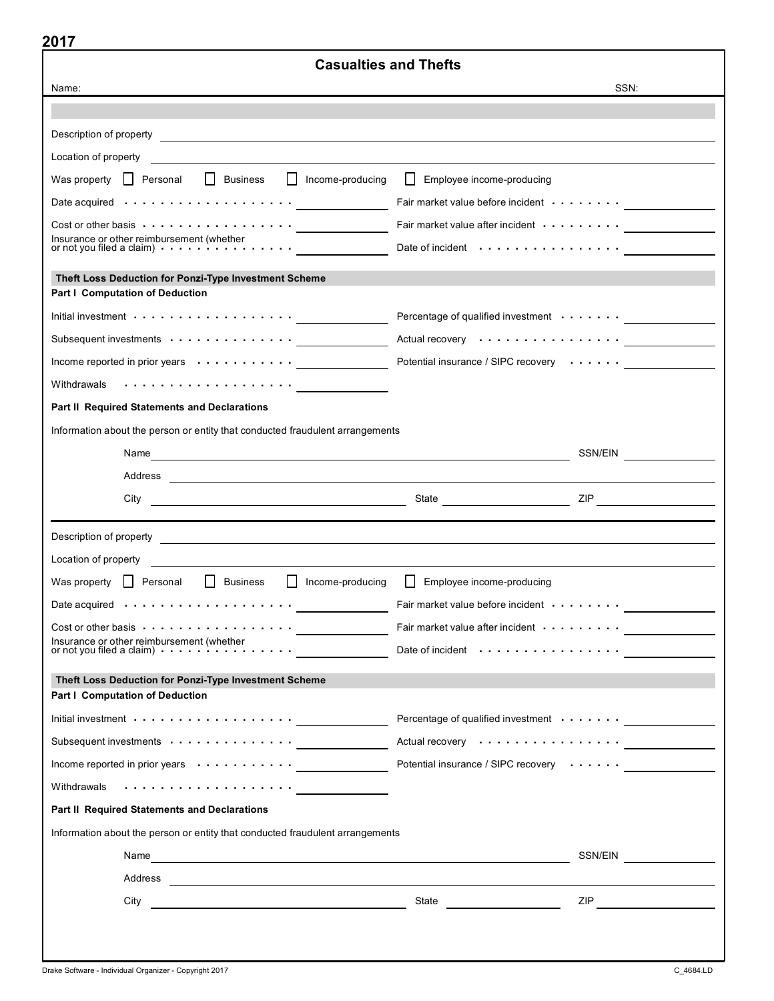| 20 I I<br><b>Casualties and Thefts</b>                                                                                                                                                                                               |                                                                                                                                                                                                                                |                                    |  |  |
|--------------------------------------------------------------------------------------------------------------------------------------------------------------------------------------------------------------------------------------|--------------------------------------------------------------------------------------------------------------------------------------------------------------------------------------------------------------------------------|------------------------------------|--|--|
| Name:                                                                                                                                                                                                                                |                                                                                                                                                                                                                                | SSN:                               |  |  |
|                                                                                                                                                                                                                                      |                                                                                                                                                                                                                                |                                    |  |  |
|                                                                                                                                                                                                                                      |                                                                                                                                                                                                                                |                                    |  |  |
| Location of property                                                                                                                                                                                                                 |                                                                                                                                                                                                                                |                                    |  |  |
| $\Box$<br>Business<br>Income-producing<br>Was property   Personal                                                                                                                                                                    | $\perp$<br>Employee income-producing                                                                                                                                                                                           |                                    |  |  |
| Date acquired (all and all and acquired (b) and acquired (b) and acquired (b) and acquired (b) and acquired (b) and $\overline{a}$                                                                                                   | Fair market value before incident contained and contained a market value before incident contains a material                                                                                                                   |                                    |  |  |
| $Cost$ or other basis $\cdots \cdots \cdots \cdots \cdots$                                                                                                                                                                           | Fair market value after incident $\cdots \cdots$                                                                                                                                                                               |                                    |  |  |
|                                                                                                                                                                                                                                      | Date of incident $\cdots$ ,                                                                                                                                                                                                    |                                    |  |  |
| Theft Loss Deduction for Ponzi-Type Investment Scheme                                                                                                                                                                                |                                                                                                                                                                                                                                |                                    |  |  |
| <b>Part I Computation of Deduction</b>                                                                                                                                                                                               |                                                                                                                                                                                                                                |                                    |  |  |
|                                                                                                                                                                                                                                      | Percentage of qualified investment with the control of the control of the control of the control of the control of the control of the control of the control of the control of the control of the control of the control of th |                                    |  |  |
| Subsequent investments with contact to contact the subsequent investments                                                                                                                                                            | Actual recovery                                                                                                                                                                                                                |                                    |  |  |
| Income reported in prior years $\cdots \cdots \cdots$                                                                                                                                                                                | Potential insurance / SIPC recovery                                                                                                                                                                                            |                                    |  |  |
| Withdrawals will be contained a series of the contact of the contact of the contact of the contact of the conta                                                                                                                      |                                                                                                                                                                                                                                |                                    |  |  |
| <b>Part II Required Statements and Declarations</b>                                                                                                                                                                                  |                                                                                                                                                                                                                                |                                    |  |  |
| Information about the person or entity that conducted fraudulent arrangements                                                                                                                                                        |                                                                                                                                                                                                                                |                                    |  |  |
|                                                                                                                                                                                                                                      |                                                                                                                                                                                                                                | SSN/EIN <b>SANTA SANTA SERVICE</b> |  |  |
|                                                                                                                                                                                                                                      |                                                                                                                                                                                                                                |                                    |  |  |
| City                                                                                                                                                                                                                                 | State <b>State State State</b>                                                                                                                                                                                                 |                                    |  |  |
|                                                                                                                                                                                                                                      |                                                                                                                                                                                                                                |                                    |  |  |
| Description of property <b>contained a material contained a material contained a material contact of the contact of the contact of the contact of the contact of the contact of the contact of the contact of the contact of the</b> |                                                                                                                                                                                                                                |                                    |  |  |
| Location of property                                                                                                                                                                                                                 |                                                                                                                                                                                                                                |                                    |  |  |
| Was property   Personal<br>$\perp$<br><b>Business</b><br>$\perp$<br>Income-producing                                                                                                                                                 | $\perp$<br>Employee income-producing                                                                                                                                                                                           |                                    |  |  |
| Date acquired $\cdots$ , , , , ,                                                                                                                                                                                                     | Fair market value before incident                                                                                                                                                                                              |                                    |  |  |
| Cost or other basis $\cdots \cdots \cdots \cdots \cdots$                                                                                                                                                                             |                                                                                                                                                                                                                                |                                    |  |  |
|                                                                                                                                                                                                                                      | Date of incident                                                                                                                                                                                                               |                                    |  |  |
| Theft Loss Deduction for Ponzi-Type Investment Scheme<br><b>Part I Computation of Deduction</b>                                                                                                                                      |                                                                                                                                                                                                                                |                                    |  |  |
|                                                                                                                                                                                                                                      | Percentage of qualified investment _______________                                                                                                                                                                             |                                    |  |  |
| Subsequent investments with the state of the state of the state of the state of the state of the state of the                                                                                                                        | Actual recovery or contact to the contact of the contact of the contact of the contact of the contact of the contact of the contact of the contact of the contact of the contact of the contact of the contact of the contact  |                                    |  |  |
|                                                                                                                                                                                                                                      | Potential insurance / SIPC recovery with the substantial insurance / SIPC recovery                                                                                                                                             |                                    |  |  |
|                                                                                                                                                                                                                                      |                                                                                                                                                                                                                                |                                    |  |  |
| Part II Required Statements and Declarations                                                                                                                                                                                         |                                                                                                                                                                                                                                |                                    |  |  |
| Information about the person or entity that conducted fraudulent arrangements                                                                                                                                                        |                                                                                                                                                                                                                                |                                    |  |  |
|                                                                                                                                                                                                                                      |                                                                                                                                                                                                                                |                                    |  |  |
|                                                                                                                                                                                                                                      |                                                                                                                                                                                                                                |                                    |  |  |
|                                                                                                                                                                                                                                      |                                                                                                                                                                                                                                |                                    |  |  |
|                                                                                                                                                                                                                                      |                                                                                                                                                                                                                                |                                    |  |  |
|                                                                                                                                                                                                                                      |                                                                                                                                                                                                                                |                                    |  |  |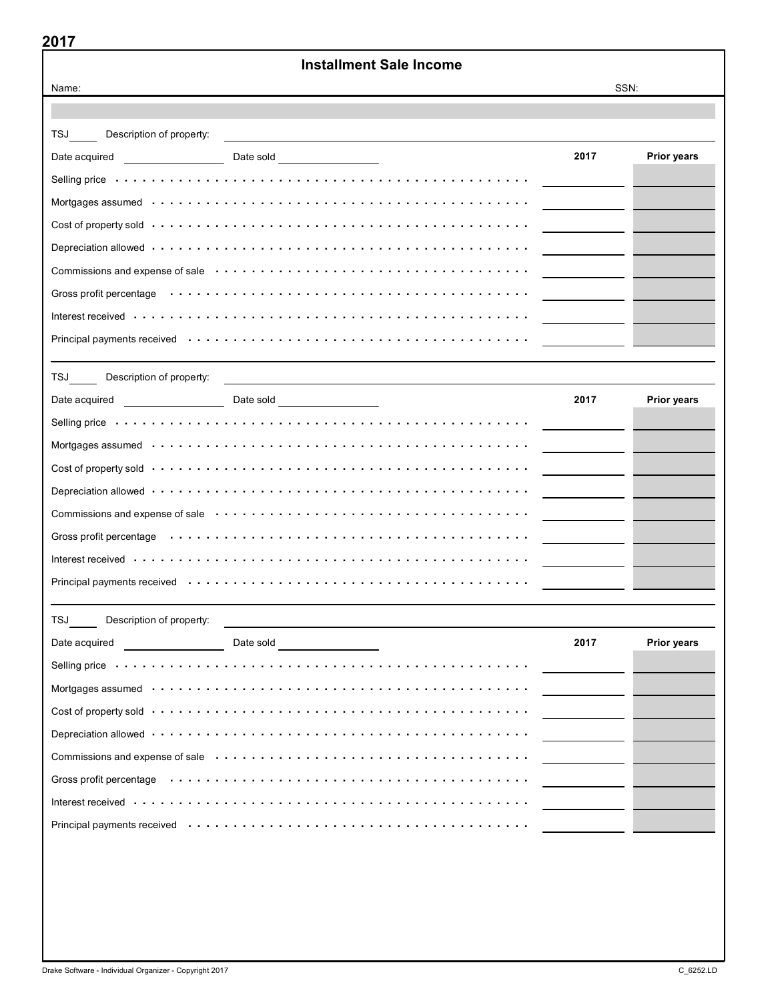|                                                                                                                                                                                                                                     | <b>Installment Sale Income</b>                                                                                                                                                                                                 |                                                                                                                                                                                                                                                                                                                                                                                                                                                        |             |  |  |
|-------------------------------------------------------------------------------------------------------------------------------------------------------------------------------------------------------------------------------------|--------------------------------------------------------------------------------------------------------------------------------------------------------------------------------------------------------------------------------|--------------------------------------------------------------------------------------------------------------------------------------------------------------------------------------------------------------------------------------------------------------------------------------------------------------------------------------------------------------------------------------------------------------------------------------------------------|-------------|--|--|
| SSN:<br>Name:                                                                                                                                                                                                                       |                                                                                                                                                                                                                                |                                                                                                                                                                                                                                                                                                                                                                                                                                                        |             |  |  |
|                                                                                                                                                                                                                                     |                                                                                                                                                                                                                                |                                                                                                                                                                                                                                                                                                                                                                                                                                                        |             |  |  |
| Description of property:                                                                                                                                                                                                            |                                                                                                                                                                                                                                |                                                                                                                                                                                                                                                                                                                                                                                                                                                        |             |  |  |
| Date acquired                                                                                                                                                                                                                       |                                                                                                                                                                                                                                | 2017                                                                                                                                                                                                                                                                                                                                                                                                                                                   | Prior years |  |  |
|                                                                                                                                                                                                                                     | Selling price <i>interpretational</i> and the self-                                                                                                                                                                            |                                                                                                                                                                                                                                                                                                                                                                                                                                                        |             |  |  |
|                                                                                                                                                                                                                                     |                                                                                                                                                                                                                                |                                                                                                                                                                                                                                                                                                                                                                                                                                                        |             |  |  |
|                                                                                                                                                                                                                                     | Cost of property sold with a series of the series of the series of the series of property sold                                                                                                                                 |                                                                                                                                                                                                                                                                                                                                                                                                                                                        |             |  |  |
|                                                                                                                                                                                                                                     |                                                                                                                                                                                                                                |                                                                                                                                                                                                                                                                                                                                                                                                                                                        |             |  |  |
|                                                                                                                                                                                                                                     |                                                                                                                                                                                                                                | $\label{eq:2.1} \frac{1}{\sqrt{2}}\left(\frac{1}{\sqrt{2}}\right)^{2} \left(\frac{1}{\sqrt{2}}\right)^{2} \left(\frac{1}{\sqrt{2}}\right)^{2} \left(\frac{1}{\sqrt{2}}\right)^{2} \left(\frac{1}{\sqrt{2}}\right)^{2} \left(\frac{1}{\sqrt{2}}\right)^{2} \left(\frac{1}{\sqrt{2}}\right)^{2} \left(\frac{1}{\sqrt{2}}\right)^{2} \left(\frac{1}{\sqrt{2}}\right)^{2} \left(\frac{1}{\sqrt{2}}\right)^{2} \left(\frac{1}{\sqrt{2}}\right)^{2} \left(\$ |             |  |  |
|                                                                                                                                                                                                                                     |                                                                                                                                                                                                                                |                                                                                                                                                                                                                                                                                                                                                                                                                                                        |             |  |  |
|                                                                                                                                                                                                                                     |                                                                                                                                                                                                                                |                                                                                                                                                                                                                                                                                                                                                                                                                                                        |             |  |  |
|                                                                                                                                                                                                                                     |                                                                                                                                                                                                                                |                                                                                                                                                                                                                                                                                                                                                                                                                                                        |             |  |  |
|                                                                                                                                                                                                                                     |                                                                                                                                                                                                                                |                                                                                                                                                                                                                                                                                                                                                                                                                                                        |             |  |  |
| Description of property:                                                                                                                                                                                                            |                                                                                                                                                                                                                                |                                                                                                                                                                                                                                                                                                                                                                                                                                                        |             |  |  |
| Date acquired                                                                                                                                                                                                                       | Date sold <b>Example 2014</b>                                                                                                                                                                                                  | 2017                                                                                                                                                                                                                                                                                                                                                                                                                                                   | Prior years |  |  |
|                                                                                                                                                                                                                                     | Selling price <i>interpretational</i> and the self-                                                                                                                                                                            |                                                                                                                                                                                                                                                                                                                                                                                                                                                        |             |  |  |
|                                                                                                                                                                                                                                     |                                                                                                                                                                                                                                |                                                                                                                                                                                                                                                                                                                                                                                                                                                        |             |  |  |
|                                                                                                                                                                                                                                     |                                                                                                                                                                                                                                |                                                                                                                                                                                                                                                                                                                                                                                                                                                        |             |  |  |
|                                                                                                                                                                                                                                     |                                                                                                                                                                                                                                |                                                                                                                                                                                                                                                                                                                                                                                                                                                        |             |  |  |
|                                                                                                                                                                                                                                     |                                                                                                                                                                                                                                |                                                                                                                                                                                                                                                                                                                                                                                                                                                        |             |  |  |
|                                                                                                                                                                                                                                     |                                                                                                                                                                                                                                |                                                                                                                                                                                                                                                                                                                                                                                                                                                        |             |  |  |
|                                                                                                                                                                                                                                     |                                                                                                                                                                                                                                |                                                                                                                                                                                                                                                                                                                                                                                                                                                        |             |  |  |
|                                                                                                                                                                                                                                     | Principal payments received enterprise reserves in the series of the contract of the principal payments received                                                                                                               |                                                                                                                                                                                                                                                                                                                                                                                                                                                        |             |  |  |
| Description of property:<br>TSJ TS                                                                                                                                                                                                  |                                                                                                                                                                                                                                |                                                                                                                                                                                                                                                                                                                                                                                                                                                        |             |  |  |
| Date acquired <b>Date</b> and Date and Date and Date and Date and Date and Date and Date and Date and Date and Date and Date and Date and Date and Date and Date and Date and Date and Date and Date and Date and Date and Date and | <u>and the contract of the contract of the contract of the contract of the contract of the contract of the contract of</u><br>Date sold ___________________                                                                    | 2017                                                                                                                                                                                                                                                                                                                                                                                                                                                   | Prior years |  |  |
|                                                                                                                                                                                                                                     |                                                                                                                                                                                                                                |                                                                                                                                                                                                                                                                                                                                                                                                                                                        |             |  |  |
|                                                                                                                                                                                                                                     |                                                                                                                                                                                                                                | and the company of the company                                                                                                                                                                                                                                                                                                                                                                                                                         |             |  |  |
|                                                                                                                                                                                                                                     |                                                                                                                                                                                                                                | <u> 1999 - Jan Jawa</u>                                                                                                                                                                                                                                                                                                                                                                                                                                |             |  |  |
|                                                                                                                                                                                                                                     |                                                                                                                                                                                                                                | <u> 1999 - Alban III, prima postala prima prima prima prima prima prima prima prima prima prima prima prima prim</u>                                                                                                                                                                                                                                                                                                                                   |             |  |  |
|                                                                                                                                                                                                                                     | Commissions and expense of sale enterpretation of the state of the state of state and expense of sale enterpretation of the state of the state of the state of the state of the state of the state of the state of the state o |                                                                                                                                                                                                                                                                                                                                                                                                                                                        |             |  |  |
|                                                                                                                                                                                                                                     | Gross profit percentage (also contained also contained also contained also contained a series of the series of                                                                                                                 | <u> 1999 - Jan Jawa Barat, professor p</u>                                                                                                                                                                                                                                                                                                                                                                                                             |             |  |  |
|                                                                                                                                                                                                                                     |                                                                                                                                                                                                                                |                                                                                                                                                                                                                                                                                                                                                                                                                                                        |             |  |  |
|                                                                                                                                                                                                                                     |                                                                                                                                                                                                                                |                                                                                                                                                                                                                                                                                                                                                                                                                                                        |             |  |  |
|                                                                                                                                                                                                                                     |                                                                                                                                                                                                                                |                                                                                                                                                                                                                                                                                                                                                                                                                                                        |             |  |  |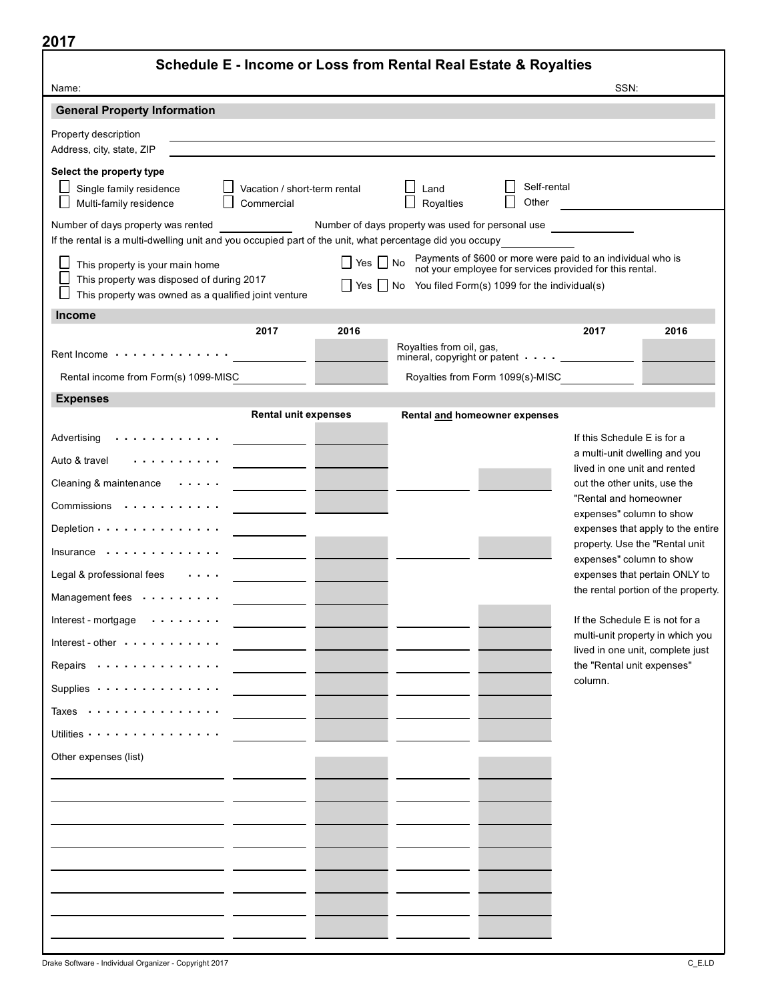| ×<br>۰. |  |
|---------|--|
|---------|--|

| , , ,<br>Schedule E - Income or Loss from Rental Real Estate & Royalties                                                                                                                                                                                                                                                                                                               |                      |                                                                                                                  |                                                                                                                         |                                                                                                                                                                                                                       |                                                                                                                                                                                                                                                                                        |
|----------------------------------------------------------------------------------------------------------------------------------------------------------------------------------------------------------------------------------------------------------------------------------------------------------------------------------------------------------------------------------------|----------------------|------------------------------------------------------------------------------------------------------------------|-------------------------------------------------------------------------------------------------------------------------|-----------------------------------------------------------------------------------------------------------------------------------------------------------------------------------------------------------------------|----------------------------------------------------------------------------------------------------------------------------------------------------------------------------------------------------------------------------------------------------------------------------------------|
| Name:                                                                                                                                                                                                                                                                                                                                                                                  |                      |                                                                                                                  |                                                                                                                         | SSN:                                                                                                                                                                                                                  |                                                                                                                                                                                                                                                                                        |
| <b>General Property Information</b>                                                                                                                                                                                                                                                                                                                                                    |                      |                                                                                                                  |                                                                                                                         |                                                                                                                                                                                                                       |                                                                                                                                                                                                                                                                                        |
| Property description<br>Address, city, state, ZIP                                                                                                                                                                                                                                                                                                                                      |                      | and the control of the control of the control of the control of the control of the control of the control of the |                                                                                                                         |                                                                                                                                                                                                                       |                                                                                                                                                                                                                                                                                        |
| Select the property type<br>Single family residence<br>$\Box$ Vacation / short-term rental<br>Multi-family residence<br>Commercial                                                                                                                                                                                                                                                     |                      | $\Box$ Land<br>$\Box$ Royalties                                                                                  | Self-rental<br>Other                                                                                                    | <u>and the community of the community</u>                                                                                                                                                                             |                                                                                                                                                                                                                                                                                        |
| Number of days property was rented<br>If the rental is a multi-dwelling unit and you occupied part of the unit, what percentage did you occupy                                                                                                                                                                                                                                         |                      | Number of days property was used for personal use                                                                |                                                                                                                         |                                                                                                                                                                                                                       |                                                                                                                                                                                                                                                                                        |
| $\mathcal{L}$<br>This property is your main home<br>This property was disposed of during 2017<br>This property was owned as a qualified joint venture                                                                                                                                                                                                                                  | $\Box$ Yes $\Box$ No | Yes $\Box$ No You filed Form(s) 1099 for the individual(s)                                                       | Payments of \$600 or more were paid to an individual who is<br>not your employee for services provided for this rental. |                                                                                                                                                                                                                       |                                                                                                                                                                                                                                                                                        |
| <b>Income</b>                                                                                                                                                                                                                                                                                                                                                                          |                      |                                                                                                                  |                                                                                                                         |                                                                                                                                                                                                                       |                                                                                                                                                                                                                                                                                        |
| 2017                                                                                                                                                                                                                                                                                                                                                                                   | 2016                 | Royalties from oil, gas,                                                                                         |                                                                                                                         | 2017                                                                                                                                                                                                                  | 2016                                                                                                                                                                                                                                                                                   |
| Rent Income                                                                                                                                                                                                                                                                                                                                                                            |                      | mineral, copyright or patent $\cdots$ ____________________                                                       |                                                                                                                         |                                                                                                                                                                                                                       |                                                                                                                                                                                                                                                                                        |
| Rental income from Form(s) 1099-MISC                                                                                                                                                                                                                                                                                                                                                   |                      | Royalties from Form 1099(s)-MISC                                                                                 |                                                                                                                         |                                                                                                                                                                                                                       |                                                                                                                                                                                                                                                                                        |
| <b>Expenses</b>                                                                                                                                                                                                                                                                                                                                                                        |                      |                                                                                                                  |                                                                                                                         |                                                                                                                                                                                                                       |                                                                                                                                                                                                                                                                                        |
| <b>Rental unit expenses</b><br>Advertising<br>Auto & travel<br>Cleaning & maintenance $\cdots$<br>Commissions<br>Depletion · · · · · · · · · · · · · · ·<br>$Insurface \dots \dots \dots \dots$<br>Legal & professional fees<br>Management fees<br>Interest - mortgage<br>Interest - other $\cdots$<br>Repairs -<br>Supplies $\cdots$ ,<br>Taxes<br>Utilities<br>Other expenses (list) |                      | Rental and homeowner expenses                                                                                    |                                                                                                                         | If this Schedule E is for a<br>lived in one unit and rented<br>out the other units, use the<br>"Rental and homeowner<br>expenses" column to show<br>expenses" column to show<br>the "Rental unit expenses"<br>column. | a multi-unit dwelling and you<br>expenses that apply to the entire<br>property. Use the "Rental unit<br>expenses that pertain ONLY to<br>the rental portion of the property.<br>If the Schedule E is not for a<br>multi-unit property in which you<br>lived in one unit, complete just |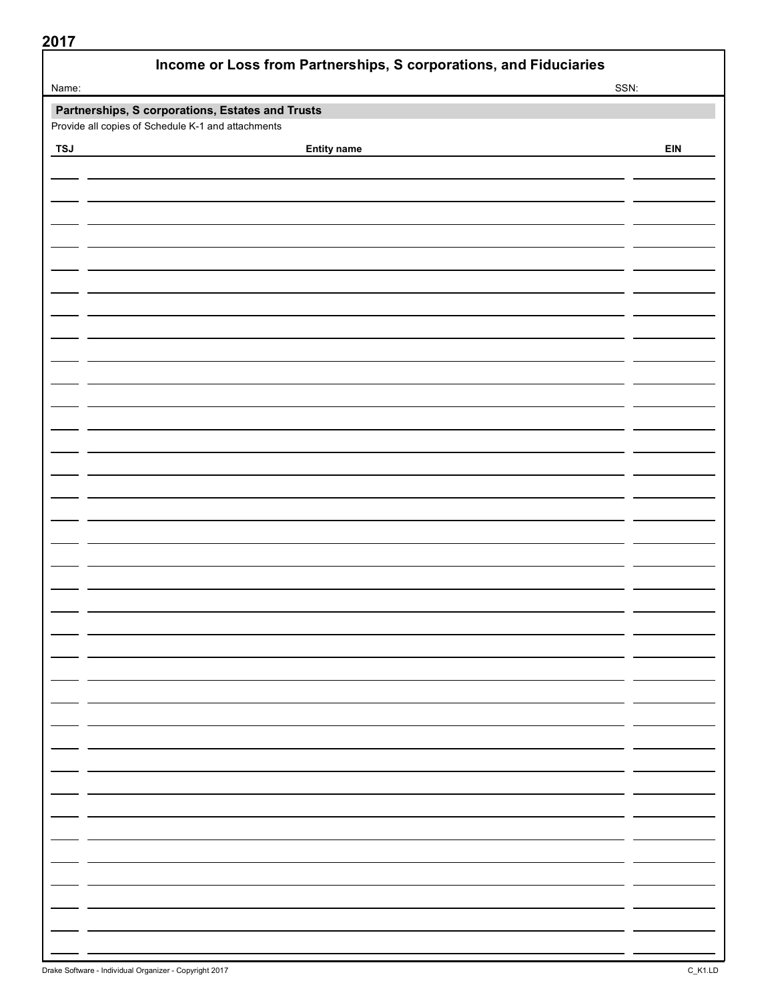| Income or Loss from Partnerships, S corporations, and Fiduciaries |                                                  |      |  |  |
|-------------------------------------------------------------------|--------------------------------------------------|------|--|--|
| Name:                                                             |                                                  | SSN: |  |  |
|                                                                   | Partnerships, S corporations, Estates and Trusts |      |  |  |
| Provide all copies of Schedule K-1 and attachments                |                                                  |      |  |  |
| <b>TSJ</b>                                                        | <b>Entity name</b>                               | EIN  |  |  |
|                                                                   |                                                  |      |  |  |
|                                                                   |                                                  |      |  |  |
|                                                                   |                                                  |      |  |  |
|                                                                   |                                                  |      |  |  |
|                                                                   |                                                  |      |  |  |
|                                                                   |                                                  |      |  |  |
|                                                                   |                                                  |      |  |  |
|                                                                   |                                                  |      |  |  |
|                                                                   |                                                  |      |  |  |
|                                                                   |                                                  |      |  |  |
|                                                                   |                                                  |      |  |  |
|                                                                   |                                                  |      |  |  |
|                                                                   |                                                  |      |  |  |
|                                                                   |                                                  |      |  |  |
|                                                                   |                                                  |      |  |  |
|                                                                   |                                                  |      |  |  |
|                                                                   |                                                  |      |  |  |
|                                                                   |                                                  |      |  |  |
|                                                                   |                                                  |      |  |  |
|                                                                   |                                                  |      |  |  |
|                                                                   |                                                  |      |  |  |
|                                                                   |                                                  |      |  |  |
|                                                                   |                                                  |      |  |  |
|                                                                   |                                                  |      |  |  |
|                                                                   |                                                  |      |  |  |
|                                                                   |                                                  |      |  |  |
|                                                                   |                                                  |      |  |  |
|                                                                   |                                                  |      |  |  |
|                                                                   |                                                  |      |  |  |
|                                                                   |                                                  |      |  |  |
|                                                                   |                                                  |      |  |  |
|                                                                   |                                                  |      |  |  |
|                                                                   |                                                  |      |  |  |
|                                                                   |                                                  |      |  |  |
|                                                                   |                                                  |      |  |  |
|                                                                   |                                                  |      |  |  |
|                                                                   |                                                  |      |  |  |
|                                                                   |                                                  |      |  |  |
|                                                                   |                                                  |      |  |  |
|                                                                   |                                                  |      |  |  |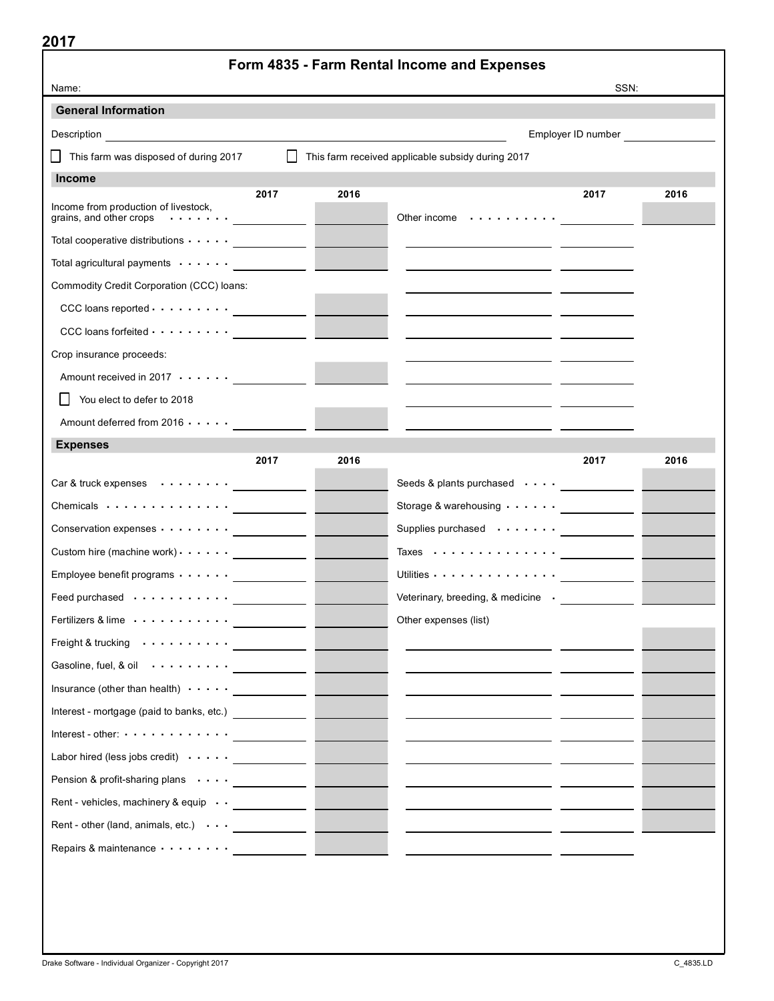|                                                                                                                                                                                                                               |                                   | Form 4835 - Farm Rental Income and Expenses       |                    |      |
|-------------------------------------------------------------------------------------------------------------------------------------------------------------------------------------------------------------------------------|-----------------------------------|---------------------------------------------------|--------------------|------|
| Name:                                                                                                                                                                                                                         |                                   |                                                   | SSN:               |      |
| <b>General Information</b>                                                                                                                                                                                                    |                                   |                                                   |                    |      |
| Description<br><u> 1989 - Johann John Stein, markin fizzar a shekara 1980 - An an tsara 1980 - An an tsara 1980 - An an tsara 19</u>                                                                                          |                                   |                                                   | Employer ID number |      |
| This farm was disposed of during 2017                                                                                                                                                                                         | $\Box$                            | This farm received applicable subsidy during 2017 |                    |      |
| <b>Income</b>                                                                                                                                                                                                                 |                                   |                                                   |                    |      |
| Income from production of livestock,<br>grains, and other crops $\cdots \cdots$                                                                                                                                               | 2017<br>2016                      | Other income $\dots \dots \dots$                  | 2017               | 2016 |
| Total cooperative distributions $\cdots$ .                                                                                                                                                                                    |                                   |                                                   |                    |      |
| Total agricultural payments (all contracts)                                                                                                                                                                                   |                                   |                                                   |                    |      |
| Commodity Credit Corporation (CCC) loans:                                                                                                                                                                                     |                                   |                                                   |                    |      |
| $CCC$ loans reported $\cdots \cdots \cdots$                                                                                                                                                                                   |                                   |                                                   |                    |      |
| $CCC$ loans forfeited $\cdots \cdots \cdots$                                                                                                                                                                                  |                                   |                                                   |                    |      |
| Crop insurance proceeds:                                                                                                                                                                                                      |                                   |                                                   |                    |      |
| Amount received in $2017 \cdot \cdot \cdot \cdot$                                                                                                                                                                             |                                   |                                                   |                    |      |
| You elect to defer to 2018                                                                                                                                                                                                    |                                   |                                                   |                    |      |
| Amount deferred from $2016 \cdot \cdot \cdot \cdot$                                                                                                                                                                           |                                   |                                                   |                    |      |
| <b>Expenses</b>                                                                                                                                                                                                               |                                   |                                                   |                    |      |
| 2017                                                                                                                                                                                                                          | 2016                              |                                                   | 2017               | 2016 |
| $Car  & true k$ expenses $\cdots \cdots$                                                                                                                                                                                      |                                   | Seeds & plants purchased $\cdots$ $\cdots$        |                    |      |
| Chemicals                                                                                                                                                                                                                     |                                   | Storage & warehousing $\cdots \cdots$             |                    |      |
| Conservation expenses                                                                                                                                                                                                         | <b>Contract Contract Contract</b> | Supplies purchased $\cdots \cdots$                |                    |      |
| Custom hire (machine work) $\cdots$ $\cdots$ _____________                                                                                                                                                                    |                                   | Taxes                                             |                    |      |
| Employee benefit programs                                                                                                                                                                                                     |                                   | Utilities                                         |                    |      |
| Feed purchased                                                                                                                                                                                                                |                                   | Veterinary, breeding, & medicine                  |                    |      |
| Fertilizers & lime                                                                                                                                                                                                            |                                   | Other expenses (list)                             |                    |      |
| Freight & trucking                                                                                                                                                                                                            |                                   |                                                   |                    |      |
| Gasoline, fuel, & oil $\cdots \cdots \cdots$                                                                                                                                                                                  |                                   |                                                   |                    |      |
| Insurance (other than health) $\cdots$ $\cdots$                                                                                                                                                                               |                                   |                                                   |                    |      |
| Interest - mortgage (paid to banks, etc.) _____________                                                                                                                                                                       |                                   |                                                   |                    |      |
| Interest - other: $\dots \dots \dots \dots$                                                                                                                                                                                   |                                   |                                                   |                    |      |
| Labor hired (less jobs credit) $\cdots$ $\cdots$                                                                                                                                                                              |                                   |                                                   |                    |      |
| Pension & profit-sharing plans <u>_____________</u>                                                                                                                                                                           |                                   |                                                   |                    |      |
| Rent - vehicles, machinery & equip _____________                                                                                                                                                                              |                                   |                                                   |                    |      |
| Rent - other (land, animals, etc.) $\cdots$ _____________                                                                                                                                                                     |                                   |                                                   |                    |      |
| Repairs & maintenance with the control of the control of the control of the control of the control of the control of the control of the control of the control of the control of the control of the control of the control of |                                   |                                                   |                    |      |
|                                                                                                                                                                                                                               |                                   |                                                   |                    |      |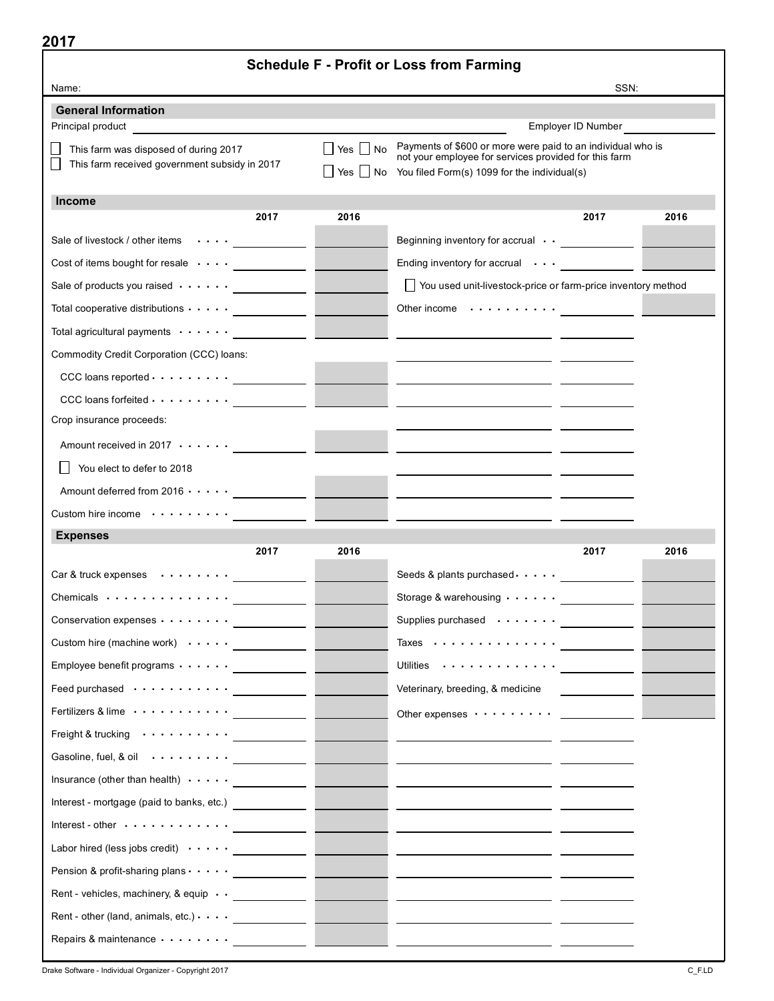|                                                                                                   | <b>Schedule F - Profit or Loss from Farming</b> |                                                                                                      |                           |      |
|---------------------------------------------------------------------------------------------------|-------------------------------------------------|------------------------------------------------------------------------------------------------------|---------------------------|------|
| Name:                                                                                             |                                                 |                                                                                                      | SSN:                      |      |
| <b>General Information</b><br>Principal product                                                   |                                                 |                                                                                                      | <b>Employer ID Number</b> |      |
|                                                                                                   | Yes   No                                        | Payments of \$600 or more were paid to an individual who is                                          |                           |      |
| This farm was disposed of during 2017<br>This farm received government subsidy in 2017            |                                                 | not your employee for services provided for this farm                                                |                           |      |
|                                                                                                   | Yes                                             | No You filed Form(s) 1099 for the individual(s)                                                      |                           |      |
| <b>Income</b><br>2017                                                                             | 2016                                            |                                                                                                      | 2017                      | 2016 |
|                                                                                                   |                                                 |                                                                                                      |                           |      |
| Sale of livestock / other items $\cdots$ ____________<br>Cost of items bought for resale $\cdots$ |                                                 | Beginning inventory for accrual $\cdot \cdot$ _____________<br>Ending inventory for accrual $\cdots$ |                           |      |
| Sale of products you raised $\cdots$ $\qquad \qquad$                                              |                                                 | You used unit-livestock-price or farm-price inventory method                                         |                           |      |
| Total cooperative distributions $\cdots$ .                                                        |                                                 | Other income $\cdots \cdots \cdots$                                                                  |                           |      |
| Total agricultural payments $\cdots \cdots$                                                       |                                                 |                                                                                                      |                           |      |
| Commodity Credit Corporation (CCC) loans:                                                         |                                                 |                                                                                                      |                           |      |
| $CCC$ loans reported $\cdots \cdots \cdots$                                                       |                                                 |                                                                                                      |                           |      |
| $CCC$ loans forfeited $\cdots \cdots \cdots$                                                      |                                                 |                                                                                                      |                           |      |
| Crop insurance proceeds:                                                                          |                                                 |                                                                                                      |                           |      |
| Amount received in 2017 $\cdots$                                                                  |                                                 |                                                                                                      |                           |      |
| You elect to defer to 2018                                                                        |                                                 |                                                                                                      |                           |      |
| Amount deferred from $2016 \cdot \cdot \cdot \cdot$                                               |                                                 |                                                                                                      |                           |      |
|                                                                                                   |                                                 |                                                                                                      |                           |      |
| Custom hire income<br>and the state of the state of<br><b>Expenses</b>                            |                                                 |                                                                                                      |                           |      |
| 2017                                                                                              | 2016                                            |                                                                                                      | 2017                      | 2016 |
| Car & truck expenses $\cdots$ ,                                                                   |                                                 | Seeds & plants purchased                                                                             |                           |      |
| Chemicals                                                                                         |                                                 | Storage & warehousing $\cdots$                                                                       |                           |      |
| Conservation expenses <u>__________</u> _                                                         |                                                 | Supplies purchased <u>__________</u> _                                                               |                           |      |
| Custom hire (machine work) $\cdots$ $\cdots$                                                      |                                                 | Taxes $\cdots \cdots \cdots \cdots$                                                                  |                           |      |
| Employee benefit programs <u>___________</u>                                                      |                                                 | Utilities $\cdots \cdots \cdots \cdots$                                                              |                           |      |
| Feed purchased <u>__________</u>                                                                  |                                                 | Veterinary, breeding, & medicine                                                                     |                           |      |
| Fertilizers & lime $\cdots \cdots \cdots$                                                         |                                                 | Other expenses $\cdots \cdots \cdots$                                                                |                           |      |
| Freight & trucking $\cdots \cdots \cdots$                                                         |                                                 |                                                                                                      |                           |      |
| Gasoline, fuel, & oil $\cdots \cdots$                                                             |                                                 |                                                                                                      |                           |      |
| Insurance (other than health) $\cdots$                                                            |                                                 |                                                                                                      |                           |      |
| Interest - mortgage (paid to banks, etc.) ______________                                          |                                                 |                                                                                                      |                           |      |
| Interest - other $\dots \dots \dots \dots$                                                        |                                                 |                                                                                                      |                           |      |
| Labor hired (less jobs credit) $\cdots$ $\cdots$                                                  |                                                 |                                                                                                      |                           |      |
| Pension & profit-sharing plans ______________                                                     |                                                 |                                                                                                      |                           |      |
| Rent - vehicles, machinery, & equip · · _____________                                             |                                                 |                                                                                                      |                           |      |
| Rent - other (land, animals, etc.) $\cdots$ _____________                                         |                                                 |                                                                                                      |                           |      |
| Repairs & maintenance <u>____________</u>                                                         |                                                 |                                                                                                      |                           |      |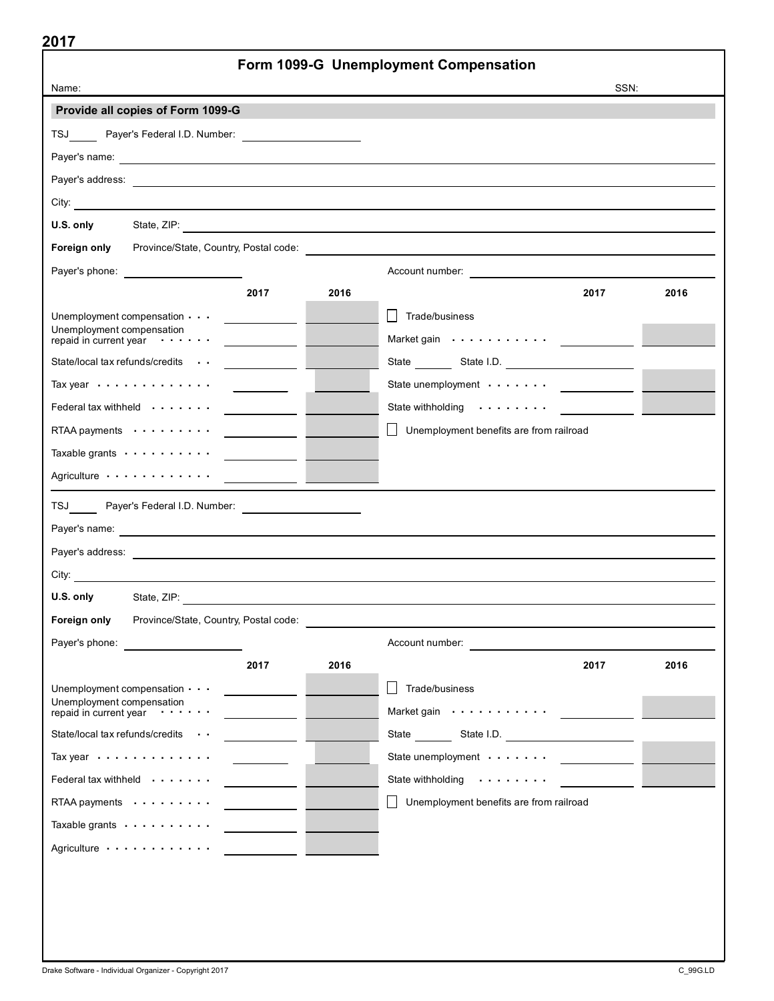|                                                                |                             |      | Form 1099-G Unemployment Compensation                                                                          |                                                                                                                                                                                                                                      |      |
|----------------------------------------------------------------|-----------------------------|------|----------------------------------------------------------------------------------------------------------------|--------------------------------------------------------------------------------------------------------------------------------------------------------------------------------------------------------------------------------------|------|
| Name:                                                          |                             |      |                                                                                                                | SSN:                                                                                                                                                                                                                                 |      |
| Provide all copies of Form 1099-G                              |                             |      |                                                                                                                |                                                                                                                                                                                                                                      |      |
| TSJ Payer's Federal I.D. Number: _________________________     |                             |      |                                                                                                                |                                                                                                                                                                                                                                      |      |
|                                                                |                             |      |                                                                                                                |                                                                                                                                                                                                                                      |      |
|                                                                |                             |      |                                                                                                                |                                                                                                                                                                                                                                      |      |
|                                                                |                             |      |                                                                                                                |                                                                                                                                                                                                                                      |      |
| U.S. only                                                      |                             |      |                                                                                                                |                                                                                                                                                                                                                                      |      |
| Foreign only<br>Province/State, Country, Postal code:          |                             |      |                                                                                                                |                                                                                                                                                                                                                                      |      |
| Payer's phone: <u>__________________________</u>               |                             |      |                                                                                                                |                                                                                                                                                                                                                                      |      |
|                                                                | 2017                        | 2016 |                                                                                                                | 2017                                                                                                                                                                                                                                 | 2016 |
| Unemployment compensation $\cdots$                             |                             |      | Trade/business                                                                                                 |                                                                                                                                                                                                                                      |      |
| Unemployment compensation<br>repaid in current year $\cdots$ . |                             |      | Market gain with contact the material of the material of the material of the material of the material of the m |                                                                                                                                                                                                                                      |      |
| State/local tax refunds/credits                                | $\sim$ $\sim$ $\sim$ $\sim$ |      |                                                                                                                |                                                                                                                                                                                                                                      |      |
| Tax year $\dots \dots \dots$                                   |                             |      | State unemployment ____________                                                                                |                                                                                                                                                                                                                                      |      |
| Federal tax withheld $\cdots$                                  |                             |      | State withholding                                                                                              | <u>and the state of the state of the state of the state of the state of the state of the state of the state of the state of the state of the state of the state of the state of the state of the state of the state of the state</u> |      |
| RTAA payments $\cdots$ ,                                       |                             |      | $\perp$<br>Unemployment benefits are from railroad                                                             |                                                                                                                                                                                                                                      |      |
| Taxable grants                                                 |                             |      |                                                                                                                |                                                                                                                                                                                                                                      |      |
| Agriculture                                                    |                             |      |                                                                                                                |                                                                                                                                                                                                                                      |      |
| TSJ Payer's Federal I.D. Number: ______________________        |                             |      |                                                                                                                |                                                                                                                                                                                                                                      |      |
|                                                                |                             |      |                                                                                                                |                                                                                                                                                                                                                                      |      |
|                                                                |                             |      |                                                                                                                |                                                                                                                                                                                                                                      |      |
|                                                                |                             |      |                                                                                                                |                                                                                                                                                                                                                                      |      |
| U.S. only                                                      |                             |      |                                                                                                                |                                                                                                                                                                                                                                      |      |
| Foreign only<br>Province/State, Country, Postal code:          |                             |      |                                                                                                                |                                                                                                                                                                                                                                      |      |
| Payer's phone:                                                 |                             |      | Account number:                                                                                                |                                                                                                                                                                                                                                      |      |
|                                                                | 2017                        | 2016 |                                                                                                                | 2017                                                                                                                                                                                                                                 | 2016 |
| Unemployment compensation $\cdots$                             |                             |      | Trade/business                                                                                                 |                                                                                                                                                                                                                                      |      |
| Unemployment compensation<br>repaid in current year $\cdots$ . |                             |      | Market gain                                                                                                    |                                                                                                                                                                                                                                      |      |
| State/local tax refunds/credits                                |                             |      | State State I.D.                                                                                               |                                                                                                                                                                                                                                      |      |
| Tax year $\cdots\cdots\cdots\cdots$                            |                             |      | State unemployment $\cdots$                                                                                    |                                                                                                                                                                                                                                      |      |
| Federal tax withheld $\cdots$                                  |                             |      | State withholding                                                                                              |                                                                                                                                                                                                                                      |      |
| RTAA payments                                                  |                             |      | Unemployment benefits are from railroad                                                                        |                                                                                                                                                                                                                                      |      |
| Taxable grants $\cdots$ ,                                      |                             |      |                                                                                                                |                                                                                                                                                                                                                                      |      |
| Agriculture                                                    |                             |      |                                                                                                                |                                                                                                                                                                                                                                      |      |
|                                                                |                             |      |                                                                                                                |                                                                                                                                                                                                                                      |      |
|                                                                |                             |      |                                                                                                                |                                                                                                                                                                                                                                      |      |
|                                                                |                             |      |                                                                                                                |                                                                                                                                                                                                                                      |      |
|                                                                |                             |      |                                                                                                                |                                                                                                                                                                                                                                      |      |
|                                                                |                             |      |                                                                                                                |                                                                                                                                                                                                                                      |      |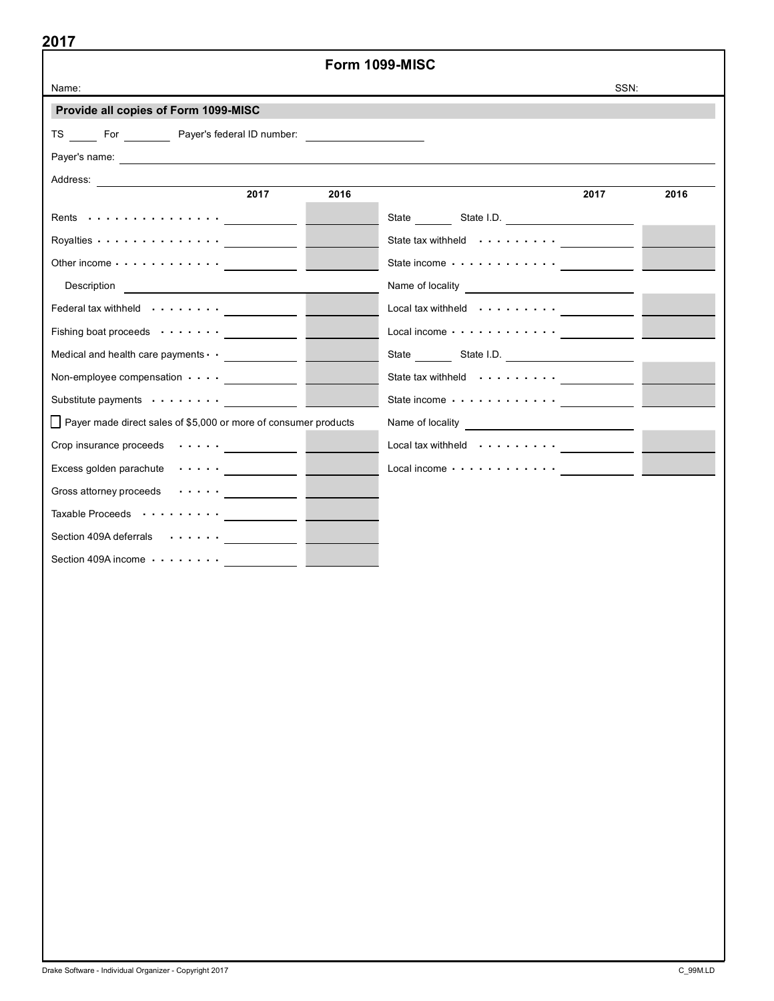|                                                                                                                                                                                                                                                                                                                                         | Form 1099-MISC |                                                                                                                                                                                                                                |      |
|-----------------------------------------------------------------------------------------------------------------------------------------------------------------------------------------------------------------------------------------------------------------------------------------------------------------------------------------|----------------|--------------------------------------------------------------------------------------------------------------------------------------------------------------------------------------------------------------------------------|------|
| Name:                                                                                                                                                                                                                                                                                                                                   |                | SSN:                                                                                                                                                                                                                           |      |
| Provide all copies of Form 1099-MISC                                                                                                                                                                                                                                                                                                    |                |                                                                                                                                                                                                                                |      |
| TS For Payer's federal ID number:                                                                                                                                                                                                                                                                                                       |                |                                                                                                                                                                                                                                |      |
|                                                                                                                                                                                                                                                                                                                                         |                |                                                                                                                                                                                                                                |      |
|                                                                                                                                                                                                                                                                                                                                         |                |                                                                                                                                                                                                                                |      |
| 2017                                                                                                                                                                                                                                                                                                                                    | 2016           | 2017                                                                                                                                                                                                                           | 2016 |
|                                                                                                                                                                                                                                                                                                                                         |                |                                                                                                                                                                                                                                |      |
| Royalties $\cdots$ , $\cdots$ , $\cdots$                                                                                                                                                                                                                                                                                                |                | State tax withheld or contact the contact of the state of the state of the state of the state of the state of the state of the state of the state of the state of the state of the state of the state of the state of the stat |      |
| Other income $\cdots$ $\cdots$ $\cdots$ $\cdots$ $\cdots$ $\cdots$ $\cdots$ $\cdots$ $\cdots$ $\cdots$ $\cdots$ $\cdots$ $\cdots$ $\cdots$ $\cdots$ $\cdots$ $\cdots$ $\cdots$ $\cdots$ $\cdots$ $\cdots$ $\cdots$ $\cdots$ $\cdots$ $\cdots$ $\cdots$ $\cdots$ $\cdots$ $\cdots$ $\cdots$ $\cdots$ $\cdots$ $\cdots$ $\cdots$ $\cdots$ |                |                                                                                                                                                                                                                                |      |
| Description <u>________________________________</u>                                                                                                                                                                                                                                                                                     |                |                                                                                                                                                                                                                                |      |
| Federal tax withheld (education of the set of the set of the set of the set of the set of the set of the set o                                                                                                                                                                                                                          |                | Local tax withheld $\cdots \cdots$                                                                                                                                                                                             |      |
| Fishing boat proceeds <u>____________</u> _                                                                                                                                                                                                                                                                                             |                | Local income $\cdots \cdots \cdots \cdots$                                                                                                                                                                                     |      |
|                                                                                                                                                                                                                                                                                                                                         |                |                                                                                                                                                                                                                                |      |
| Non-employee compensation ______________                                                                                                                                                                                                                                                                                                |                | State tax withheld $\cdots \cdots \cdots$                                                                                                                                                                                      |      |
| Substitute payments                                                                                                                                                                                                                                                                                                                     |                | State income with the state income with the state in the state of the state of the state of the state of the state of the state of the state of the state of the state of the state of the state of the state of the state of  |      |
| Payer made direct sales of \$5,000 or more of consumer products                                                                                                                                                                                                                                                                         |                |                                                                                                                                                                                                                                |      |
| Crop insurance proceeds _____________                                                                                                                                                                                                                                                                                                   |                | Local tax withheld $\cdots \cdots \cdots$                                                                                                                                                                                      |      |
| Excess golden parachute (Contract of Talents of Talents of Talents of Talents of Talents of Talents of Talents                                                                                                                                                                                                                          |                | Local income $\cdots \cdots \cdots$                                                                                                                                                                                            |      |
| Gross attorney proceeds (Content of Changes Content of Changes Content of Changes Content of Changes Content of Changes                                                                                                                                                                                                                 |                |                                                                                                                                                                                                                                |      |
| Taxable Proceeds $\cdots \cdots \cdots$                                                                                                                                                                                                                                                                                                 |                |                                                                                                                                                                                                                                |      |
| Section 409A deferrals (exercise contracts)                                                                                                                                                                                                                                                                                             |                |                                                                                                                                                                                                                                |      |
| Section 409A income with the section 409A income                                                                                                                                                                                                                                                                                        |                |                                                                                                                                                                                                                                |      |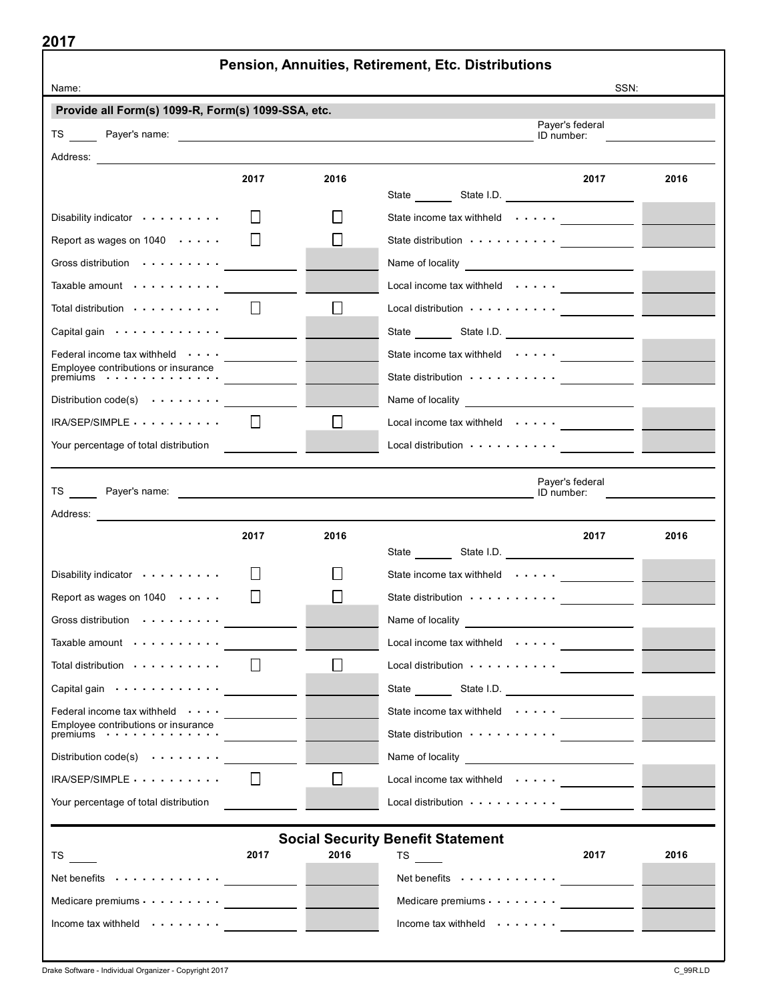|                                                                                                                                                                                                                                |         |        | Pension, Annuities, Retirement, Etc. Distributions                                                                                                                                                                                   |      |
|--------------------------------------------------------------------------------------------------------------------------------------------------------------------------------------------------------------------------------|---------|--------|--------------------------------------------------------------------------------------------------------------------------------------------------------------------------------------------------------------------------------------|------|
| Name:<br>Provide all Form(s) 1099-R, Form(s) 1099-SSA, etc.                                                                                                                                                                    |         |        |                                                                                                                                                                                                                                      | SSN: |
|                                                                                                                                                                                                                                |         |        | Payer's federal                                                                                                                                                                                                                      |      |
|                                                                                                                                                                                                                                |         |        | ID number:                                                                                                                                                                                                                           |      |
|                                                                                                                                                                                                                                |         |        |                                                                                                                                                                                                                                      |      |
|                                                                                                                                                                                                                                | 2017    | 2016   | 2017                                                                                                                                                                                                                                 | 2016 |
| Disability indicator                                                                                                                                                                                                           |         |        | State income tax withheld $\cdots$                                                                                                                                                                                                   |      |
| Report as wages on $1040 \cdot \cdot \cdot \cdot$                                                                                                                                                                              |         |        | State distribution contract to the state distribution of the state of the state of the state of the state of the state of the state of the state of the state of the state of the state of the state of the state of the state       |      |
| Gross distribution contracts and control of the set of the set of the set of the set of the set of the set of the set of the set of the set of the set of the set of the set of the set of the set of the set of the set of th |         |        |                                                                                                                                                                                                                                      |      |
| Taxable amount $\cdots \cdots \cdots$                                                                                                                                                                                          |         |        | Local income tax withheld $\cdots$                                                                                                                                                                                                   |      |
| Total distribution $\cdots \cdots \cdots$                                                                                                                                                                                      | $\perp$ | $\Box$ | Local distribution www.wales.com                                                                                                                                                                                                     |      |
| Capital gain <u>_________</u>                                                                                                                                                                                                  |         |        |                                                                                                                                                                                                                                      |      |
| Federal income tax withheld $\cdots$                                                                                                                                                                                           |         |        | State income tax withheld $\cdots$                                                                                                                                                                                                   |      |
| Employee contributions or insurance<br>premiums www.web.com                                                                                                                                                                    |         |        |                                                                                                                                                                                                                                      |      |
| Distribution $code(s)$ $\cdots$ $\cdots$ $\cdots$                                                                                                                                                                              |         |        |                                                                                                                                                                                                                                      |      |
| $IRA/SEP/SIMPLE \ldots \ldots \ldots$                                                                                                                                                                                          | $\perp$ | ⊔      | Local income tax withheld $\cdots$                                                                                                                                                                                                   |      |
| Your percentage of total distribution                                                                                                                                                                                          |         |        | Local distribution <i>view of the contract of the contract of the contract of the contract of the contract of the contract of the contract of the contract of the contract of the contract of the contract of the contract of th</i> |      |
|                                                                                                                                                                                                                                |         |        | Payer's federal                                                                                                                                                                                                                      |      |
|                                                                                                                                                                                                                                |         |        |                                                                                                                                                                                                                                      |      |
|                                                                                                                                                                                                                                |         |        |                                                                                                                                                                                                                                      |      |
|                                                                                                                                                                                                                                | 2017    | 2016   | 2017                                                                                                                                                                                                                                 | 2016 |
| Disability indicator                                                                                                                                                                                                           |         |        | State income tax withheld $\cdots$                                                                                                                                                                                                   |      |
| Report as wages on $1040 \cdot \cdot \cdot \cdot$                                                                                                                                                                              |         |        | State distribution                                                                                                                                                                                                                   |      |
|                                                                                                                                                                                                                                |         |        | Name of locality<br><u> 1989 - John Stein, mars and de Branch and de Branch and de Branch and de Branch and de Branch and de Branch an</u>                                                                                           |      |
| Taxable amount contained a more than the Taxable                                                                                                                                                                               |         |        | Local income tax withheld $\cdots$                                                                                                                                                                                                   |      |
| Total distribution                                                                                                                                                                                                             | $\perp$ |        |                                                                                                                                                                                                                                      |      |
| Capital gain contact to contact the capital gain                                                                                                                                                                               |         |        | State State I.D.                                                                                                                                                                                                                     |      |
| Federal income tax withheld $\cdots$                                                                                                                                                                                           |         |        | State income tax withheld __________                                                                                                                                                                                                 |      |
| Employee contributions or insurance<br>premiums $\cdots$ , $\cdots$ , $\cdots$                                                                                                                                                 |         |        |                                                                                                                                                                                                                                      |      |
| Distribution $code(s) \cdot \cdot \cdot \cdot \cdot \cdot$                                                                                                                                                                     |         |        | Name of locality <b>Name of Locality</b>                                                                                                                                                                                             |      |
|                                                                                                                                                                                                                                | $\perp$ |        | Local income tax withheld $\cdots$                                                                                                                                                                                                   |      |
|                                                                                                                                                                                                                                |         |        | Local distribution <b></b>                                                                                                                                                                                                           |      |
|                                                                                                                                                                                                                                |         |        |                                                                                                                                                                                                                                      |      |
|                                                                                                                                                                                                                                |         |        | <b>Social Security Benefit Statement</b>                                                                                                                                                                                             |      |
|                                                                                                                                                                                                                                | 2017    | 2016   | 2017<br>$TS$ <sub>---</sub>                                                                                                                                                                                                          |      |
|                                                                                                                                                                                                                                |         |        | Net benefits $\cdots \cdots \cdots$                                                                                                                                                                                                  | 2016 |
| $IRA/SEP/SIMPLE$<br>Your percentage of total distribution<br>TS <sub>1</sub><br>Net benefits $\cdots \cdots \cdots$<br>Medicare premiums $\cdots$ $\cdots$ $\cdots$                                                            |         |        | Medicare premiums $\cdots$ $\cdots$ $\cdots$                                                                                                                                                                                         |      |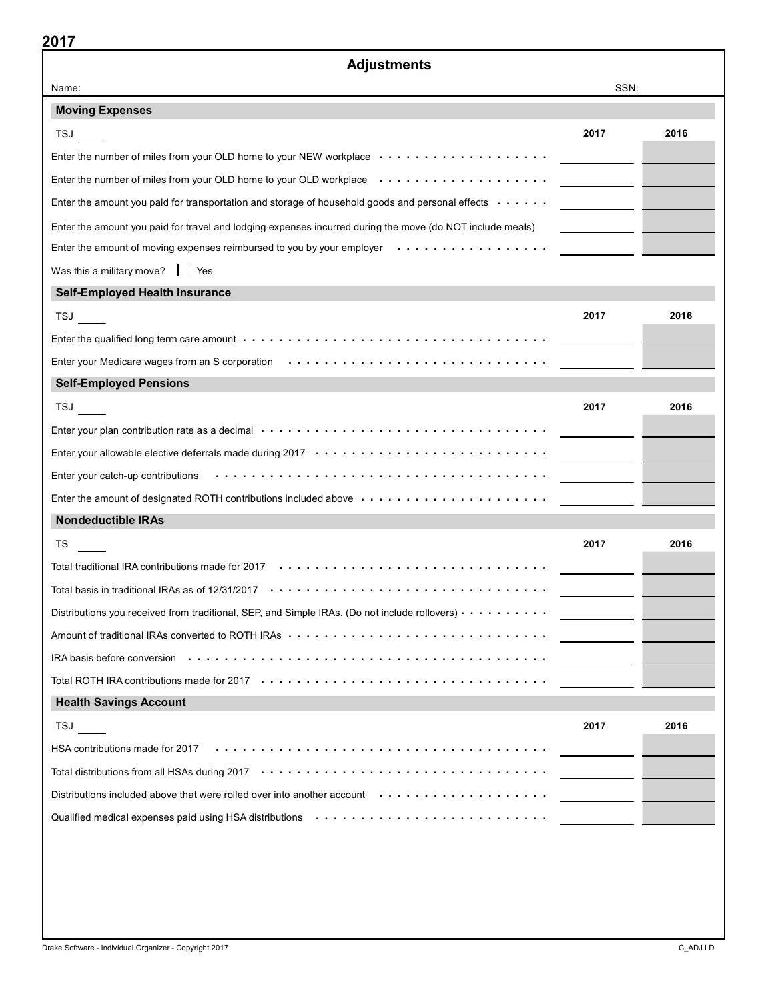| <b>Adjustments</b>                                                                                                                   |                                                                                                                       |      |
|--------------------------------------------------------------------------------------------------------------------------------------|-----------------------------------------------------------------------------------------------------------------------|------|
| Name:                                                                                                                                | SSN:                                                                                                                  |      |
| <b>Moving Expenses</b>                                                                                                               |                                                                                                                       |      |
| <b>TSJ</b>                                                                                                                           | 2017                                                                                                                  | 2016 |
| Enter the number of miles from your OLD home to your NEW workplace                                                                   |                                                                                                                       |      |
| Enter the number of miles from your OLD home to your OLD workplace enter-inference of the number of miles                            |                                                                                                                       |      |
| Enter the amount you paid for transportation and storage of household goods and personal effects weed with                           |                                                                                                                       |      |
| Enter the amount you paid for travel and lodging expenses incurred during the move (do NOT include meals)                            |                                                                                                                       |      |
| Enter the amount of moving expenses reimbursed to you by your employer $\dots \dots \dots \dots \dots \dots$                         |                                                                                                                       |      |
| Was this a military move? $\Box$ Yes                                                                                                 |                                                                                                                       |      |
| <b>Self-Employed Health Insurance</b>                                                                                                |                                                                                                                       |      |
| <b>TSJ</b>                                                                                                                           | 2017                                                                                                                  | 2016 |
|                                                                                                                                      |                                                                                                                       |      |
| Enter your Medicare wages from an S corporation                                                                                      |                                                                                                                       |      |
| <b>Self-Employed Pensions</b>                                                                                                        |                                                                                                                       |      |
| TSJ                                                                                                                                  | 2017                                                                                                                  | 2016 |
| Enter your plan contribution rate as a decimal $\cdots \cdots \cdots \cdots \cdots \cdots \cdots \cdots \cdots \cdots \cdots \cdots$ |                                                                                                                       |      |
|                                                                                                                                      |                                                                                                                       |      |
| Enter your catch-up contributions (exception of the content of the control of the contributions)                                     |                                                                                                                       |      |
| Enter the amount of designated ROTH contributions included above $\cdots \cdots \cdots \cdots \cdots \cdots \cdots$                  |                                                                                                                       |      |
| <b>Nondeductible IRAs</b>                                                                                                            |                                                                                                                       |      |
| TS                                                                                                                                   | 2017                                                                                                                  | 2016 |
|                                                                                                                                      |                                                                                                                       |      |
|                                                                                                                                      |                                                                                                                       |      |
| Distributions you received from traditional, SEP, and Simple IRAs. (Do not include rollovers) $\cdots \cdots \cdots$                 |                                                                                                                       |      |
|                                                                                                                                      |                                                                                                                       |      |
|                                                                                                                                      |                                                                                                                       |      |
|                                                                                                                                      |                                                                                                                       |      |
| <b>Health Savings Account</b>                                                                                                        |                                                                                                                       |      |
| TSJ                                                                                                                                  | 2017                                                                                                                  | 2016 |
| HSA contributions made for 2017                                                                                                      |                                                                                                                       |      |
|                                                                                                                                      | <u> 1999 - Alban III, prima prima prima prima prima prima prima prima prima prima prima prima prima prima prima p</u> |      |
| Distributions included above that were rolled over into another account with window with the state of the state                      |                                                                                                                       |      |
| Qualified medical expenses paid using HSA distributions (and all and all and all and all and all and all and a                       |                                                                                                                       |      |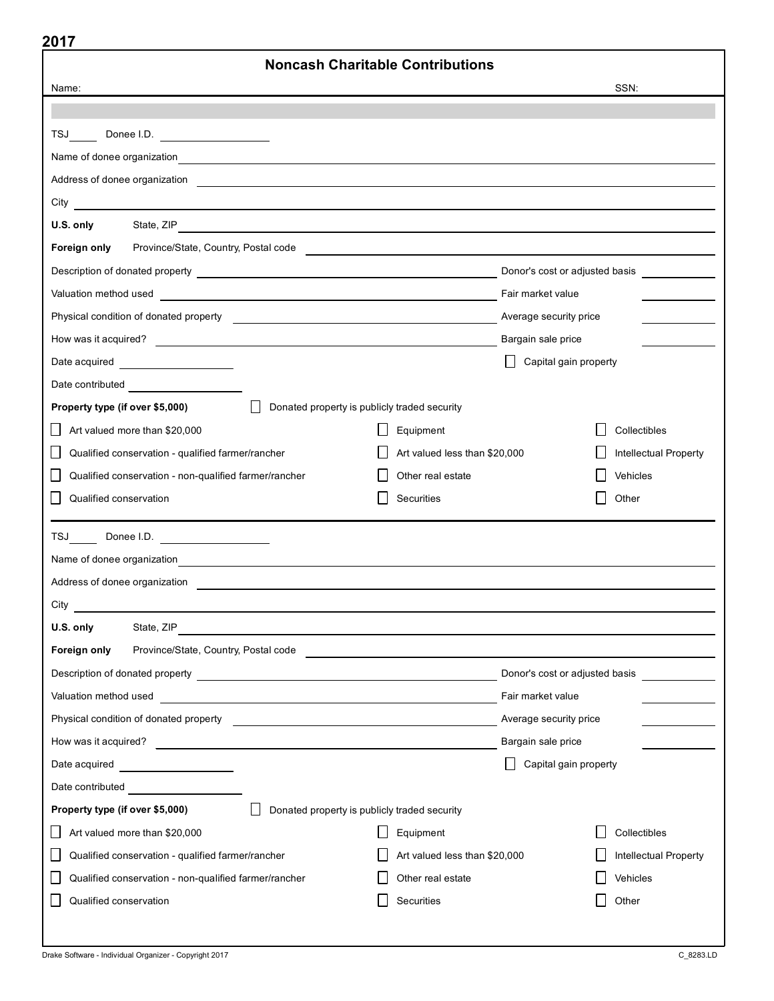| 20 I I<br><b>Noncash Charitable Contributions</b>                                                                                                                                                                                                   |                               |                                |                              |  |  |
|-----------------------------------------------------------------------------------------------------------------------------------------------------------------------------------------------------------------------------------------------------|-------------------------------|--------------------------------|------------------------------|--|--|
| Name:                                                                                                                                                                                                                                               |                               |                                | SSN:                         |  |  |
|                                                                                                                                                                                                                                                     |                               |                                |                              |  |  |
| TSJ<br>Donee I.D.                                                                                                                                                                                                                                   |                               |                                |                              |  |  |
|                                                                                                                                                                                                                                                     |                               |                                |                              |  |  |
| Address of donee organization entries and the contract of the contract of the contract of the contract of the contract of the contract of the contract of the contract of the contract of the contract of the contract of the                       |                               |                                |                              |  |  |
|                                                                                                                                                                                                                                                     |                               |                                |                              |  |  |
| U.S. only<br>State, ZIP                                                                                                                                                                                                                             |                               |                                |                              |  |  |
| Foreign only<br>Province/State, Country, Postal code <b>Construction</b> Construction of the Country of Terms and Country of Terms and Country of Terms and Country of Terms and Country of Terms and Country of Terms and Country of Terms and Cou |                               |                                |                              |  |  |
|                                                                                                                                                                                                                                                     |                               | Donor's cost or adjusted basis |                              |  |  |
|                                                                                                                                                                                                                                                     |                               | Fair market value              |                              |  |  |
|                                                                                                                                                                                                                                                     |                               | Average security price         |                              |  |  |
| How was it acquired?                                                                                                                                                                                                                                |                               | Bargain sale price             |                              |  |  |
| Date acquired                                                                                                                                                                                                                                       |                               | Capital gain property          |                              |  |  |
|                                                                                                                                                                                                                                                     |                               |                                |                              |  |  |
| Donated property is publicly traded security<br>Property type (if over \$5,000)                                                                                                                                                                     |                               |                                |                              |  |  |
| $\mathsf{L}$<br>Art valued more than \$20,000                                                                                                                                                                                                       | Equipment                     |                                | Collectibles                 |  |  |
| Qualified conservation - qualified farmer/rancher                                                                                                                                                                                                   | Art valued less than \$20,000 |                                | Intellectual Property        |  |  |
| Qualified conservation - non-qualified farmer/rancher                                                                                                                                                                                               | Other real estate             |                                | Vehicles                     |  |  |
| Qualified conservation                                                                                                                                                                                                                              | Securities                    |                                | Other                        |  |  |
| TSJ Donee I.D. <u>___________________</u>                                                                                                                                                                                                           |                               |                                |                              |  |  |
| Name of donee organization <b>contained to the contact of the contact of the contact of the contact of the contact of the contact of the contact of the contact of the contact of the contact of the contact of the contact of t</b>                |                               |                                |                              |  |  |
| Address of donee organization <b>Address of done or graduate and all the set of the set of the set of the set of the set of the set of the set of the set of the set of the set of the set of the set of the set of the set of t</b>                |                               |                                |                              |  |  |
| City                                                                                                                                                                                                                                                |                               |                                |                              |  |  |
| U.S. only<br>State, ZIP                                                                                                                                                                                                                             |                               |                                |                              |  |  |
| Foreign only                                                                                                                                                                                                                                        |                               |                                |                              |  |  |
|                                                                                                                                                                                                                                                     |                               | Donor's cost or adjusted basis |                              |  |  |
| Valuation method used <b>with the control of the control of the control of the control of the control of the control of the control of the control of the control of the control of the control of the control of the control of</b>                |                               | Fair market value              |                              |  |  |
|                                                                                                                                                                                                                                                     |                               | Average security price         |                              |  |  |
|                                                                                                                                                                                                                                                     |                               | Bargain sale price             |                              |  |  |
| Date acquired ____________________                                                                                                                                                                                                                  |                               | Capital gain property          |                              |  |  |
| Date contributed <b>Date Contributed</b>                                                                                                                                                                                                            |                               |                                |                              |  |  |
| Donated property is publicly traded security<br>Property type (if over \$5,000)                                                                                                                                                                     |                               |                                |                              |  |  |
| Art valued more than \$20,000<br>$\mathsf{L}$                                                                                                                                                                                                       | Equipment                     |                                | Collectibles                 |  |  |
| Qualified conservation - qualified farmer/rancher                                                                                                                                                                                                   | Art valued less than \$20,000 |                                | <b>Intellectual Property</b> |  |  |
| Qualified conservation - non-qualified farmer/rancher                                                                                                                                                                                               | Other real estate             |                                | Vehicles                     |  |  |
| Qualified conservation                                                                                                                                                                                                                              | Securities                    |                                | Other                        |  |  |
|                                                                                                                                                                                                                                                     |                               |                                |                              |  |  |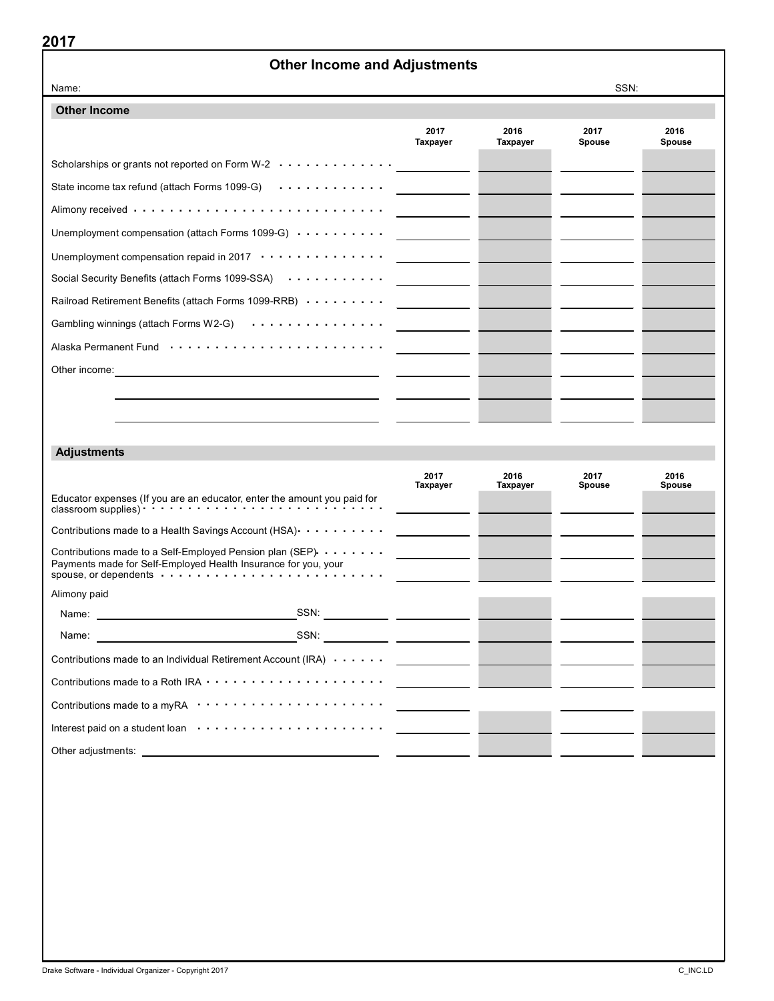## Other Income and Adjustments

| Name:                                                                                                                                     |                         |                  | SSN:                  |                |
|-------------------------------------------------------------------------------------------------------------------------------------------|-------------------------|------------------|-----------------------|----------------|
| <b>Other Income</b>                                                                                                                       |                         |                  |                       |                |
|                                                                                                                                           | 2017<br><b>Taxpayer</b> | 2016<br>Taxpayer | 2017<br>Spouse        | 2016<br>Spouse |
| Scholarships or grants not reported on Form W-2 $\cdots$                                                                                  |                         |                  |                       |                |
| State income tax refund (attach Forms 1099-G) $\cdots$                                                                                    |                         |                  |                       |                |
|                                                                                                                                           |                         |                  |                       |                |
| Unemployment compensation (attach Forms 1099-G)                                                                                           |                         |                  |                       |                |
| Unemployment compensation repaid in 2017 ··············                                                                                   |                         |                  |                       |                |
| Social Security Benefits (attach Forms 1099-SSA)                                                                                          |                         |                  |                       |                |
| Railroad Retirement Benefits (attach Forms 1099-RRB)                                                                                      |                         |                  |                       |                |
| Gambling winnings (attach Forms W2-G)                                                                                                     |                         |                  |                       |                |
|                                                                                                                                           |                         |                  |                       |                |
| Other income:<br><u> 1989 - Johann Stein, fransk politik (f. 1989)</u>                                                                    |                         |                  |                       |                |
|                                                                                                                                           |                         |                  |                       |                |
|                                                                                                                                           |                         |                  |                       |                |
|                                                                                                                                           |                         |                  |                       |                |
| <b>Adjustments</b>                                                                                                                        |                         |                  |                       |                |
|                                                                                                                                           | 2017<br>Taxpayer        | 2016<br>Taxpayer | 2017<br><b>Spouse</b> | 2016<br>Spouse |
| Educator expenses (If you are an educator, enter the amount you paid for                                                                  |                         |                  |                       |                |
| Contributions made to a Health Savings Account (HSA) $\cdots$                                                                             |                         |                  |                       |                |
| Contributions made to a Self-Employed Pension plan (SEP). $\dots \dots$<br>Payments made for Self-Employed Health Insurance for you, your |                         |                  |                       |                |
| Alimony paid                                                                                                                              |                         |                  |                       |                |
| SSN:<br>Name:                                                                                                                             |                         |                  |                       |                |
| SSN:<br>Name:                                                                                                                             |                         |                  |                       |                |
| Contributions made to an Individual Retirement Account (IRA)                                                                              |                         |                  |                       |                |
|                                                                                                                                           |                         |                  |                       |                |
| Contributions made to a myRA ·····················                                                                                        |                         |                  |                       |                |
|                                                                                                                                           |                         |                  |                       |                |
|                                                                                                                                           |                         |                  |                       |                |
|                                                                                                                                           |                         |                  |                       |                |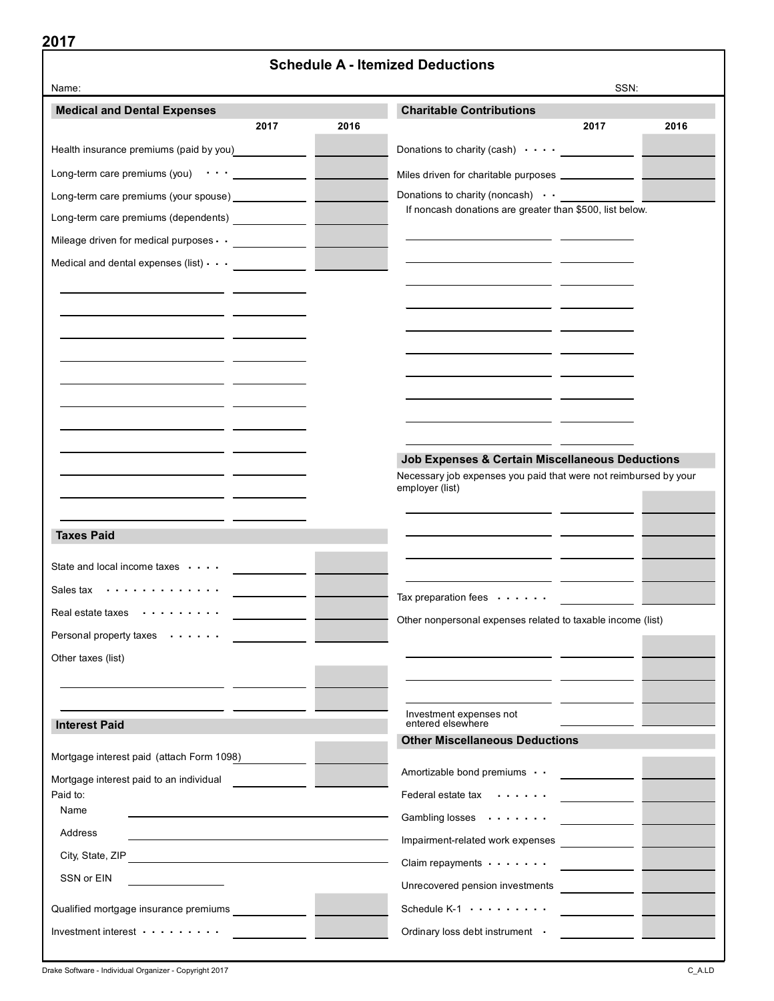| 40 I I                                                                | <b>Schedule A - Itemized Deductions</b>                                             |
|-----------------------------------------------------------------------|-------------------------------------------------------------------------------------|
| Name:                                                                 | SSN:                                                                                |
| <b>Medical and Dental Expenses</b>                                    | <b>Charitable Contributions</b>                                                     |
| 2016<br>2017                                                          | 2017<br>2016                                                                        |
| Health insurance premiums (paid by you) <b>Netall Accord Exercise</b> | Donations to charity (cash) $\cdots$                                                |
| Long-term care premiums (you) $\cdots$ ____________                   | Miles driven for charitable purposes ______________                                 |
| Long-term care premiums (your spouse) _____________                   | Donations to charity (noncash) $\cdot$ $\cdot$                                      |
| Long-term care premiums (dependents) _____________                    | If noncash donations are greater than \$500, list below.                            |
| Mileage driven for medical purposes $\cdot \cdot$ _______________     |                                                                                     |
| Medical and dental expenses (list) $\cdot$ $\cdot$ $\cdot$            |                                                                                     |
|                                                                       |                                                                                     |
|                                                                       |                                                                                     |
|                                                                       |                                                                                     |
|                                                                       |                                                                                     |
|                                                                       |                                                                                     |
|                                                                       |                                                                                     |
|                                                                       |                                                                                     |
|                                                                       |                                                                                     |
|                                                                       | Job Expenses & Certain Miscellaneous Deductions                                     |
|                                                                       | Necessary job expenses you paid that were not reimbursed by your<br>employer (list) |
|                                                                       |                                                                                     |
| <b>Taxes Paid</b>                                                     |                                                                                     |
|                                                                       |                                                                                     |
| State and local income taxes                                          |                                                                                     |
| Sales tax                                                             | Tax preparation fees $\cdots$ .                                                     |
| Real estate taxes<br>.                                                | Other nonpersonal expenses related to taxable income (list)                         |
| Personal property taxes                                               |                                                                                     |
| Other taxes (list)                                                    |                                                                                     |
|                                                                       |                                                                                     |
|                                                                       | Investment expenses not                                                             |
| <b>Interest Paid</b>                                                  | entered elsewhere<br><b>Other Miscellaneous Deductions</b>                          |
| Mortgage interest paid (attach Form 1098)                             |                                                                                     |
| Mortgage interest paid to an individual                               | Amortizable bond premiums                                                           |
| Paid to:                                                              | Federal estate tax                                                                  |
| Name                                                                  | Gambling losses                                                                     |
| Address                                                               | Impairment-related work expenses                                                    |
| City, State, ZIP                                                      | Claim repayments                                                                    |
| SSN or EIN                                                            | Unrecovered pension investments                                                     |
| Qualified mortgage insurance premiums                                 | Schedule K-1                                                                        |
| Investment interest $\cdots \cdots \cdots$                            | Ordinary loss debt instrument .                                                     |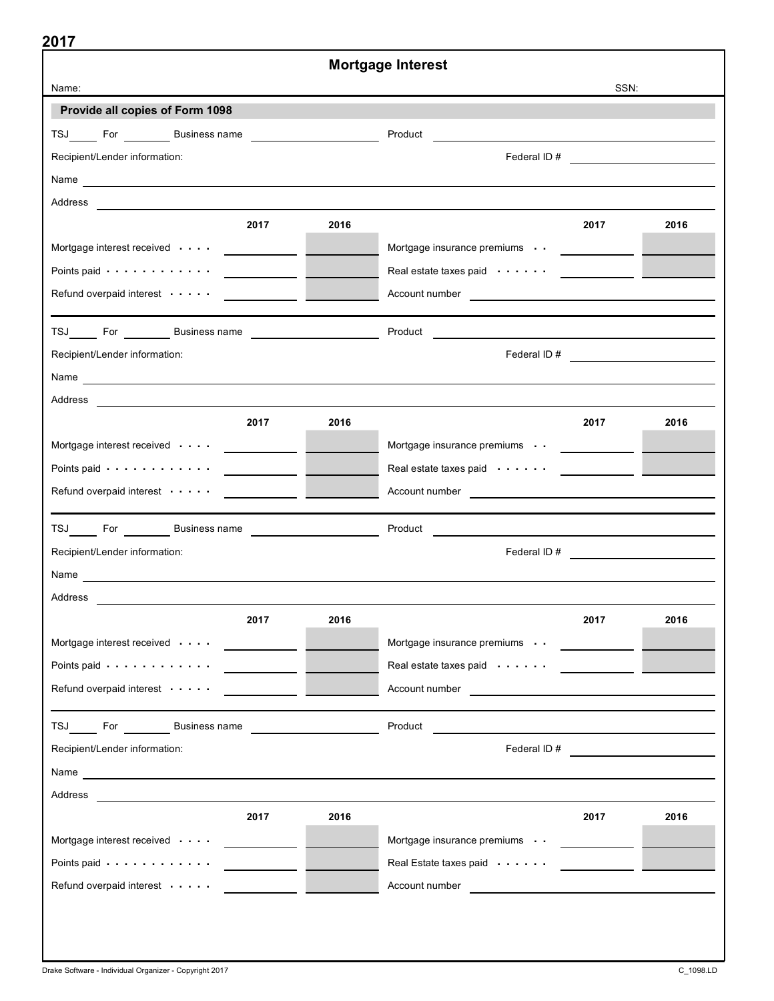|                                                                                                                                                                                                                                |                                                                                                                      | <b>Mortgage Interest</b>                                                                                                                                                                                                             |                                |      |
|--------------------------------------------------------------------------------------------------------------------------------------------------------------------------------------------------------------------------------|----------------------------------------------------------------------------------------------------------------------|--------------------------------------------------------------------------------------------------------------------------------------------------------------------------------------------------------------------------------------|--------------------------------|------|
| Name:                                                                                                                                                                                                                          |                                                                                                                      |                                                                                                                                                                                                                                      | SSN:                           |      |
| Provide all copies of Form 1098                                                                                                                                                                                                |                                                                                                                      |                                                                                                                                                                                                                                      |                                |      |
|                                                                                                                                                                                                                                |                                                                                                                      | Product Product Product Product Product Product Product Product Product Product Product Product Product Produc                                                                                                                       |                                |      |
| Recipient/Lender information:                                                                                                                                                                                                  |                                                                                                                      |                                                                                                                                                                                                                                      |                                |      |
| Name experience and the second service of the service of the service of the service of the service of the service of the service of the service of the service of the service of the service of the service of the service of  |                                                                                                                      |                                                                                                                                                                                                                                      |                                |      |
|                                                                                                                                                                                                                                |                                                                                                                      |                                                                                                                                                                                                                                      |                                |      |
| 2017                                                                                                                                                                                                                           | 2016                                                                                                                 |                                                                                                                                                                                                                                      | 2017                           | 2016 |
| Mortgage interest received volume and the contract of the contract of the contract of the contract of the contract of the contract of the contract of the contract of the contract of the contract of the contract of the cont |                                                                                                                      | Mortgage insurance premiums ______________                                                                                                                                                                                           |                                |      |
|                                                                                                                                                                                                                                |                                                                                                                      | Real estate taxes paid (about the subset of the set of the set of the set of the set of the set of the set of t                                                                                                                      |                                |      |
| Refund overpaid interest                                                                                                                                                                                                       | <u> Alexandria de la contrada de la contrada de la contrada de la contrada de la contrada de la contrada de la c</u> | Account number <b>expression and the contract of the contract of the contract of the contract of the contract of the contract of the contract of the contract of the contract of the contract of the contract of the contract of</b> |                                |      |
|                                                                                                                                                                                                                                |                                                                                                                      |                                                                                                                                                                                                                                      |                                |      |
|                                                                                                                                                                                                                                |                                                                                                                      | Product Product Product Product Product Product Product Product Product Product Product Product Product Product                                                                                                                      |                                |      |
| Recipient/Lender information:                                                                                                                                                                                                  |                                                                                                                      |                                                                                                                                                                                                                                      |                                |      |
|                                                                                                                                                                                                                                |                                                                                                                      |                                                                                                                                                                                                                                      |                                |      |
|                                                                                                                                                                                                                                |                                                                                                                      |                                                                                                                                                                                                                                      |                                |      |
| 2017                                                                                                                                                                                                                           | 2016                                                                                                                 |                                                                                                                                                                                                                                      | 2017                           | 2016 |
|                                                                                                                                                                                                                                |                                                                                                                      | Mortgage insurance premiums (1) [100] Mortgage insurance premiums (1) [200] Mortgage insurance premiums (1) [200] Mortgage in Mortgage in Mortgage in Mortgage in Mortgage in Mortgage in Mortgage in Mortgage in Mortgage in        |                                |      |
| Points paid $\cdots \cdots \cdots \cdots$                                                                                                                                                                                      |                                                                                                                      | Real estate taxes paid (and a set of the set of the set of the set of the set of the set of the set of the set                                                                                                                       |                                |      |
| Refund overpaid interest voltain and all the contract of the contract of the contract of the contract of the contract of the contract of the contract of the contract of the contract of the contract of the contract of the c |                                                                                                                      |                                                                                                                                                                                                                                      |                                |      |
|                                                                                                                                                                                                                                |                                                                                                                      |                                                                                                                                                                                                                                      |                                |      |
| Recipient/Lender information:                                                                                                                                                                                                  |                                                                                                                      |                                                                                                                                                                                                                                      |                                |      |
|                                                                                                                                                                                                                                |                                                                                                                      |                                                                                                                                                                                                                                      |                                |      |
| Address ______                                                                                                                                                                                                                 |                                                                                                                      |                                                                                                                                                                                                                                      |                                |      |
| 2017                                                                                                                                                                                                                           | 2016                                                                                                                 |                                                                                                                                                                                                                                      | 2017                           | 2016 |
| Mortgage interest received<br><u>and the second property</u>                                                                                                                                                                   |                                                                                                                      | Mortgage insurance premiums                                                                                                                                                                                                          | <b>Contract Contract State</b> |      |
| Points paid $\cdots$ ,<br>$\sim$ $\sim$ $\sim$                                                                                                                                                                                 |                                                                                                                      | Real estate taxes paid                                                                                                                                                                                                               |                                |      |
| Refund overpaid interest                                                                                                                                                                                                       |                                                                                                                      | Account number <b>contained and the contract of the contract of the contract of the contract of the contract of the contract of the contract of the contract of the contract of the contract of the contract of the contract o</b>   |                                |      |
|                                                                                                                                                                                                                                |                                                                                                                      |                                                                                                                                                                                                                                      |                                |      |
| TSJ For Business name                                                                                                                                                                                                          |                                                                                                                      | Product                                                                                                                                                                                                                              |                                |      |
| Recipient/Lender information:                                                                                                                                                                                                  |                                                                                                                      | Federal ID#                                                                                                                                                                                                                          |                                |      |
| Name and the contract of the contract of the contract of the contract of the contract of the contract of the contract of the contract of the contract of the contract of the contract of the contract of the contract of the c |                                                                                                                      |                                                                                                                                                                                                                                      |                                |      |
| Address                                                                                                                                                                                                                        |                                                                                                                      |                                                                                                                                                                                                                                      |                                |      |
| 2017                                                                                                                                                                                                                           | 2016                                                                                                                 |                                                                                                                                                                                                                                      | 2017                           | 2016 |
| Mortgage interest received<br><u> 1999 - Jan Jan Jawa</u>                                                                                                                                                                      |                                                                                                                      | Mortgage insurance premiums                                                                                                                                                                                                          | <u> 1999 - Jan Jan Jawa</u>    |      |
| Points paid $\cdots$ ,                                                                                                                                                                                                         |                                                                                                                      | Real Estate taxes paid                                                                                                                                                                                                               |                                |      |
| Refund overpaid interest                                                                                                                                                                                                       |                                                                                                                      | Account number <b>Account</b> number                                                                                                                                                                                                 |                                |      |
|                                                                                                                                                                                                                                |                                                                                                                      |                                                                                                                                                                                                                                      |                                |      |
|                                                                                                                                                                                                                                |                                                                                                                      |                                                                                                                                                                                                                                      |                                |      |
|                                                                                                                                                                                                                                |                                                                                                                      |                                                                                                                                                                                                                                      |                                |      |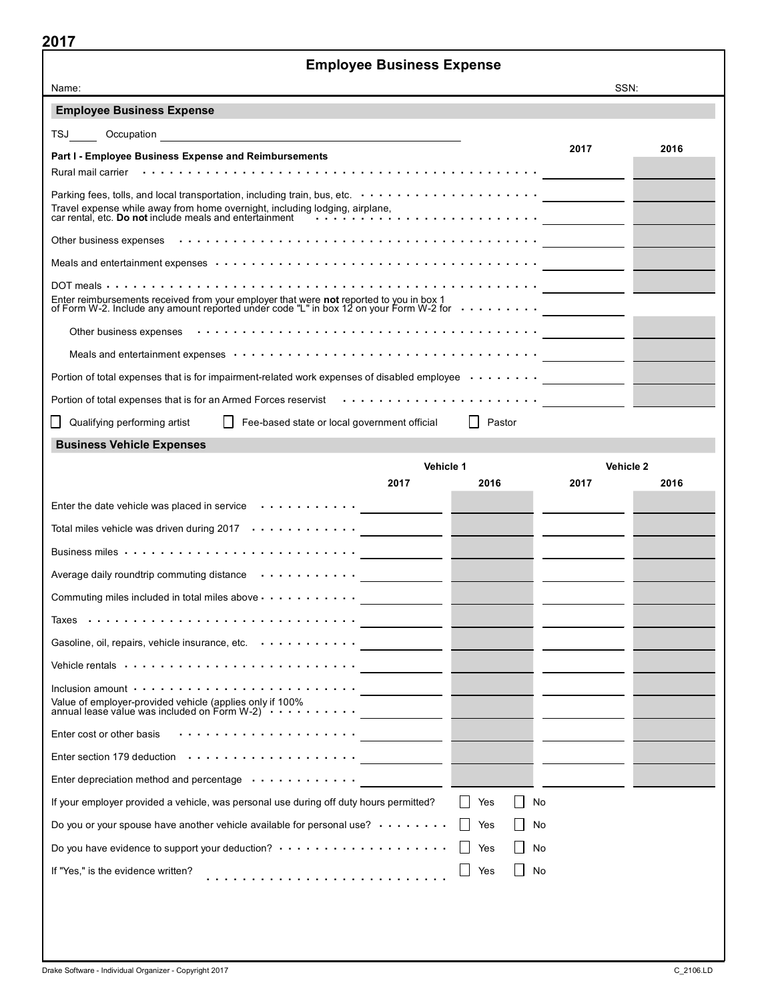# Employee Business Expense

| Name:                                                                                                                                                                                                                                                                              | SSN: |      |
|------------------------------------------------------------------------------------------------------------------------------------------------------------------------------------------------------------------------------------------------------------------------------------|------|------|
| <b>Employee Business Expense</b>                                                                                                                                                                                                                                                   |      |      |
| TSJ TS<br>Occupation<br><u> 1989 - Johann Barbara, martxa alemaniar arg</u>                                                                                                                                                                                                        |      |      |
| Part I - Employee Business Expense and Reimbursements                                                                                                                                                                                                                              | 2017 | 2016 |
|                                                                                                                                                                                                                                                                                    |      |      |
|                                                                                                                                                                                                                                                                                    |      |      |
| Travel expense while away from home overnight, including lodging, airplane,<br>Travel expense while away from home overnight, including lodging, airplane,<br>car rental, etc. <b>Do not</b> include meals and entertainment www.web.com/www.web/www.web/www.web/www.web/web/web/w |      |      |
|                                                                                                                                                                                                                                                                                    |      |      |
| Meals and entertainment expenses (and a contract of the contract of the contract of the contract of the contract of the contract of the contract of the contract of the contract of the contract of the contract of the contra                                                     |      |      |
|                                                                                                                                                                                                                                                                                    |      |      |
| Enter reimbursements received from your employer that were <b>not</b> reported to you in box 1<br>of Form W-2. Include any amount reported under code "L" in box 12 on your Form W-2 for $\cdots \cdots \cdots$                                                                    |      |      |
|                                                                                                                                                                                                                                                                                    |      |      |
| Meals and entertainment expenses (also contained a service of the service of the service of the service of the                                                                                                                                                                     |      |      |
| Portion of total expenses that is for impairment-related work expenses of disabled employee <u>_______________</u>                                                                                                                                                                 |      |      |
| Portion of total expenses that is for an Armed Forces reservist <i>with the content of the content of total</i> expenses that is for an Armed Forces reservist with the content of the content of the content of the content of the                                                |      |      |
| Qualifying performing artist<br>Fee-based state or local government official<br>Pastor<br>$\perp$                                                                                                                                                                                  |      |      |
| <b>Business Vehicle Expenses</b>                                                                                                                                                                                                                                                   |      |      |

|                                                                                                                                                                                                                                | Vehicle 1 |      |      | Vehicle 2 |      |  |
|--------------------------------------------------------------------------------------------------------------------------------------------------------------------------------------------------------------------------------|-----------|------|------|-----------|------|--|
|                                                                                                                                                                                                                                | 2017      | 2016 | 2017 |           | 2016 |  |
| Enter the date vehicle was placed in service enter the state of the control of the state of the state of the state of the state of the state of the state of the state of the state of the state of the state of the state of  |           |      |      |           |      |  |
| Total miles vehicle was driven during 2017 $\cdots \cdots \cdots \cdots$                                                                                                                                                       |           |      |      |           |      |  |
|                                                                                                                                                                                                                                |           |      |      |           |      |  |
| Average daily roundtrip commuting distance enterity of the control of the control of the control of the control of the control of the control of the control of the control of the control of the control of the control of th |           |      |      |           |      |  |
| Commuting miles included in total miles above $\cdots \cdots \cdots$                                                                                                                                                           |           |      |      |           |      |  |
|                                                                                                                                                                                                                                |           |      |      |           |      |  |
| Gasoline, oil, repairs, vehicle insurance, etc. www.www.community.com/www.community.com/www.community.com/www.                                                                                                                 |           |      |      |           |      |  |
| Vehicle rentals $\cdots \cdots \cdots \cdots \cdots \cdots \cdots \cdots$                                                                                                                                                      |           |      |      |           |      |  |
| Inclusion amount $\cdots$ $\cdots$ $\cdots$ $\cdots$ $\cdots$ $\cdots$ $\cdots$ $\cdots$ $\cdots$ $\cdots$ $\cdots$ $\cdots$ $\cdots$ $\cdots$ $\cdots$ $\cdots$                                                               |           |      |      |           |      |  |
|                                                                                                                                                                                                                                |           |      |      |           |      |  |
| Enter cost or other basis                                                                                                                                                                                                      |           |      |      |           |      |  |
|                                                                                                                                                                                                                                |           |      |      |           |      |  |
| Enter depreciation method and percentage $\cdots \cdots \cdots$                                                                                                                                                                |           |      |      |           |      |  |
| If your employer provided a vehicle, was personal use during off duty hours permitted?                                                                                                                                         |           | Yes  | No   |           |      |  |
| Do you or your spouse have another vehicle available for personal use? $\cdots \cdots$                                                                                                                                         |           | Yes  | No   |           |      |  |
|                                                                                                                                                                                                                                |           | Yes  | No   |           |      |  |
| If "Yes," is the evidence written?<br>.                                                                                                                                                                                        |           | Yes  | No   |           |      |  |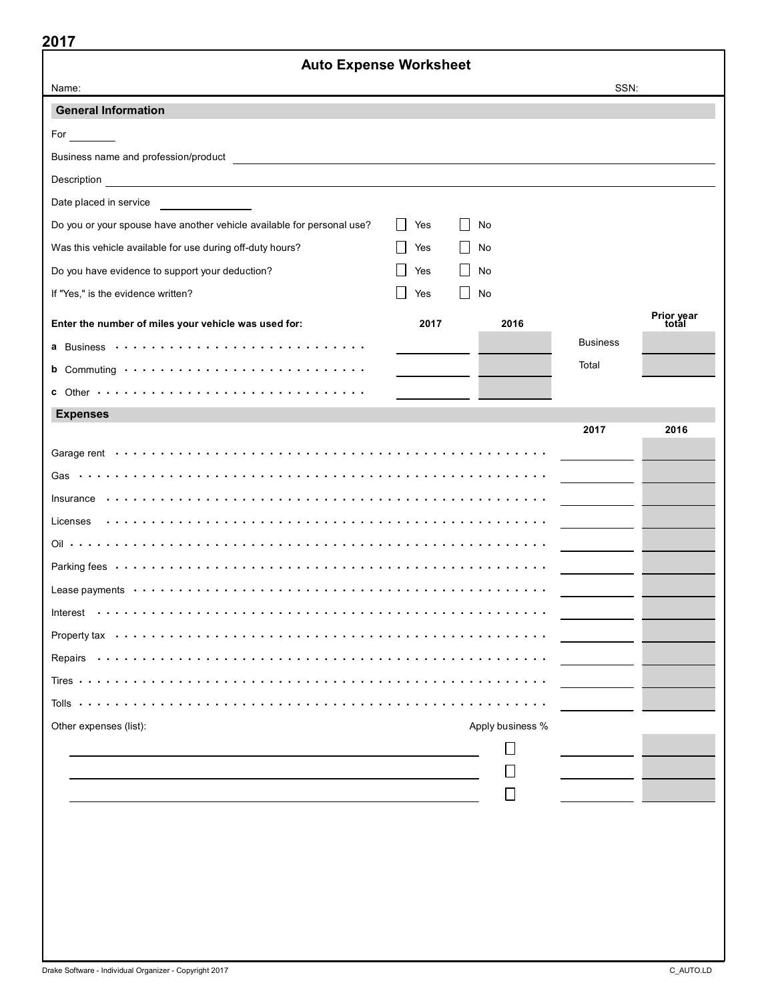|                                                                        | <b>Auto Expense Worksheet</b> |                  |                 |                     |
|------------------------------------------------------------------------|-------------------------------|------------------|-----------------|---------------------|
| Name:                                                                  |                               |                  | SSN:            |                     |
| <b>General Information</b>                                             |                               |                  |                 |                     |
| For                                                                    |                               |                  |                 |                     |
|                                                                        |                               |                  |                 |                     |
|                                                                        |                               |                  |                 |                     |
| Date placed in service                                                 |                               |                  |                 |                     |
| Do you or your spouse have another vehicle available for personal use? | $\perp$<br>Yes                | No               |                 |                     |
| Was this vehicle available for use during off-duty hours?              | Yes                           | No               |                 |                     |
| Do you have evidence to support your deduction?                        | Yes<br>$\perp$                | No               |                 |                     |
| If "Yes," is the evidence written?                                     | Yes<br>$\perp$                | No               |                 |                     |
| Enter the number of miles your vehicle was used for:                   | 2017                          | 2016             |                 | Prior year<br>total |
|                                                                        |                               |                  | <b>Business</b> |                     |
|                                                                        |                               |                  | Total           |                     |
|                                                                        |                               |                  |                 |                     |
| <b>Expenses</b>                                                        |                               |                  |                 |                     |
|                                                                        |                               |                  | 2017            | 2016                |
|                                                                        |                               |                  |                 |                     |
|                                                                        |                               |                  |                 |                     |
| Insurance                                                              |                               |                  |                 |                     |
| Licenses                                                               |                               |                  |                 |                     |
|                                                                        |                               |                  |                 |                     |
|                                                                        |                               |                  |                 |                     |
|                                                                        |                               |                  |                 |                     |
|                                                                        |                               |                  |                 |                     |
|                                                                        |                               |                  |                 |                     |
|                                                                        |                               |                  |                 |                     |
|                                                                        |                               |                  |                 |                     |
|                                                                        |                               |                  |                 |                     |
| Other expenses (list):                                                 |                               | Apply business % |                 |                     |
|                                                                        |                               |                  |                 |                     |
|                                                                        |                               |                  |                 |                     |
|                                                                        |                               |                  |                 |                     |
|                                                                        |                               |                  |                 |                     |
|                                                                        |                               |                  |                 |                     |
|                                                                        |                               |                  |                 |                     |
|                                                                        |                               |                  |                 |                     |
|                                                                        |                               |                  |                 |                     |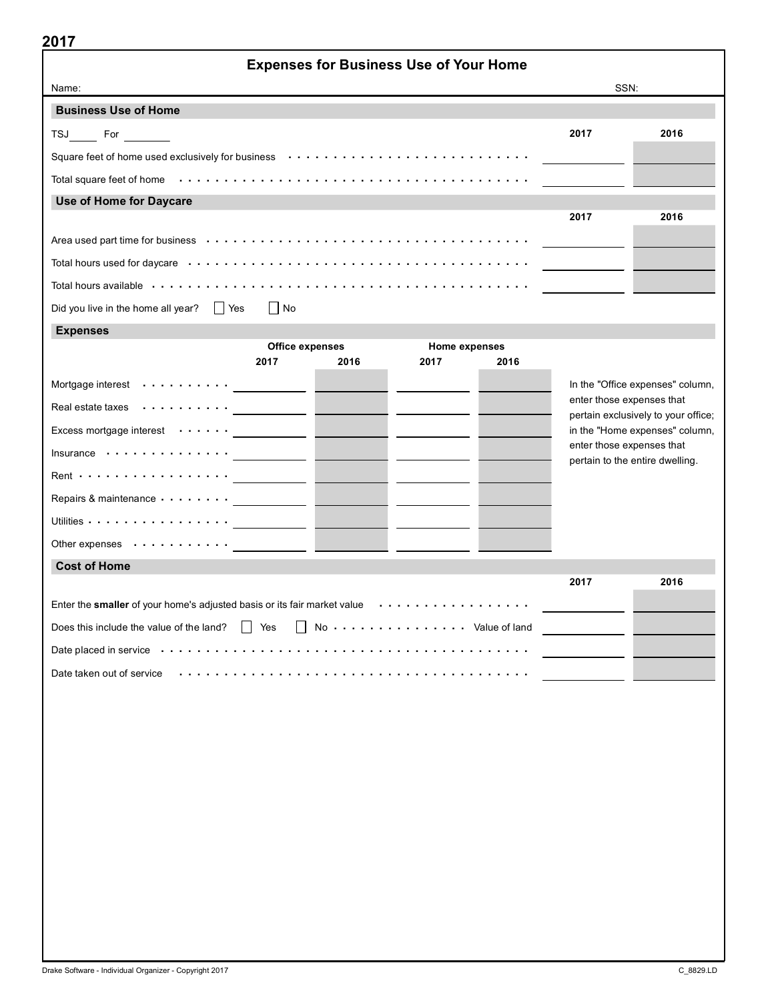| 2017                                                                                                                     |      | <b>Expenses for Business Use of Your Home</b> |      |                                 |                                                                       |  |
|--------------------------------------------------------------------------------------------------------------------------|------|-----------------------------------------------|------|---------------------------------|-----------------------------------------------------------------------|--|
| Name:                                                                                                                    |      |                                               |      | SSN:                            |                                                                       |  |
| <b>Business Use of Home</b>                                                                                              |      |                                               |      |                                 |                                                                       |  |
|                                                                                                                          |      |                                               |      | 2017                            | 2016                                                                  |  |
| TSJ For<br>Square feet of home used exclusively for business (and contained by contained the set of home used $\epsilon$ |      |                                               |      |                                 |                                                                       |  |
|                                                                                                                          |      |                                               |      |                                 |                                                                       |  |
| Use of Home for Daycare                                                                                                  |      |                                               |      |                                 |                                                                       |  |
|                                                                                                                          |      |                                               |      | 2017                            | 2016                                                                  |  |
|                                                                                                                          |      |                                               |      |                                 |                                                                       |  |
|                                                                                                                          |      |                                               |      |                                 |                                                                       |  |
|                                                                                                                          |      |                                               |      |                                 |                                                                       |  |
| Did you live in the home all year?<br>$\blacksquare$ No<br><b>Yes</b>                                                    |      |                                               |      |                                 |                                                                       |  |
| <b>Expenses</b>                                                                                                          |      |                                               |      |                                 |                                                                       |  |
| Office expenses<br>2017                                                                                                  | 2016 | Home expenses<br>2017                         | 2016 |                                 |                                                                       |  |
|                                                                                                                          |      |                                               |      |                                 |                                                                       |  |
| Mortgage interest $\cdots \cdots \cdots$<br>Real estate taxes                                                            |      |                                               |      | enter those expenses that       | In the "Office expenses" column,                                      |  |
| Excess mortgage interest $\cdots \cdots$                                                                                 |      |                                               |      |                                 | pertain exclusively to your office;<br>in the "Home expenses" column, |  |
| Insurance                                                                                                                |      |                                               |      | enter those expenses that       |                                                                       |  |
| Rent $\cdots$ $\cdots$ $\cdots$ $\cdots$ $\cdots$ $\cdots$                                                               |      |                                               |      | pertain to the entire dwelling. |                                                                       |  |
| Repairs & maintenance <u>___________</u>                                                                                 |      |                                               |      |                                 |                                                                       |  |
| Utilities $\cdots\cdots\cdots\cdots\cdots\cdots$                                                                         |      |                                               |      |                                 |                                                                       |  |
| Other expenses                                                                                                           |      |                                               |      |                                 |                                                                       |  |
| <b>Cost of Home</b>                                                                                                      |      |                                               |      |                                 |                                                                       |  |
|                                                                                                                          |      |                                               |      | 2017                            | 2016                                                                  |  |
| Enter the smaller of your home's adjusted basis or its fair market value                                                 |      |                                               |      |                                 |                                                                       |  |
| Does this include the value of the land? $\Box$ Yes                                                                      |      | No Value of land                              |      |                                 |                                                                       |  |
| Date placed in service <i>interioral interioral content in the service</i> in the service in the service in the service  |      |                                               |      |                                 |                                                                       |  |
| Date taken out of service                                                                                                |      |                                               |      |                                 |                                                                       |  |
|                                                                                                                          |      |                                               |      |                                 |                                                                       |  |
|                                                                                                                          |      |                                               |      |                                 |                                                                       |  |
|                                                                                                                          |      |                                               |      |                                 |                                                                       |  |
|                                                                                                                          |      |                                               |      |                                 |                                                                       |  |
|                                                                                                                          |      |                                               |      |                                 |                                                                       |  |
|                                                                                                                          |      |                                               |      |                                 |                                                                       |  |
|                                                                                                                          |      |                                               |      |                                 |                                                                       |  |
|                                                                                                                          |      |                                               |      |                                 |                                                                       |  |
|                                                                                                                          |      |                                               |      |                                 |                                                                       |  |
|                                                                                                                          |      |                                               |      |                                 |                                                                       |  |
|                                                                                                                          |      |                                               |      |                                 |                                                                       |  |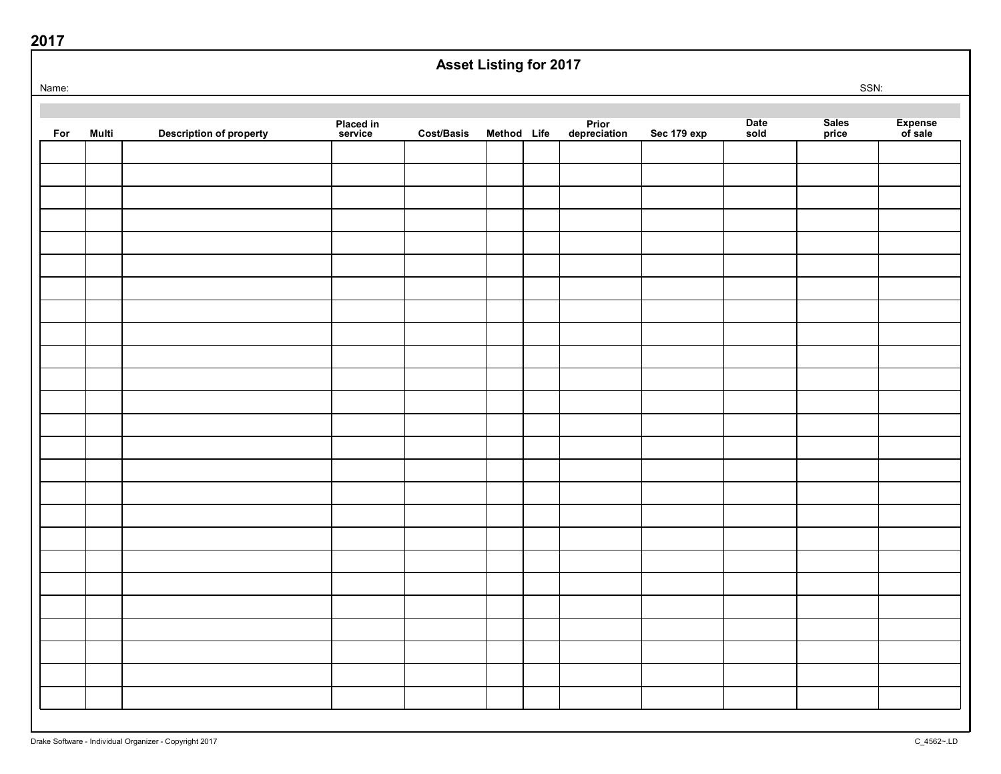|       | <b>Asset Listing for 2017</b> |                                |                      |                   |             |  |                       |             |              |                |                    |
|-------|-------------------------------|--------------------------------|----------------------|-------------------|-------------|--|-----------------------|-------------|--------------|----------------|--------------------|
| Name: |                               |                                |                      |                   |             |  |                       |             |              | SSN:           |                    |
|       |                               |                                |                      |                   |             |  |                       |             |              |                |                    |
| For   | Multi                         | <b>Description of property</b> | Placed in<br>service | <b>Cost/Basis</b> | Method Life |  | Prior<br>depreciation | Sec 179 exp | Date<br>sold | Sales<br>price | Expense<br>of sale |
|       |                               |                                |                      |                   |             |  |                       |             |              |                |                    |
|       |                               |                                |                      |                   |             |  |                       |             |              |                |                    |
|       |                               |                                |                      |                   |             |  |                       |             |              |                |                    |
|       |                               |                                |                      |                   |             |  |                       |             |              |                |                    |
|       |                               |                                |                      |                   |             |  |                       |             |              |                |                    |
|       |                               |                                |                      |                   |             |  |                       |             |              |                |                    |
|       |                               |                                |                      |                   |             |  |                       |             |              |                |                    |
|       |                               |                                |                      |                   |             |  |                       |             |              |                |                    |
|       |                               |                                |                      |                   |             |  |                       |             |              |                |                    |
|       |                               |                                |                      |                   |             |  |                       |             |              |                |                    |
|       |                               |                                |                      |                   |             |  |                       |             |              |                |                    |
|       |                               |                                |                      |                   |             |  |                       |             |              |                |                    |
|       |                               |                                |                      |                   |             |  |                       |             |              |                |                    |
|       |                               |                                |                      |                   |             |  |                       |             |              |                |                    |
|       |                               |                                |                      |                   |             |  |                       |             |              |                |                    |
|       |                               |                                |                      |                   |             |  |                       |             |              |                |                    |
|       |                               |                                |                      |                   |             |  |                       |             |              |                |                    |
|       |                               |                                |                      |                   |             |  |                       |             |              |                |                    |
|       |                               |                                |                      |                   |             |  |                       |             |              |                |                    |
|       |                               |                                |                      |                   |             |  |                       |             |              |                |                    |
|       |                               |                                |                      |                   |             |  |                       |             |              |                |                    |
|       |                               |                                |                      |                   |             |  |                       |             |              |                |                    |
|       |                               |                                |                      |                   |             |  |                       |             |              |                |                    |
|       |                               |                                |                      |                   |             |  |                       |             |              |                |                    |
|       |                               |                                |                      |                   |             |  |                       |             |              |                |                    |
|       |                               |                                |                      |                   |             |  |                       |             |              |                |                    |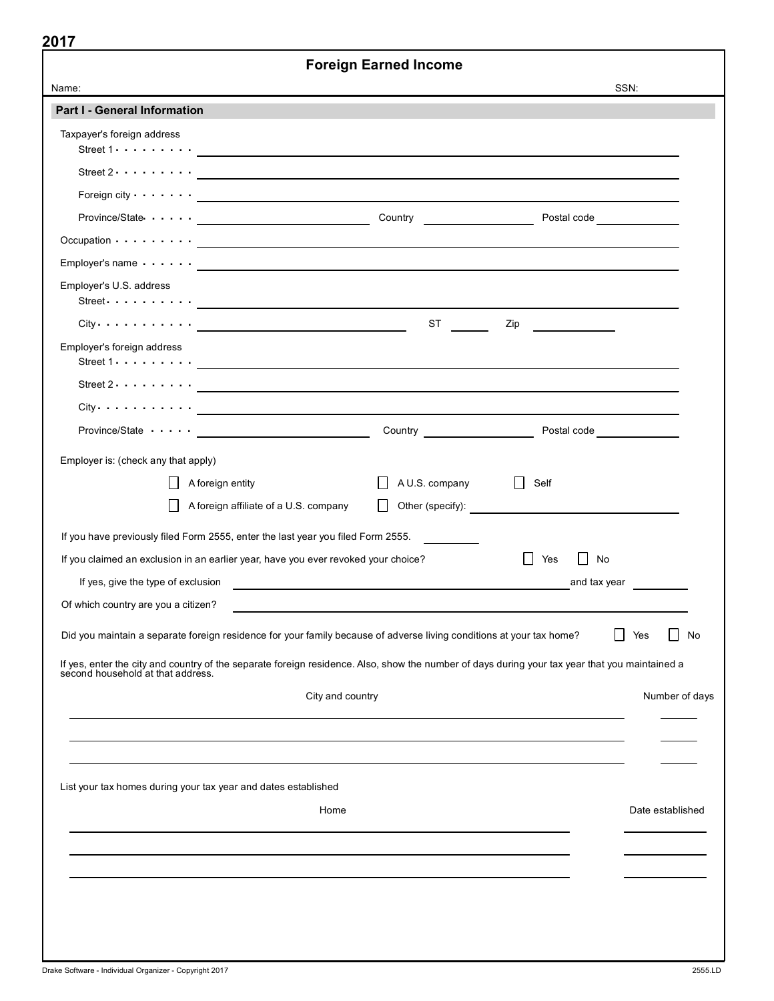|                                                                                                                                                                                                                                                                                         | <b>Foreign Earned Income</b>  |                             |                  |
|-----------------------------------------------------------------------------------------------------------------------------------------------------------------------------------------------------------------------------------------------------------------------------------------|-------------------------------|-----------------------------|------------------|
| Name:                                                                                                                                                                                                                                                                                   |                               | SSN:                        |                  |
| Part I - General Information                                                                                                                                                                                                                                                            |                               |                             |                  |
| Taxpayer's foreign address<br>Street $1 \cdot \cdot \cdot \cdot \cdot \cdot \cdot$ . The contract of the contract of the contract of the contract of the contract of the contract of the contract of the contract of the contract of the contract of the contract of the contract of th |                               |                             |                  |
| Street $2 \cdot \cdot \cdot \cdot \cdot \cdot \cdot$                                                                                                                                                                                                                                    |                               |                             |                  |
|                                                                                                                                                                                                                                                                                         |                               |                             |                  |
|                                                                                                                                                                                                                                                                                         |                               | Postal code _______________ |                  |
|                                                                                                                                                                                                                                                                                         |                               |                             |                  |
|                                                                                                                                                                                                                                                                                         |                               |                             |                  |
| Employer's U.S. address<br>Street $\cdots$ $\cdots$ $\cdots$                                                                                                                                                                                                                            |                               |                             |                  |
|                                                                                                                                                                                                                                                                                         | $ST \t -$                     | Zip                         |                  |
| Employer's foreign address<br>Street $1 \cdot \cdot \cdot \cdot \cdot \cdot \cdot$ . The contract of the contract of the contract of the contract of the contract of the contract of the contract of the contract of the contract of the contract of the contract of the contract of th |                               |                             |                  |
| Street $2 \cdot \cdot \cdot \cdot \cdot \cdot$ . $\qquad \qquad$ $\qquad$                                                                                                                                                                                                               |                               |                             |                  |
|                                                                                                                                                                                                                                                                                         |                               |                             |                  |
| $Province / State \cdots \cdots$                                                                                                                                                                                                                                                        | Country _____________________ |                             |                  |
| Employer is: (check any that apply)                                                                                                                                                                                                                                                     |                               |                             |                  |
| A foreign entity                                                                                                                                                                                                                                                                        | A U.S. company                | Self<br>$\perp$             |                  |
| A foreign affiliate of a U.S. company                                                                                                                                                                                                                                                   | $\perp$                       |                             |                  |
|                                                                                                                                                                                                                                                                                         |                               |                             |                  |
| If you have previously filed Form 2555, enter the last year you filed Form 2555.                                                                                                                                                                                                        |                               | $\perp$<br>Yes<br>No        |                  |
| If you claimed an exclusion in an earlier year, have you ever revoked your choice?                                                                                                                                                                                                      |                               | and tax year                |                  |
| Of which country are you a citizen?                                                                                                                                                                                                                                                     |                               |                             |                  |
|                                                                                                                                                                                                                                                                                         |                               |                             |                  |
| Did you maintain a separate foreign residence for your family because of adverse living conditions at your tax home?                                                                                                                                                                    |                               | Yes                         | No               |
| If yes, enter the city and country of the separate foreign residence. Also, show the number of days during your tax year that you maintained a<br>second household at that address.                                                                                                     |                               |                             |                  |
|                                                                                                                                                                                                                                                                                         | City and country              |                             | Number of days   |
|                                                                                                                                                                                                                                                                                         |                               |                             |                  |
|                                                                                                                                                                                                                                                                                         |                               |                             |                  |
|                                                                                                                                                                                                                                                                                         |                               |                             |                  |
| List your tax homes during your tax year and dates established                                                                                                                                                                                                                          |                               |                             |                  |
|                                                                                                                                                                                                                                                                                         | Home                          |                             | Date established |
|                                                                                                                                                                                                                                                                                         |                               |                             |                  |
|                                                                                                                                                                                                                                                                                         |                               |                             |                  |
|                                                                                                                                                                                                                                                                                         |                               |                             |                  |
|                                                                                                                                                                                                                                                                                         |                               |                             |                  |
|                                                                                                                                                                                                                                                                                         |                               |                             |                  |
|                                                                                                                                                                                                                                                                                         |                               |                             |                  |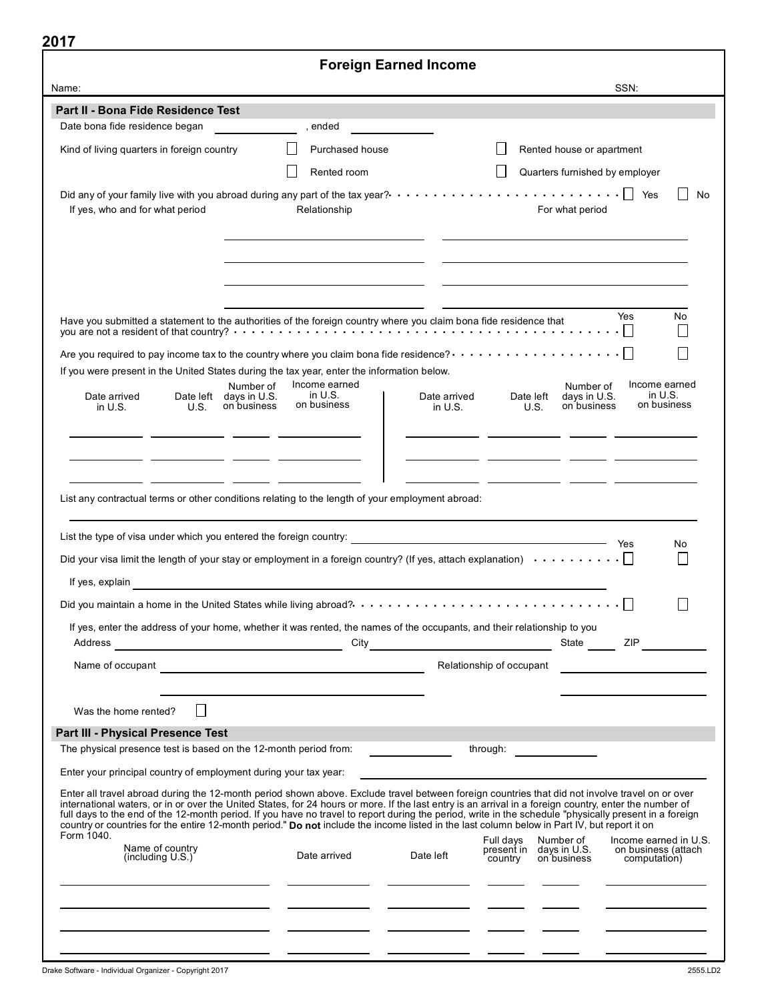| .                                                                                                                                                                                    |                                                                   | <b>Foreign Earned Income</b>          |                                                                                                                                                                                                                                                                                                                                                                                                                                                                                                                     |
|--------------------------------------------------------------------------------------------------------------------------------------------------------------------------------------|-------------------------------------------------------------------|---------------------------------------|---------------------------------------------------------------------------------------------------------------------------------------------------------------------------------------------------------------------------------------------------------------------------------------------------------------------------------------------------------------------------------------------------------------------------------------------------------------------------------------------------------------------|
| Name:                                                                                                                                                                                |                                                                   |                                       | SSN:                                                                                                                                                                                                                                                                                                                                                                                                                                                                                                                |
| Part II - Bona Fide Residence Test                                                                                                                                                   |                                                                   |                                       |                                                                                                                                                                                                                                                                                                                                                                                                                                                                                                                     |
| Date bona fide residence began                                                                                                                                                       | , ended                                                           |                                       |                                                                                                                                                                                                                                                                                                                                                                                                                                                                                                                     |
| Kind of living quarters in foreign country                                                                                                                                           | Purchased house                                                   |                                       | Rented house or apartment                                                                                                                                                                                                                                                                                                                                                                                                                                                                                           |
|                                                                                                                                                                                      | Rented room                                                       |                                       | Quarters furnished by employer                                                                                                                                                                                                                                                                                                                                                                                                                                                                                      |
| Did any of your family live with you abroad during any part of the tax year? $\cdots\cdots\cdots\cdots\cdots\cdots\cdots\cdots\cdots\cdots\cdots$<br>If yes, who and for what period | Relationship                                                      |                                       | No<br>For what period                                                                                                                                                                                                                                                                                                                                                                                                                                                                                               |
| Have you submitted a statement to the authorities of the foreign country where you claim bona fide residence that                                                                    |                                                                   |                                       | Yes<br>No                                                                                                                                                                                                                                                                                                                                                                                                                                                                                                           |
| Are you required to pay income tax to the country where you claim bona fide residence? $\cdots\cdots\cdots\cdots\cdots\cdots\cap$                                                    |                                                                   |                                       |                                                                                                                                                                                                                                                                                                                                                                                                                                                                                                                     |
| If you were present in the United States during the tax year, enter the information below.                                                                                           | Income earned<br>Number of                                        |                                       | Income earned<br>Number of                                                                                                                                                                                                                                                                                                                                                                                                                                                                                          |
| Date arrived<br>in $U.S.$<br>U.S.                                                                                                                                                    | in $U.S.$<br>Date left days in U.S.<br>on business<br>on business | Date arrived<br>in $U.S.$             | in $U.S.$<br>days in U.S.<br>Date left<br>on business<br>on business<br>U.S.                                                                                                                                                                                                                                                                                                                                                                                                                                        |
| List any contractual terms or other conditions relating to the length of your employment abroad:                                                                                     |                                                                   |                                       |                                                                                                                                                                                                                                                                                                                                                                                                                                                                                                                     |
| List the type of visa under which you entered the foreign country:                                                                                                                   |                                                                   |                                       | Yes<br>No                                                                                                                                                                                                                                                                                                                                                                                                                                                                                                           |
| Did your visa limit the length of your stay or employment in a foreign country? (If yes, attach explanation) $\cdots \cdots \cdots$                                                  |                                                                   |                                       |                                                                                                                                                                                                                                                                                                                                                                                                                                                                                                                     |
| If yes, explain                                                                                                                                                                      |                                                                   |                                       |                                                                                                                                                                                                                                                                                                                                                                                                                                                                                                                     |
|                                                                                                                                                                                      |                                                                   |                                       |                                                                                                                                                                                                                                                                                                                                                                                                                                                                                                                     |
| If yes, enter the address of your home, whether it was rented, the names of the occupants, and their relationship to you                                                             |                                                                   |                                       | State <b>ZIP</b>                                                                                                                                                                                                                                                                                                                                                                                                                                                                                                    |
|                                                                                                                                                                                      |                                                                   | Relationship of occupant              |                                                                                                                                                                                                                                                                                                                                                                                                                                                                                                                     |
|                                                                                                                                                                                      |                                                                   |                                       |                                                                                                                                                                                                                                                                                                                                                                                                                                                                                                                     |
|                                                                                                                                                                                      |                                                                   |                                       |                                                                                                                                                                                                                                                                                                                                                                                                                                                                                                                     |
| Was the home rented?                                                                                                                                                                 |                                                                   |                                       |                                                                                                                                                                                                                                                                                                                                                                                                                                                                                                                     |
| Part III - Physical Presence Test                                                                                                                                                    |                                                                   |                                       |                                                                                                                                                                                                                                                                                                                                                                                                                                                                                                                     |
| The physical presence test is based on the 12-month period from:                                                                                                                     |                                                                   | <u> 1990 - Jan Barnett, politik e</u> | through:                                                                                                                                                                                                                                                                                                                                                                                                                                                                                                            |
| Enter your principal country of employment during your tax year:                                                                                                                     |                                                                   |                                       |                                                                                                                                                                                                                                                                                                                                                                                                                                                                                                                     |
| country or countries for the entire 12-month period." Do not include the income listed in the last column below in Part IV, but report it on<br>Form 1040.                           |                                                                   |                                       | Enter all travel abroad during the 12-month period shown above. Exclude travel between foreign countries that did not involve travel on or over<br>international waters, or in or over the United States, for 24 hours or more. If the last entry is an arrival in a foreign country, enter the number of<br>full days to the end of the 12-month period. If you have no travel to report during the period, write in the schedule "physically present in a foreign<br>Full days Number of<br>Income earned in U.S. |
| Name of country<br>(including U.S.)                                                                                                                                                  | Date arrived                                                      | Date left<br>country                  | present in days in U.S.<br>on business (attach<br>on business<br>computation)                                                                                                                                                                                                                                                                                                                                                                                                                                       |
|                                                                                                                                                                                      |                                                                   |                                       |                                                                                                                                                                                                                                                                                                                                                                                                                                                                                                                     |
|                                                                                                                                                                                      |                                                                   |                                       |                                                                                                                                                                                                                                                                                                                                                                                                                                                                                                                     |
|                                                                                                                                                                                      |                                                                   |                                       |                                                                                                                                                                                                                                                                                                                                                                                                                                                                                                                     |
|                                                                                                                                                                                      |                                                                   |                                       |                                                                                                                                                                                                                                                                                                                                                                                                                                                                                                                     |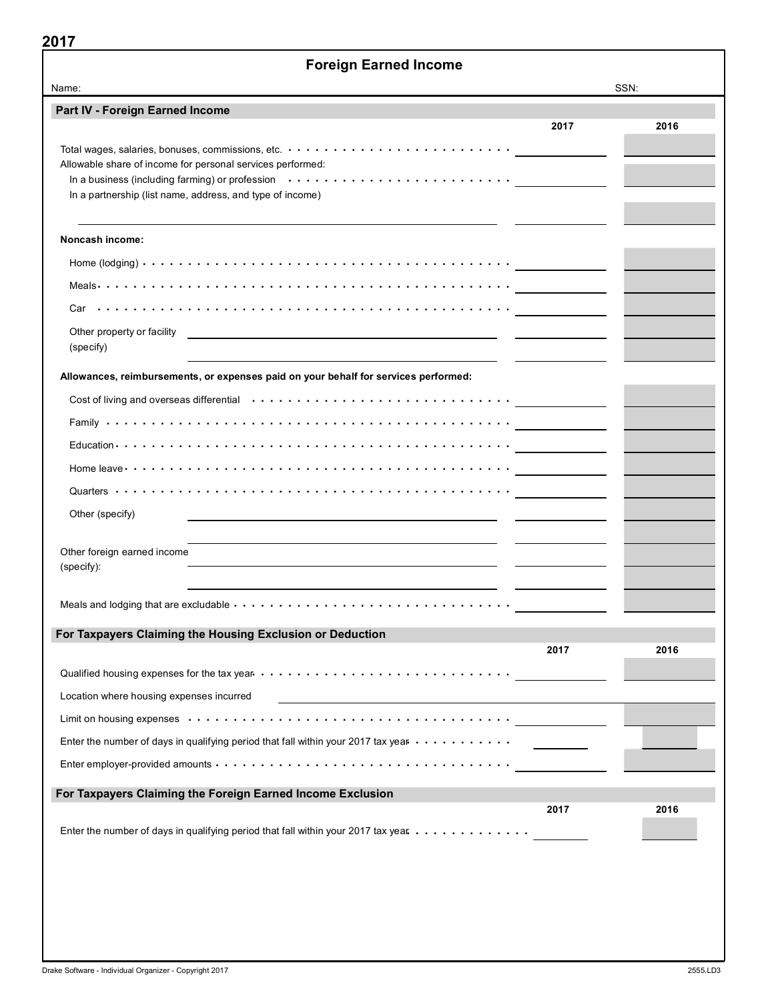| <b>Foreign Earned Income</b>                                                                                                             |      |      |
|------------------------------------------------------------------------------------------------------------------------------------------|------|------|
| Name:                                                                                                                                    |      | SSN: |
| Part IV - Foreign Earned Income                                                                                                          | 2017 | 2016 |
|                                                                                                                                          |      |      |
| Allowable share of income for personal services performed:                                                                               |      |      |
| In a business (including farming) or profession $\cdots \cdots \cdots \cdots \cdots \cdots \cdots \cdots \cdots$                         |      |      |
| In a partnership (list name, address, and type of income)                                                                                |      |      |
| Noncash income:                                                                                                                          |      |      |
|                                                                                                                                          |      |      |
|                                                                                                                                          |      |      |
|                                                                                                                                          |      |      |
| Other property or facility<br><u> 1989 - Johann Stone, fransk politiker (d. 1989)</u>                                                    |      |      |
| (specify)                                                                                                                                |      |      |
| Allowances, reimbursements, or expenses paid on your behalf for services performed:                                                      |      |      |
| Cost of living and overseas differential $\cdots \cdots \cdots \cdots \cdots \cdots \cdots \cdots \cdots \cdots$                         |      |      |
|                                                                                                                                          |      |      |
|                                                                                                                                          |      |      |
| Home leave $\cdots$ $\cdots$ $\cdots$ $\cdots$ $\cdots$ $\cdots$ $\cdots$ $\cdots$ $\cdots$ $\cdots$ $\cdots$ $\cdots$ $\cdots$ $\cdots$ |      |      |
|                                                                                                                                          |      |      |
| Other (specify)                                                                                                                          |      |      |
|                                                                                                                                          |      |      |
| Other foreign earned income                                                                                                              |      |      |
| (specify):                                                                                                                               |      |      |
|                                                                                                                                          |      |      |
|                                                                                                                                          |      |      |
| For Taxpayers Claiming the Housing Exclusion or Deduction                                                                                | 2017 | 2016 |
|                                                                                                                                          |      |      |
|                                                                                                                                          |      |      |
| Location where housing expenses incurred                                                                                                 |      |      |
|                                                                                                                                          |      |      |
| Enter the number of days in qualifying period that fall within your 2017 tax year $\dots \dots \dots$                                    |      |      |
|                                                                                                                                          |      |      |
| For Taxpayers Claiming the Foreign Earned Income Exclusion                                                                               |      |      |
|                                                                                                                                          | 2017 | 2016 |
| Enter the number of days in qualifying period that fall within your 2017 tax year                                                        |      |      |
|                                                                                                                                          |      |      |
|                                                                                                                                          |      |      |
|                                                                                                                                          |      |      |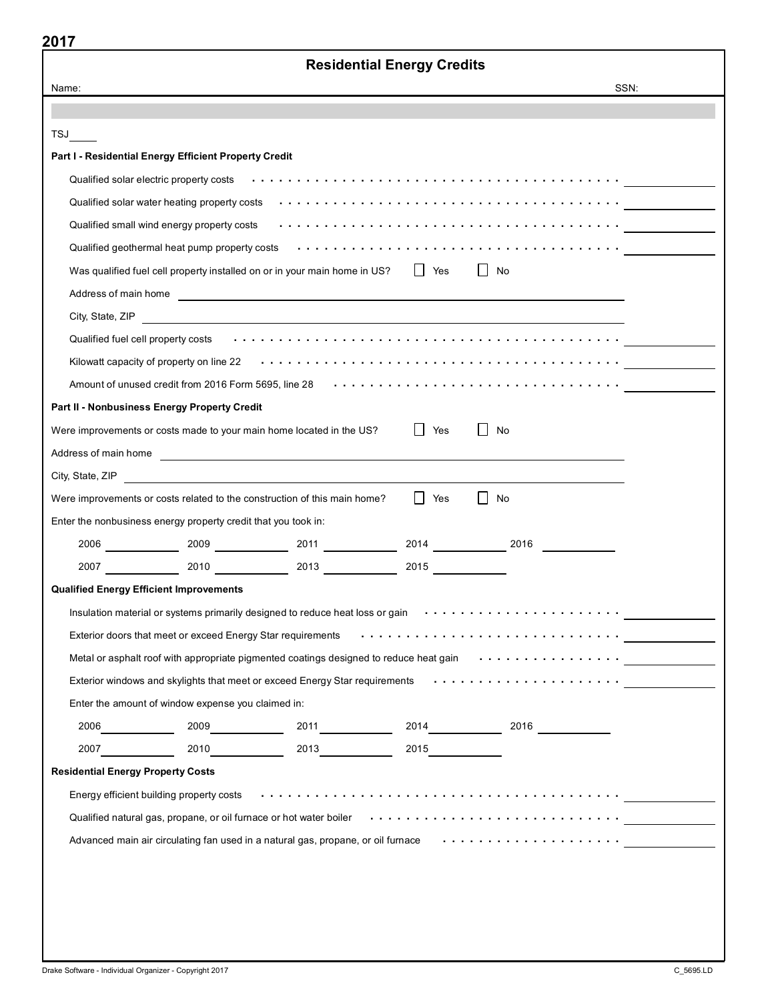|                                                                                                                                                                                                                                      | <b>Residential Energy Credits</b> |                                                                                                                                                                                                                                |
|--------------------------------------------------------------------------------------------------------------------------------------------------------------------------------------------------------------------------------------|-----------------------------------|--------------------------------------------------------------------------------------------------------------------------------------------------------------------------------------------------------------------------------|
| Name:                                                                                                                                                                                                                                |                                   | SSN:                                                                                                                                                                                                                           |
|                                                                                                                                                                                                                                      |                                   |                                                                                                                                                                                                                                |
| TSJ                                                                                                                                                                                                                                  |                                   |                                                                                                                                                                                                                                |
| Part I - Residential Energy Efficient Property Credit                                                                                                                                                                                |                                   |                                                                                                                                                                                                                                |
|                                                                                                                                                                                                                                      |                                   | Qualified solar electric property costs enterial enterial enterial enterial enterial enterial enteries and the                                                                                                                 |
|                                                                                                                                                                                                                                      |                                   | Qualified solar water heating property costs enter that is not enter that is not all that is not all that is no                                                                                                                |
|                                                                                                                                                                                                                                      |                                   |                                                                                                                                                                                                                                |
|                                                                                                                                                                                                                                      |                                   |                                                                                                                                                                                                                                |
| Was qualified fuel cell property installed on or in your main home in US?   Yes                                                                                                                                                      |                                   | l I No                                                                                                                                                                                                                         |
| Address of main home <b>contract to the contract of the contract of the contract of the contract of the contract of the contract of the contract of the contract of the contract of the contract of the contract of the contract</b> |                                   |                                                                                                                                                                                                                                |
| City, State, ZIP                                                                                                                                                                                                                     |                                   |                                                                                                                                                                                                                                |
|                                                                                                                                                                                                                                      |                                   |                                                                                                                                                                                                                                |
|                                                                                                                                                                                                                                      |                                   |                                                                                                                                                                                                                                |
|                                                                                                                                                                                                                                      |                                   | Amount of unused credit from 2016 Form 5695, line 28 \taggetimes with example with the state of the state of the S                                                                                                             |
| Part II - Nonbusiness Energy Property Credit                                                                                                                                                                                         |                                   |                                                                                                                                                                                                                                |
| Were improvements or costs made to your main home located in the US?                                                                                                                                                                 | Yes                               | No                                                                                                                                                                                                                             |
| Address of main home <b>contract the contract of the contract of the contract of the contract of the contract of the contract of the contract of the contract of the contract of the contract of the contract of the contract of</b> |                                   |                                                                                                                                                                                                                                |
| City, State, ZIP                                                                                                                                                                                                                     |                                   |                                                                                                                                                                                                                                |
| Were improvements or costs related to the construction of this main home?                                                                                                                                                            | I Yes                             | $\vert \vert$ No                                                                                                                                                                                                               |
| Enter the nonbusiness energy property credit that you took in:                                                                                                                                                                       |                                   |                                                                                                                                                                                                                                |
| $2006$ 2009 2009 2011 2011 2014 2014 2016                                                                                                                                                                                            |                                   |                                                                                                                                                                                                                                |
| 2007 2010 2010 2013 2013 2015                                                                                                                                                                                                        |                                   |                                                                                                                                                                                                                                |
| <b>Qualified Energy Efficient Improvements</b>                                                                                                                                                                                       |                                   |                                                                                                                                                                                                                                |
| Insulation material or systems primarily designed to reduce heat loss or gain witch witch witch witch that witch                                                                                                                     |                                   |                                                                                                                                                                                                                                |
| Exterior doors that meet or exceed Energy Star requirements for and conduction of the state of star and conduct                                                                                                                      |                                   |                                                                                                                                                                                                                                |
| Metal or asphalt roof with appropriate pigmented coatings designed to reduce heat gain withor is not all was not we                                                                                                                  |                                   |                                                                                                                                                                                                                                |
|                                                                                                                                                                                                                                      |                                   |                                                                                                                                                                                                                                |
| Enter the amount of window expense you claimed in:                                                                                                                                                                                   |                                   |                                                                                                                                                                                                                                |
|                                                                                                                                                                                                                                      |                                   |                                                                                                                                                                                                                                |
|                                                                                                                                                                                                                                      |                                   |                                                                                                                                                                                                                                |
| <b>Residential Energy Property Costs</b>                                                                                                                                                                                             |                                   |                                                                                                                                                                                                                                |
|                                                                                                                                                                                                                                      |                                   | Energy efficient building property costs enterial enterial enterial enters in the state of the state of the state of the state of the state of the state of the state of the state of the state of the state of the state of t |
|                                                                                                                                                                                                                                      |                                   | Qualified natural gas, propane, or oil furnace or hot water boiler with the state of the state of the state or                                                                                                                 |
| Advanced main air circulating fan used in a natural gas, propane, or oil furnace www.www.www.www.www.ww                                                                                                                              |                                   |                                                                                                                                                                                                                                |
|                                                                                                                                                                                                                                      |                                   |                                                                                                                                                                                                                                |
|                                                                                                                                                                                                                                      |                                   |                                                                                                                                                                                                                                |
|                                                                                                                                                                                                                                      |                                   |                                                                                                                                                                                                                                |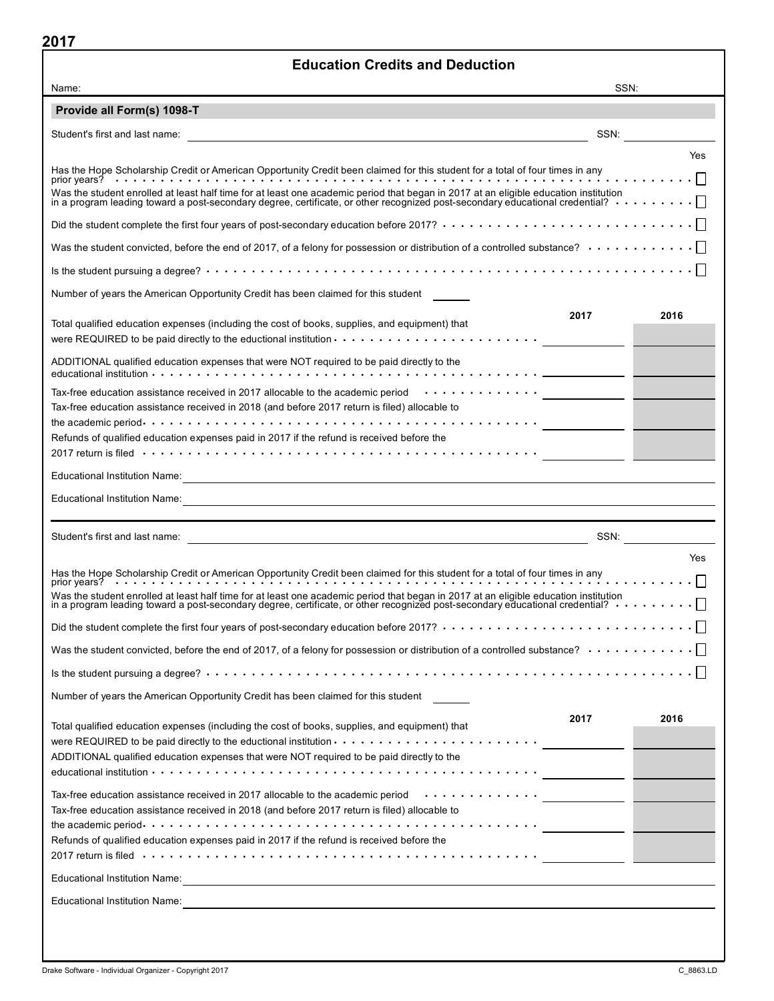| 2017 Z<br><b>Education Credits and Deduction</b>                                                                                                                                                                                                                                                                                                                                                                                                                    |
|---------------------------------------------------------------------------------------------------------------------------------------------------------------------------------------------------------------------------------------------------------------------------------------------------------------------------------------------------------------------------------------------------------------------------------------------------------------------|
| SSN:<br>Name:                                                                                                                                                                                                                                                                                                                                                                                                                                                       |
| Provide all Form(s) 1098-T                                                                                                                                                                                                                                                                                                                                                                                                                                          |
| SSN:                                                                                                                                                                                                                                                                                                                                                                                                                                                                |
| Yes<br>Was the student enrolled at least half time for at least one academic period that began in 2017 at an eligible education institution                                                                                                                                                                                                                                                                                                                         |
| in a program leading toward a post-secondary degree, certificate, or other recognized post-secondary educational credential? $\cdots \cdots \cdots \square$<br>Did the student complete the first four years of post-secondary education before 2017? $\cdots\cdots\cdots\cdots\cdots\cdots\cdots\cdots\cdots\cdots\cdots\cdots$                                                                                                                                    |
|                                                                                                                                                                                                                                                                                                                                                                                                                                                                     |
| Was the student convicted, before the end of 2017, of a felony for possession or distribution of a controlled substance? $\cdots\cdots\cdots\cdots\Box$                                                                                                                                                                                                                                                                                                             |
|                                                                                                                                                                                                                                                                                                                                                                                                                                                                     |
| Number of years the American Opportunity Credit has been claimed for this student                                                                                                                                                                                                                                                                                                                                                                                   |
| 2017<br>2016<br>Total qualified education expenses (including the cost of books, supplies, and equipment) that<br>were REQUIRED to be paid directly to the eductional institution $\cdots\cdots\cdots\cdots\cdots\cdots\cdots\cdots\cdots$                                                                                                                                                                                                                          |
| ADDITIONAL qualified education expenses that were NOT required to be paid directly to the                                                                                                                                                                                                                                                                                                                                                                           |
| Tax-free education assistance received in 2017 allocable to the academic period $\cdots \cdots \cdots \cdots$<br>Tax-free education assistance received in 2018 (and before 2017 return is filed) allocable to                                                                                                                                                                                                                                                      |
| Refunds of qualified education expenses paid in 2017 if the refund is received before the                                                                                                                                                                                                                                                                                                                                                                           |
| Educational Institution Name: <u>Contractor Communication of the Communication</u> of the Communication of the Communication of the Communication of the Communication of the Communication of the Communication of the Communicati                                                                                                                                                                                                                                 |
| Educational Institution Name: <u>Contractor Communication of the Communication</u> Communication of the Communication                                                                                                                                                                                                                                                                                                                                               |
|                                                                                                                                                                                                                                                                                                                                                                                                                                                                     |
| SSN:                                                                                                                                                                                                                                                                                                                                                                                                                                                                |
| Yes<br>Has the Hope Scholarship Credit or American Opportunity Credit been claimed for this student for a total of four times in any<br>$\overline{D}$<br>Was the student enrolled at least half time for at least one academic period that began in 2017 at an eligible education institution<br>Did the student complete the first four years of post-secondary education before 2017? $\cdots\cdots\cdots\cdots\cdots\cdots\cdots\cdots\cdots\cdots\cdots\cdots$ |
|                                                                                                                                                                                                                                                                                                                                                                                                                                                                     |
| Was the student convicted, before the end of 2017, of a felony for possession or distribution of a controlled substance? $\cdots \cdots \cdots \cdots$                                                                                                                                                                                                                                                                                                              |
|                                                                                                                                                                                                                                                                                                                                                                                                                                                                     |
| Number of years the American Opportunity Credit has been claimed for this student                                                                                                                                                                                                                                                                                                                                                                                   |
| 2017<br>2016<br>Total qualified education expenses (including the cost of books, supplies, and equipment) that<br>ADDITIONAL qualified education expenses that were NOT required to be paid directly to the                                                                                                                                                                                                                                                         |
| Tax-free education assistance received in 2017 allocable to the academic period<br>Tax-free education assistance received in 2018 (and before 2017 return is filed) allocable to<br>Refunds of qualified education expenses paid in 2017 if the refund is received before the                                                                                                                                                                                       |
| 2017 return is filed www.arms.com/server www.arms.com/server www.arms.com/server www.arms.com/server www.arms.com/                                                                                                                                                                                                                                                                                                                                                  |
| Educational Institution Name: <u>Contract of the Contract of Australian Contract of Australian Contract of Australian Contract of Australian Contract of Australian Contract of Australian Contract of Australian Contract of Au</u>                                                                                                                                                                                                                                |
| Educational Institution Name:                                                                                                                                                                                                                                                                                                                                                                                                                                       |
|                                                                                                                                                                                                                                                                                                                                                                                                                                                                     |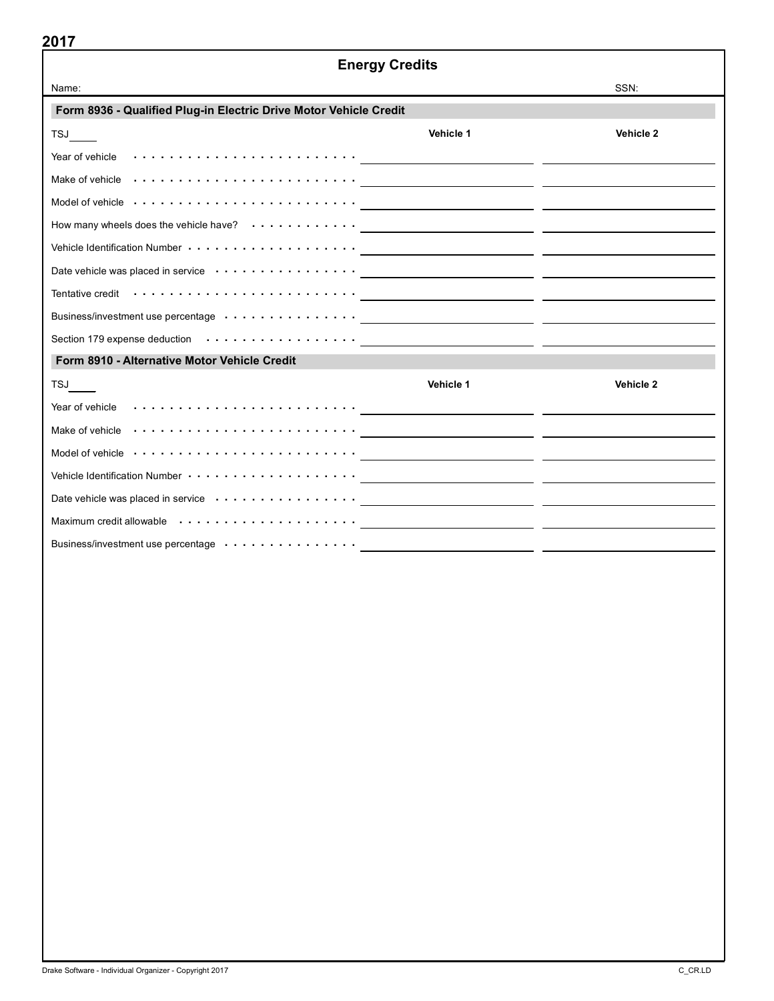| <b>Energy Credits</b>                                                                                                                                                                                                          |           |           |  |  |  |  |  |
|--------------------------------------------------------------------------------------------------------------------------------------------------------------------------------------------------------------------------------|-----------|-----------|--|--|--|--|--|
| Name:                                                                                                                                                                                                                          |           | SSN:      |  |  |  |  |  |
| Form 8936 - Qualified Plug-in Electric Drive Motor Vehicle Credit                                                                                                                                                              |           |           |  |  |  |  |  |
| TSJ                                                                                                                                                                                                                            | Vehicle 1 | Vehicle 2 |  |  |  |  |  |
| Year of vehicle $\cdots \cdots \cdots \cdots \cdots \cdots \cdots$                                                                                                                                                             |           |           |  |  |  |  |  |
| Make of vehicle $\cdots \cdots \cdots \cdots \cdots \cdots \cdots \cdots$                                                                                                                                                      |           |           |  |  |  |  |  |
| Model of vehicle entitled to the control of vehicle and the control of vehicle and the control of vehicle and the control of the control of the control of the control of the control of the control of the control of the con |           |           |  |  |  |  |  |
|                                                                                                                                                                                                                                |           |           |  |  |  |  |  |
| Vehicle Identification Number (al. 1991) with the control of the control of the control of the control of the control of the control of the control of the control of the control of the control of the control of the control |           |           |  |  |  |  |  |
| Date vehicle was placed in service enterity of the service of the service of the service of the service of the                                                                                                                 |           |           |  |  |  |  |  |
| Tentative credit (100) with the credit (100) with the credit (100) with the credit (100) with the credit (100) with the credit (100) with the credit (100) with the credit (100) with the credit (100) with the credit (100) w |           |           |  |  |  |  |  |
| Business/investment use percentage or or or or or or or or an example and the percentage of the state of the state of the state of the state of the state of the state of the state of the state of the state of the state of  |           |           |  |  |  |  |  |
| Section 179 expense deduction or control of the control of the control of the control of the control of the control of the control of the control of the control of the control of the control of the control of the control o |           |           |  |  |  |  |  |
| Form 8910 - Alternative Motor Vehicle Credit                                                                                                                                                                                   |           |           |  |  |  |  |  |
| <b>TSJ</b>                                                                                                                                                                                                                     | Vehicle 1 | Vehicle 2 |  |  |  |  |  |
| Year of vehicle (a) a set of vehicle (a) a set of the contract of the contract of the contract of the contract of the contract of the contract of the contract of the contract of the contract of the contract of the contract |           |           |  |  |  |  |  |
|                                                                                                                                                                                                                                |           |           |  |  |  |  |  |
| Model of vehicle $\cdots \cdots \cdots \cdots \cdots \cdots \cdots$                                                                                                                                                            |           |           |  |  |  |  |  |
|                                                                                                                                                                                                                                |           |           |  |  |  |  |  |
| Date vehicle was placed in service (and a service of a service of a service of the service of the service of the service of the service of the service of the service of the service of the service of the service of the serv |           |           |  |  |  |  |  |
| Maximum credit allowable (allowable and allow and allow a contract of the contract of the contract of the contract of the contract of the contract of the contract of the contract of the contract of the contract of the cont |           |           |  |  |  |  |  |
|                                                                                                                                                                                                                                |           |           |  |  |  |  |  |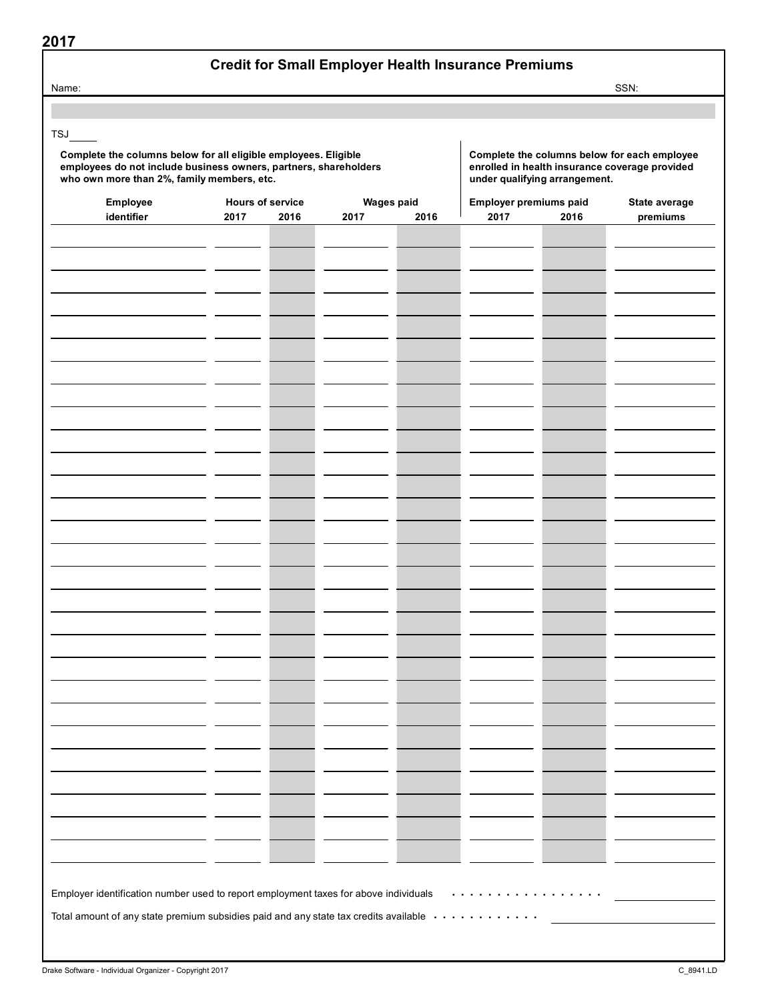| ×<br>۰. |  |  |
|---------|--|--|
|         |  |  |

#### Credit for Small Employer Health Insurance Premiums

Name: SSN:

TSJ

Complete the columns below for all eligible employees. Eligible employee employee the columns below for each employee<br>
employees do not include business owners, partners, shareholders enrolled in health insurance coverage employees do not include business owners, partners, shareholders enrolled in health insurance coverage provided in health insurance coverage provided in health insurance coverage provided who own more than 2%, family membe who own more than 2%, family members, etc.

| Employee                                                                             | <b>Hours of service</b> |      | <b>Wages paid</b> |      | Employer premiums paid |      | State average |  |
|--------------------------------------------------------------------------------------|-------------------------|------|-------------------|------|------------------------|------|---------------|--|
| identifier                                                                           | 2017                    | 2016 | 2017              | 2016 | 2017                   | 2016 | premiums      |  |
|                                                                                      |                         |      |                   |      |                        |      |               |  |
|                                                                                      |                         |      |                   |      |                        |      |               |  |
|                                                                                      |                         |      |                   |      |                        |      |               |  |
|                                                                                      |                         |      |                   |      |                        |      |               |  |
|                                                                                      |                         |      |                   |      |                        |      |               |  |
|                                                                                      |                         |      |                   |      |                        |      |               |  |
|                                                                                      |                         |      |                   |      |                        |      |               |  |
|                                                                                      |                         |      |                   |      |                        |      |               |  |
|                                                                                      |                         |      |                   |      |                        |      |               |  |
|                                                                                      |                         |      |                   |      |                        |      |               |  |
|                                                                                      |                         |      |                   |      |                        |      |               |  |
|                                                                                      |                         |      |                   |      |                        |      |               |  |
|                                                                                      |                         |      |                   |      |                        |      |               |  |
|                                                                                      |                         |      |                   |      |                        |      |               |  |
|                                                                                      |                         |      |                   |      |                        |      |               |  |
|                                                                                      |                         |      |                   |      |                        |      |               |  |
|                                                                                      |                         |      |                   |      |                        |      |               |  |
|                                                                                      |                         |      |                   |      |                        |      |               |  |
|                                                                                      |                         |      |                   |      |                        |      |               |  |
|                                                                                      |                         |      |                   |      |                        |      |               |  |
|                                                                                      |                         |      |                   |      |                        |      |               |  |
|                                                                                      |                         |      |                   |      |                        |      |               |  |
|                                                                                      |                         |      |                   |      |                        |      |               |  |
|                                                                                      |                         |      |                   |      |                        |      |               |  |
|                                                                                      |                         |      |                   |      |                        |      |               |  |
|                                                                                      |                         |      |                   |      |                        |      |               |  |
|                                                                                      |                         |      |                   |      |                        |      |               |  |
|                                                                                      |                         |      |                   |      |                        |      |               |  |
|                                                                                      |                         |      |                   |      |                        |      |               |  |
|                                                                                      |                         |      |                   |      |                        |      |               |  |
|                                                                                      |                         |      |                   |      |                        |      |               |  |
|                                                                                      |                         |      |                   |      |                        |      |               |  |
|                                                                                      |                         |      |                   |      |                        |      |               |  |
|                                                                                      |                         |      |                   |      |                        |      |               |  |
|                                                                                      |                         |      |                   |      |                        |      |               |  |
|                                                                                      |                         |      |                   |      |                        |      |               |  |
|                                                                                      |                         |      |                   |      |                        |      |               |  |
|                                                                                      |                         |      |                   |      |                        |      |               |  |
|                                                                                      |                         |      |                   |      |                        |      |               |  |
|                                                                                      |                         |      |                   |      |                        |      |               |  |
|                                                                                      |                         |      |                   |      |                        |      |               |  |
|                                                                                      |                         |      |                   |      |                        |      |               |  |
|                                                                                      |                         |      |                   |      |                        |      |               |  |
|                                                                                      |                         |      |                   |      |                        |      |               |  |
|                                                                                      |                         |      |                   |      |                        |      |               |  |
| Employer identification number used to report employment taxes for above individuals |                         |      |                   |      |                        |      |               |  |
| Total amount of any state premium subsidies paid and any state tax credits available |                         |      |                   |      |                        |      |               |  |
|                                                                                      |                         |      |                   |      |                        |      |               |  |
|                                                                                      |                         |      |                   |      |                        |      |               |  |